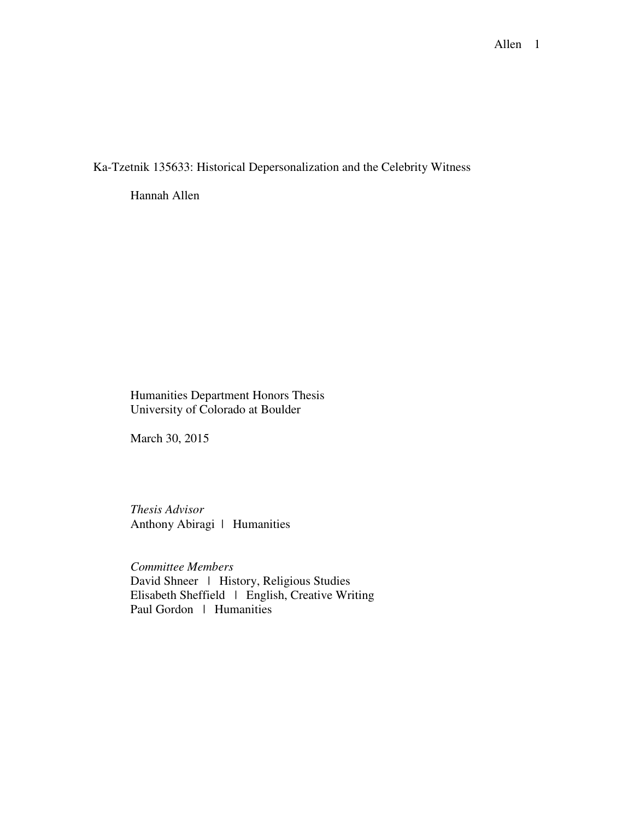#### Ka-Tzetnik 135633: Historical Depersonalization and the Celebrity Witness

Hannah Allen

 Humanities Department Honors Thesis University of Colorado at Boulder

March 30, 2015

*Thesis Advisor*  Anthony Abiragi | Humanities

*Committee Members*  David Shneer | History, Religious Studies Elisabeth Sheffield | English, Creative Writing Paul Gordon | Humanities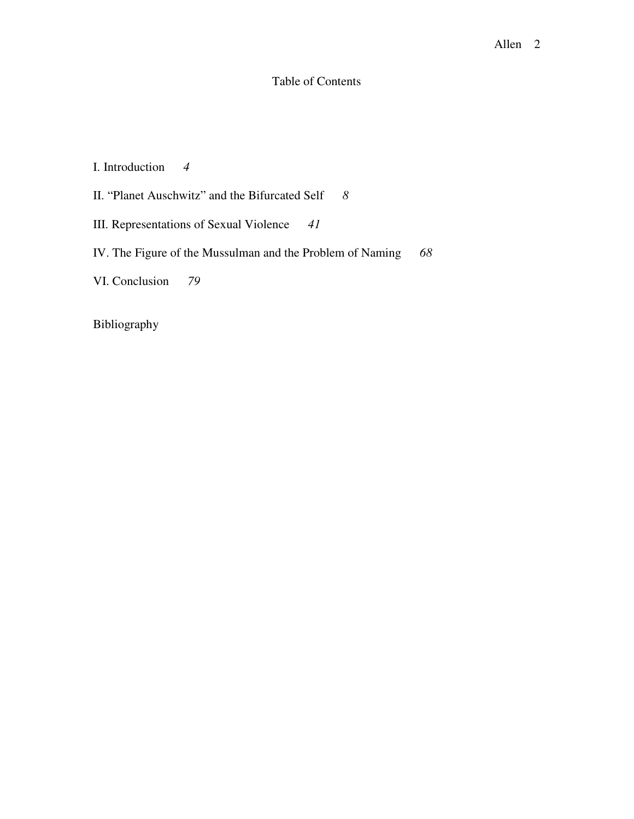## Table of Contents

# I. Introduction *4*

- II. "Planet Auschwitz" and the Bifurcated Self *8*
- III. Representations of Sexual Violence *41*
- IV. The Figure of the Mussulman and the Problem of Naming *68*
- VI. Conclusion *79*

## Bibliography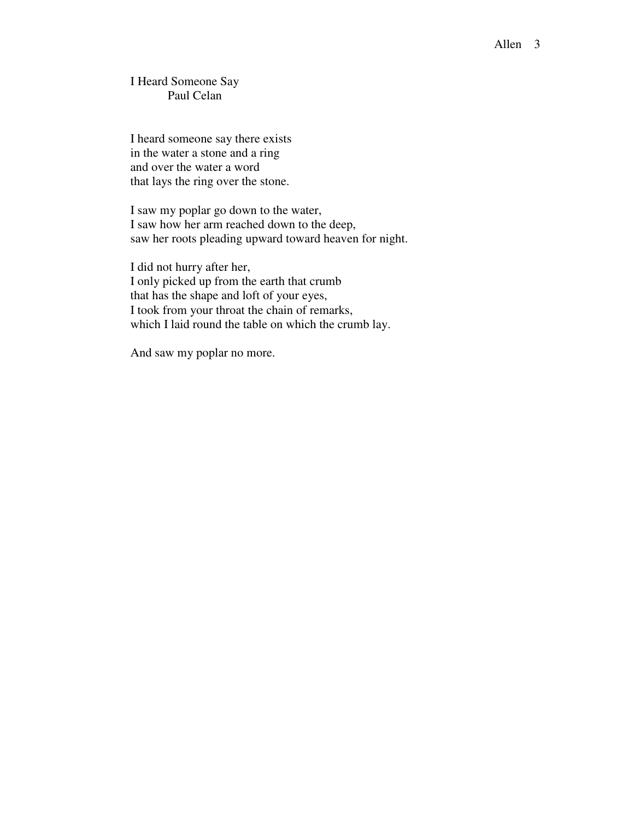I Heard Someone Say Paul Celan

I heard someone say there exists in the water a stone and a ring and over the water a word that lays the ring over the stone.

I saw my poplar go down to the water, I saw how her arm reached down to the deep, saw her roots pleading upward toward heaven for night.

I did not hurry after her, I only picked up from the earth that crumb that has the shape and loft of your eyes, I took from your throat the chain of remarks, which I laid round the table on which the crumb lay.

And saw my poplar no more.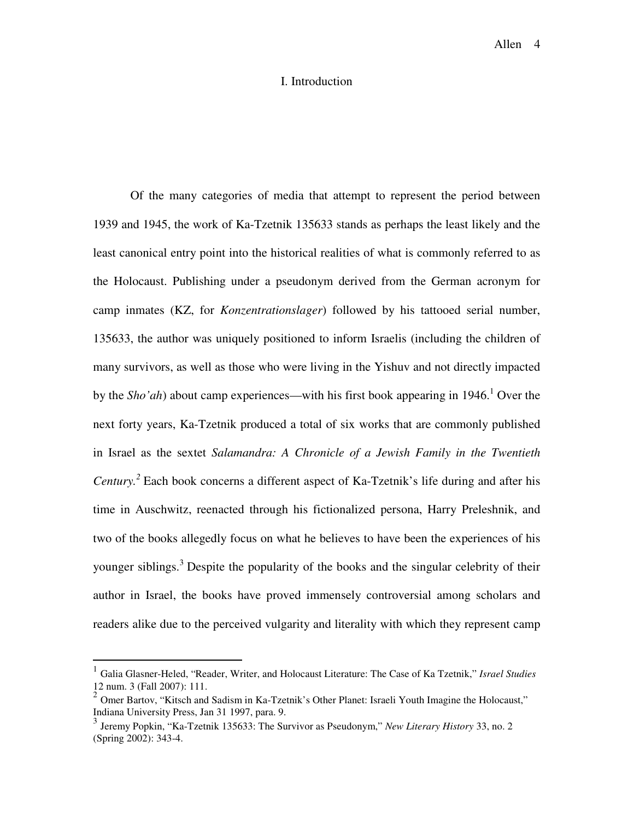#### I. Introduction

Of the many categories of media that attempt to represent the period between 1939 and 1945, the work of Ka-Tzetnik 135633 stands as perhaps the least likely and the least canonical entry point into the historical realities of what is commonly referred to as the Holocaust. Publishing under a pseudonym derived from the German acronym for camp inmates (KZ, for *Konzentrationslager*) followed by his tattooed serial number, 135633, the author was uniquely positioned to inform Israelis (including the children of many survivors, as well as those who were living in the Yishuv and not directly impacted by the *Sho'ah*) about camp experiences—with his first book appearing in 1946.<sup>1</sup> Over the next forty years, Ka-Tzetnik produced a total of six works that are commonly published in Israel as the sextet *Salamandra: A Chronicle of a Jewish Family in the Twentieth Century.<sup>2</sup>* Each book concerns a different aspect of Ka-Tzetnik's life during and after his time in Auschwitz, reenacted through his fictionalized persona, Harry Preleshnik, and two of the books allegedly focus on what he believes to have been the experiences of his younger siblings.<sup>3</sup> Despite the popularity of the books and the singular celebrity of their author in Israel, the books have proved immensely controversial among scholars and readers alike due to the perceived vulgarity and literality with which they represent camp

<sup>1</sup> Galia Glasner-Heled, "Reader, Writer, and Holocaust Literature: The Case of Ka Tzetnik," *Israel Studies*  12 num. 3 (Fall 2007): 111.

<sup>&</sup>lt;sup>2</sup> Omer Bartov, "Kitsch and Sadism in Ka-Tzetnik's Other Planet: Israeli Youth Imagine the Holocaust," Indiana University Press, Jan 31 1997, para. 9.

<sup>3</sup> Jeremy Popkin, "Ka-Tzetnik 135633: The Survivor as Pseudonym," *New Literary History* 33, no. 2 (Spring 2002): 343-4.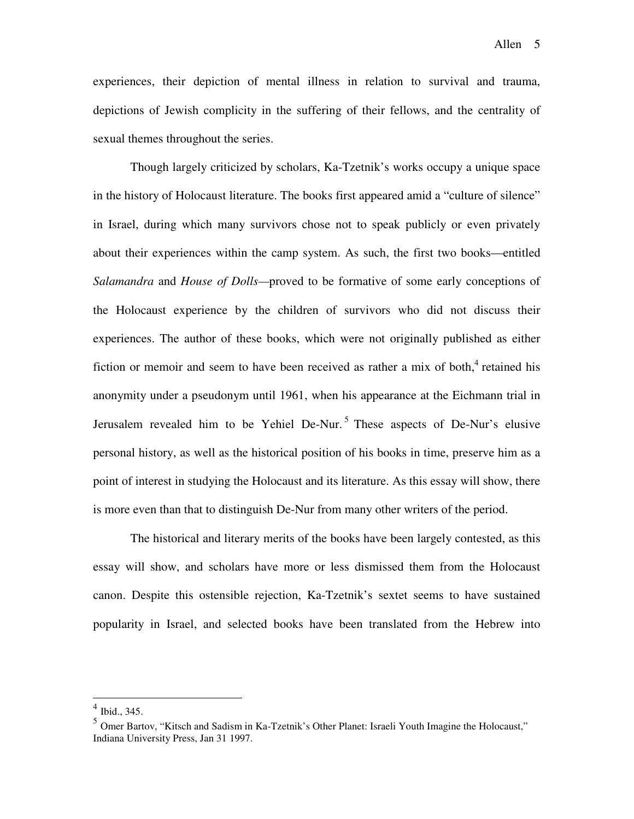experiences, their depiction of mental illness in relation to survival and trauma, depictions of Jewish complicity in the suffering of their fellows, and the centrality of sexual themes throughout the series.

Though largely criticized by scholars, Ka-Tzetnik's works occupy a unique space in the history of Holocaust literature. The books first appeared amid a "culture of silence" in Israel, during which many survivors chose not to speak publicly or even privately about their experiences within the camp system. As such, the first two books—entitled *Salamandra* and *House of Dolls—*proved to be formative of some early conceptions of the Holocaust experience by the children of survivors who did not discuss their experiences. The author of these books, which were not originally published as either fiction or memoir and seem to have been received as rather a mix of both, $4$  retained his anonymity under a pseudonym until 1961, when his appearance at the Eichmann trial in Jerusalem revealed him to be Yehiel De-Nur.<sup>5</sup> These aspects of De-Nur's elusive personal history, as well as the historical position of his books in time, preserve him as a point of interest in studying the Holocaust and its literature. As this essay will show, there is more even than that to distinguish De-Nur from many other writers of the period.

The historical and literary merits of the books have been largely contested, as this essay will show, and scholars have more or less dismissed them from the Holocaust canon. Despite this ostensible rejection, Ka-Tzetnik's sextet seems to have sustained popularity in Israel, and selected books have been translated from the Hebrew into

 4 Ibid., 345.

<sup>5</sup> Omer Bartov, "Kitsch and Sadism in Ka-Tzetnik's Other Planet: Israeli Youth Imagine the Holocaust," Indiana University Press, Jan 31 1997.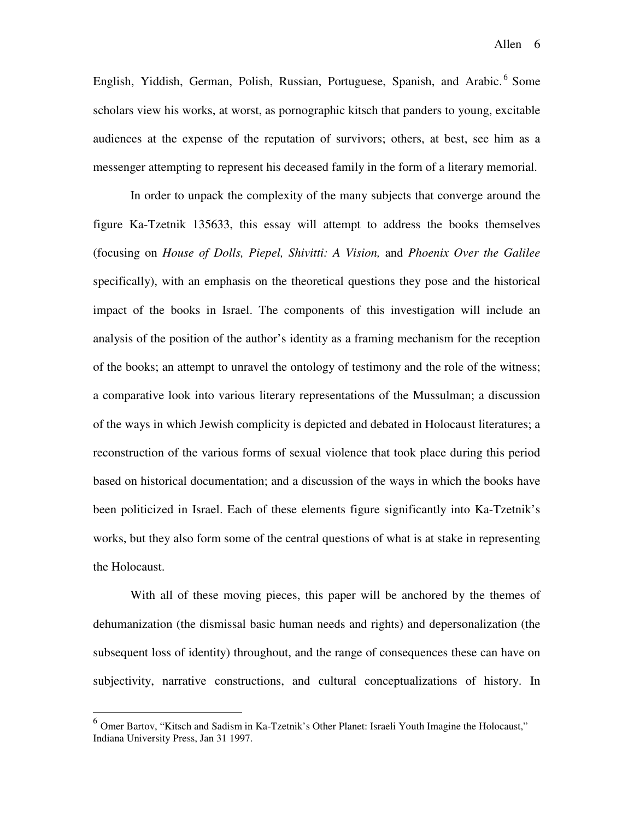English, Yiddish, German, Polish, Russian, Portuguese, Spanish, and Arabic.<sup>6</sup> Some scholars view his works, at worst, as pornographic kitsch that panders to young, excitable audiences at the expense of the reputation of survivors; others, at best, see him as a messenger attempting to represent his deceased family in the form of a literary memorial.

In order to unpack the complexity of the many subjects that converge around the figure Ka-Tzetnik 135633, this essay will attempt to address the books themselves (focusing on *House of Dolls, Piepel, Shivitti: A Vision,* and *Phoenix Over the Galilee* specifically), with an emphasis on the theoretical questions they pose and the historical impact of the books in Israel. The components of this investigation will include an analysis of the position of the author's identity as a framing mechanism for the reception of the books; an attempt to unravel the ontology of testimony and the role of the witness; a comparative look into various literary representations of the Mussulman; a discussion of the ways in which Jewish complicity is depicted and debated in Holocaust literatures; a reconstruction of the various forms of sexual violence that took place during this period based on historical documentation; and a discussion of the ways in which the books have been politicized in Israel. Each of these elements figure significantly into Ka-Tzetnik's works, but they also form some of the central questions of what is at stake in representing the Holocaust.

With all of these moving pieces, this paper will be anchored by the themes of dehumanization (the dismissal basic human needs and rights) and depersonalization (the subsequent loss of identity) throughout, and the range of consequences these can have on subjectivity, narrative constructions, and cultural conceptualizations of history. In

<sup>&</sup>lt;sup>6</sup> Omer Bartov, "Kitsch and Sadism in Ka-Tzetnik's Other Planet: Israeli Youth Imagine the Holocaust," Indiana University Press, Jan 31 1997.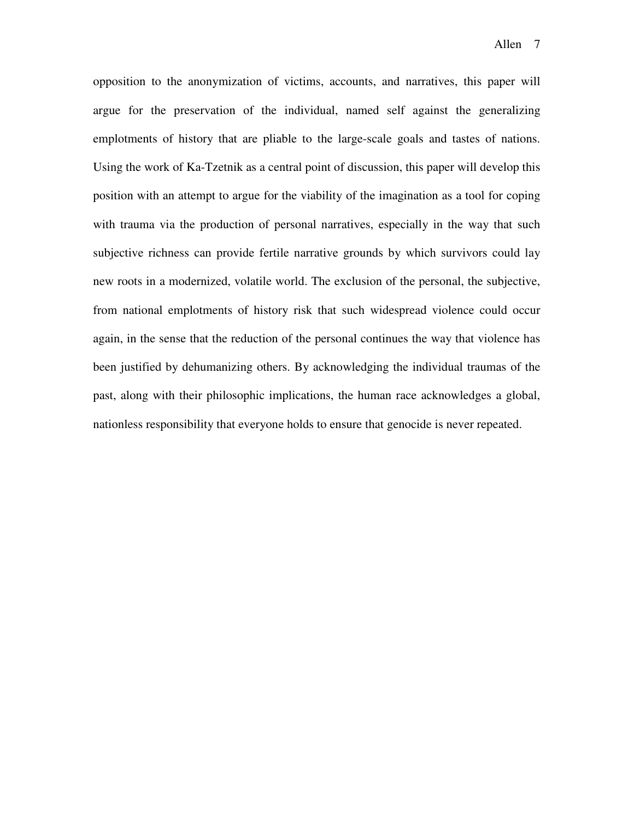opposition to the anonymization of victims, accounts, and narratives, this paper will argue for the preservation of the individual, named self against the generalizing emplotments of history that are pliable to the large-scale goals and tastes of nations. Using the work of Ka-Tzetnik as a central point of discussion, this paper will develop this position with an attempt to argue for the viability of the imagination as a tool for coping with trauma via the production of personal narratives, especially in the way that such subjective richness can provide fertile narrative grounds by which survivors could lay new roots in a modernized, volatile world. The exclusion of the personal, the subjective, from national emplotments of history risk that such widespread violence could occur again, in the sense that the reduction of the personal continues the way that violence has been justified by dehumanizing others. By acknowledging the individual traumas of the past, along with their philosophic implications, the human race acknowledges a global, nationless responsibility that everyone holds to ensure that genocide is never repeated.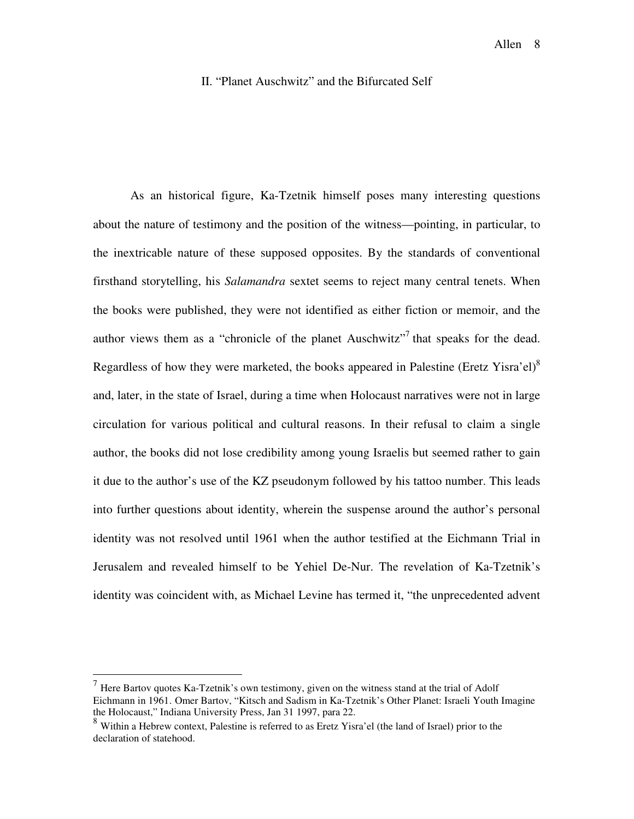#### II. "Planet Auschwitz" and the Bifurcated Self

 As an historical figure, Ka-Tzetnik himself poses many interesting questions about the nature of testimony and the position of the witness—pointing, in particular, to the inextricable nature of these supposed opposites. By the standards of conventional firsthand storytelling, his *Salamandra* sextet seems to reject many central tenets. When the books were published, they were not identified as either fiction or memoir, and the author views them as a "chronicle of the planet Auschwitz"<sup>7</sup> that speaks for the dead. Regardless of how they were marketed, the books appeared in Palestine (Eretz Yisra'el)<sup>8</sup> and, later, in the state of Israel, during a time when Holocaust narratives were not in large circulation for various political and cultural reasons. In their refusal to claim a single author, the books did not lose credibility among young Israelis but seemed rather to gain it due to the author's use of the KZ pseudonym followed by his tattoo number. This leads into further questions about identity, wherein the suspense around the author's personal identity was not resolved until 1961 when the author testified at the Eichmann Trial in Jerusalem and revealed himself to be Yehiel De-Nur. The revelation of Ka-Tzetnik's identity was coincident with, as Michael Levine has termed it, "the unprecedented advent

<sup>7</sup> Here Bartov quotes Ka-Tzetnik's own testimony, given on the witness stand at the trial of Adolf Eichmann in 1961. Omer Bartov, "Kitsch and Sadism in Ka-Tzetnik's Other Planet: Israeli Youth Imagine the Holocaust," Indiana University Press, Jan 31 1997, para 22.

<sup>8</sup> Within a Hebrew context, Palestine is referred to as Eretz Yisra'el (the land of Israel) prior to the declaration of statehood.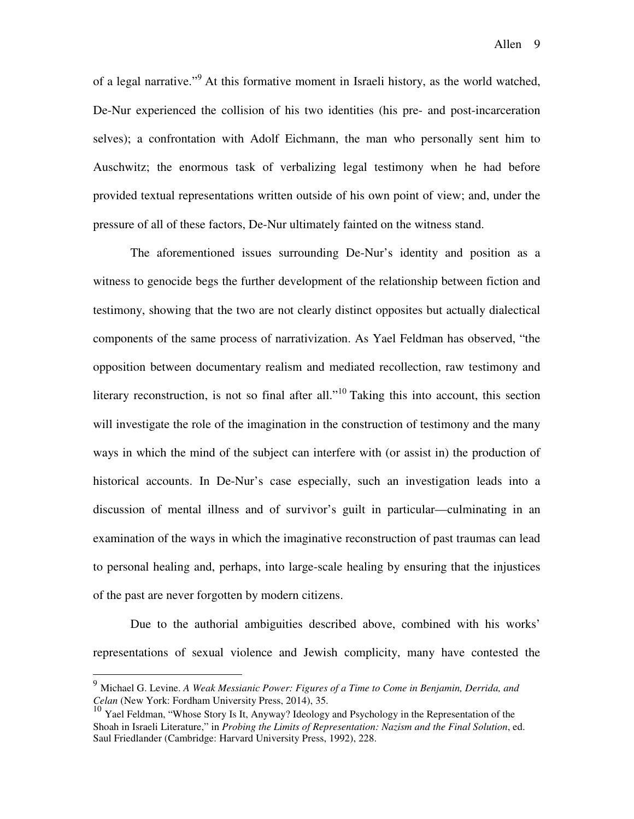of a legal narrative."<sup>9</sup> At this formative moment in Israeli history, as the world watched, De-Nur experienced the collision of his two identities (his pre- and post-incarceration selves); a confrontation with Adolf Eichmann, the man who personally sent him to Auschwitz; the enormous task of verbalizing legal testimony when he had before provided textual representations written outside of his own point of view; and, under the pressure of all of these factors, De-Nur ultimately fainted on the witness stand.

The aforementioned issues surrounding De-Nur's identity and position as a witness to genocide begs the further development of the relationship between fiction and testimony, showing that the two are not clearly distinct opposites but actually dialectical components of the same process of narrativization. As Yael Feldman has observed, "the opposition between documentary realism and mediated recollection, raw testimony and literary reconstruction, is not so final after all."<sup>10</sup> Taking this into account, this section will investigate the role of the imagination in the construction of testimony and the many ways in which the mind of the subject can interfere with (or assist in) the production of historical accounts. In De-Nur's case especially, such an investigation leads into a discussion of mental illness and of survivor's guilt in particular—culminating in an examination of the ways in which the imaginative reconstruction of past traumas can lead to personal healing and, perhaps, into large-scale healing by ensuring that the injustices of the past are never forgotten by modern citizens.

 Due to the authorial ambiguities described above, combined with his works' representations of sexual violence and Jewish complicity, many have contested the

 $\overline{a}$ 

<sup>9</sup> Michael G. Levine. *A Weak Messianic Power: Figures of a Time to Come in Benjamin, Derrida, and Celan* (New York: Fordham University Press, 2014), 35.

<sup>&</sup>lt;sup>10</sup> Yael Feldman, "Whose Story Is It, Anyway? Ideology and Psychology in the Representation of the Shoah in Israeli Literature," in *Probing the Limits of Representation: Nazism and the Final Solution*, ed. Saul Friedlander (Cambridge: Harvard University Press, 1992), 228.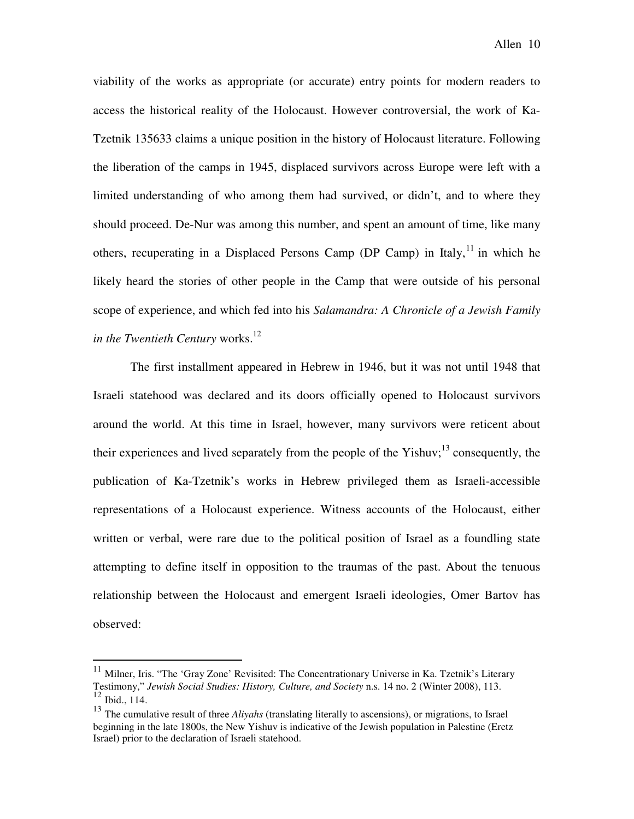viability of the works as appropriate (or accurate) entry points for modern readers to access the historical reality of the Holocaust. However controversial, the work of Ka-Tzetnik 135633 claims a unique position in the history of Holocaust literature. Following the liberation of the camps in 1945, displaced survivors across Europe were left with a limited understanding of who among them had survived, or didn't, and to where they should proceed. De-Nur was among this number, and spent an amount of time, like many others, recuperating in a Displaced Persons Camp (DP Camp) in Italy,  $\frac{11}{11}$  in which he likely heard the stories of other people in the Camp that were outside of his personal scope of experience, and which fed into his *Salamandra: A Chronicle of a Jewish Family in the Twentieth Century* works.<sup>12</sup>

The first installment appeared in Hebrew in 1946, but it was not until 1948 that Israeli statehood was declared and its doors officially opened to Holocaust survivors around the world. At this time in Israel, however, many survivors were reticent about their experiences and lived separately from the people of the Yishuv;<sup>13</sup> consequently, the publication of Ka-Tzetnik's works in Hebrew privileged them as Israeli-accessible representations of a Holocaust experience. Witness accounts of the Holocaust, either written or verbal, were rare due to the political position of Israel as a foundling state attempting to define itself in opposition to the traumas of the past. About the tenuous relationship between the Holocaust and emergent Israeli ideologies, Omer Bartov has observed:

 $11$  Milner, Iris. "The 'Gray Zone' Revisited: The Concentrationary Universe in Ka. Tzetnik's Literary Testimony," *Jewish Social Studies: History, Culture, and Society* n.s. 14 no. 2 (Winter 2008), 113.  $12$  Ibid., 114.

<sup>13</sup> The cumulative result of three *Aliyahs* (translating literally to ascensions), or migrations, to Israel beginning in the late 1800s, the New Yishuv is indicative of the Jewish population in Palestine (Eretz Israel) prior to the declaration of Israeli statehood.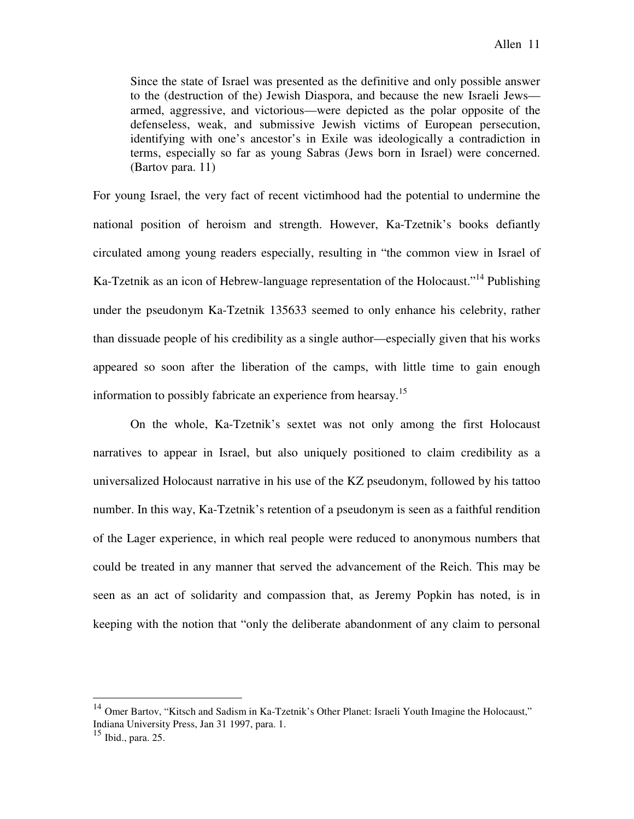Since the state of Israel was presented as the definitive and only possible answer to the (destruction of the) Jewish Diaspora, and because the new Israeli Jews armed, aggressive, and victorious—were depicted as the polar opposite of the defenseless, weak, and submissive Jewish victims of European persecution, identifying with one's ancestor's in Exile was ideologically a contradiction in terms, especially so far as young Sabras (Jews born in Israel) were concerned. (Bartov para. 11)

For young Israel, the very fact of recent victimhood had the potential to undermine the national position of heroism and strength. However, Ka-Tzetnik's books defiantly circulated among young readers especially, resulting in "the common view in Israel of Ka-Tzetnik as an icon of Hebrew-language representation of the Holocaust."<sup>14</sup> Publishing under the pseudonym Ka-Tzetnik 135633 seemed to only enhance his celebrity, rather than dissuade people of his credibility as a single author—especially given that his works appeared so soon after the liberation of the camps, with little time to gain enough information to possibly fabricate an experience from hearsay.<sup>15</sup>

On the whole, Ka-Tzetnik's sextet was not only among the first Holocaust narratives to appear in Israel, but also uniquely positioned to claim credibility as a universalized Holocaust narrative in his use of the KZ pseudonym, followed by his tattoo number. In this way, Ka-Tzetnik's retention of a pseudonym is seen as a faithful rendition of the Lager experience, in which real people were reduced to anonymous numbers that could be treated in any manner that served the advancement of the Reich. This may be seen as an act of solidarity and compassion that, as Jeremy Popkin has noted, is in keeping with the notion that "only the deliberate abandonment of any claim to personal

<sup>&</sup>lt;sup>14</sup> Omer Bartov, "Kitsch and Sadism in Ka-Tzetnik's Other Planet: Israeli Youth Imagine the Holocaust," Indiana University Press, Jan 31 1997, para. 1.

 $15$  Ibid., para. 25.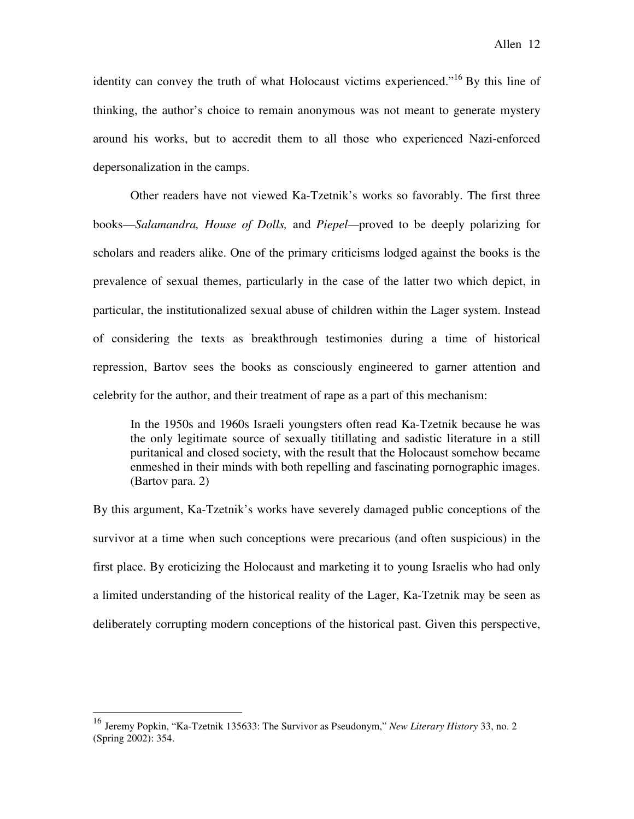identity can convey the truth of what Holocaust victims experienced."<sup>16</sup> By this line of thinking, the author's choice to remain anonymous was not meant to generate mystery around his works, but to accredit them to all those who experienced Nazi-enforced depersonalization in the camps.

 Other readers have not viewed Ka-Tzetnik's works so favorably. The first three books—*Salamandra, House of Dolls,* and *Piepel—*proved to be deeply polarizing for scholars and readers alike. One of the primary criticisms lodged against the books is the prevalence of sexual themes, particularly in the case of the latter two which depict, in particular, the institutionalized sexual abuse of children within the Lager system. Instead of considering the texts as breakthrough testimonies during a time of historical repression, Bartov sees the books as consciously engineered to garner attention and celebrity for the author, and their treatment of rape as a part of this mechanism:

In the 1950s and 1960s Israeli youngsters often read Ka-Tzetnik because he was the only legitimate source of sexually titillating and sadistic literature in a still puritanical and closed society, with the result that the Holocaust somehow became enmeshed in their minds with both repelling and fascinating pornographic images. (Bartov para. 2)

By this argument, Ka-Tzetnik's works have severely damaged public conceptions of the survivor at a time when such conceptions were precarious (and often suspicious) in the first place. By eroticizing the Holocaust and marketing it to young Israelis who had only a limited understanding of the historical reality of the Lager, Ka-Tzetnik may be seen as deliberately corrupting modern conceptions of the historical past. Given this perspective,

<sup>16</sup> Jeremy Popkin, "Ka-Tzetnik 135633: The Survivor as Pseudonym," *New Literary History* 33, no. 2 (Spring 2002): 354.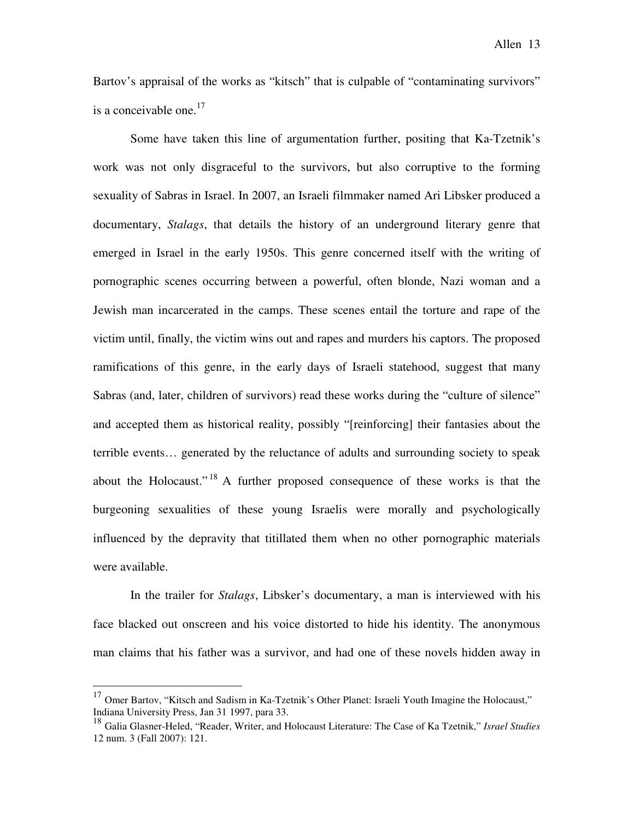Bartov's appraisal of the works as "kitsch" that is culpable of "contaminating survivors" is a conceivable one. $17$ 

Some have taken this line of argumentation further, positing that Ka-Tzetnik's work was not only disgraceful to the survivors, but also corruptive to the forming sexuality of Sabras in Israel. In 2007, an Israeli filmmaker named Ari Libsker produced a documentary, *Stalags*, that details the history of an underground literary genre that emerged in Israel in the early 1950s. This genre concerned itself with the writing of pornographic scenes occurring between a powerful, often blonde, Nazi woman and a Jewish man incarcerated in the camps. These scenes entail the torture and rape of the victim until, finally, the victim wins out and rapes and murders his captors. The proposed ramifications of this genre, in the early days of Israeli statehood, suggest that many Sabras (and, later, children of survivors) read these works during the "culture of silence" and accepted them as historical reality, possibly "[reinforcing] their fantasies about the terrible events… generated by the reluctance of adults and surrounding society to speak about the Holocaust." <sup>18</sup> A further proposed consequence of these works is that the burgeoning sexualities of these young Israelis were morally and psychologically influenced by the depravity that titillated them when no other pornographic materials were available.

In the trailer for *Stalags*, Libsker's documentary, a man is interviewed with his face blacked out onscreen and his voice distorted to hide his identity. The anonymous man claims that his father was a survivor, and had one of these novels hidden away in

<sup>&</sup>lt;sup>17</sup> Omer Bartov, "Kitsch and Sadism in Ka-Tzetnik's Other Planet: Israeli Youth Imagine the Holocaust," Indiana University Press, Jan 31 1997, para 33.

<sup>18</sup> Galia Glasner-Heled, "Reader, Writer, and Holocaust Literature: The Case of Ka Tzetnik," *Israel Studies*  12 num. 3 (Fall 2007): 121.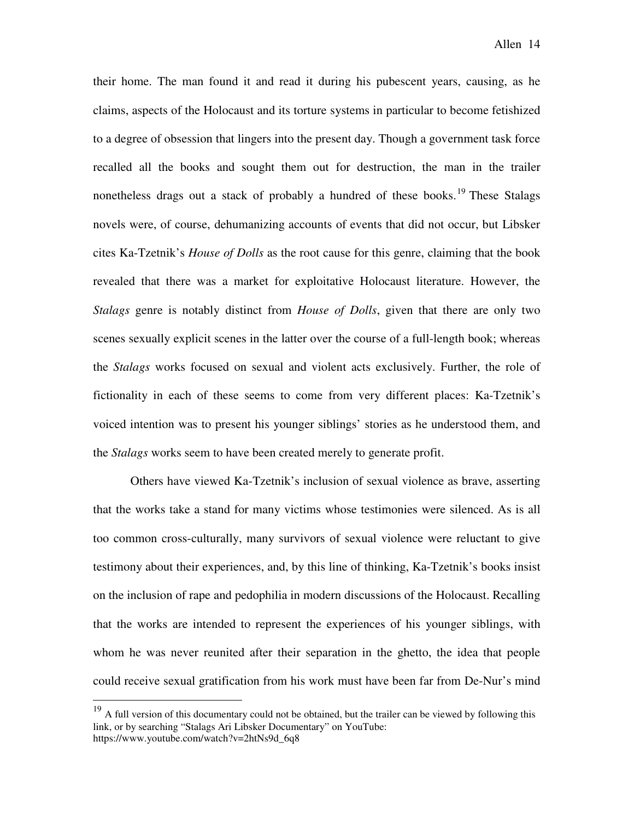their home. The man found it and read it during his pubescent years, causing, as he claims, aspects of the Holocaust and its torture systems in particular to become fetishized to a degree of obsession that lingers into the present day. Though a government task force recalled all the books and sought them out for destruction, the man in the trailer nonetheless drags out a stack of probably a hundred of these books.<sup>19</sup> These Stalags novels were, of course, dehumanizing accounts of events that did not occur, but Libsker cites Ka-Tzetnik's *House of Dolls* as the root cause for this genre, claiming that the book revealed that there was a market for exploitative Holocaust literature. However, the *Stalags* genre is notably distinct from *House of Dolls*, given that there are only two scenes sexually explicit scenes in the latter over the course of a full-length book; whereas the *Stalags* works focused on sexual and violent acts exclusively. Further, the role of fictionality in each of these seems to come from very different places: Ka-Tzetnik's voiced intention was to present his younger siblings' stories as he understood them, and the *Stalags* works seem to have been created merely to generate profit.

Others have viewed Ka-Tzetnik's inclusion of sexual violence as brave, asserting that the works take a stand for many victims whose testimonies were silenced. As is all too common cross-culturally, many survivors of sexual violence were reluctant to give testimony about their experiences, and, by this line of thinking, Ka-Tzetnik's books insist on the inclusion of rape and pedophilia in modern discussions of the Holocaust. Recalling that the works are intended to represent the experiences of his younger siblings, with whom he was never reunited after their separation in the ghetto, the idea that people could receive sexual gratification from his work must have been far from De-Nur's mind

 $\overline{a}$ 

 $19$  A full version of this documentary could not be obtained, but the trailer can be viewed by following this link, or by searching "Stalags Ari Libsker Documentary" on YouTube: https://www.youtube.com/watch?v=2htNs9d\_6q8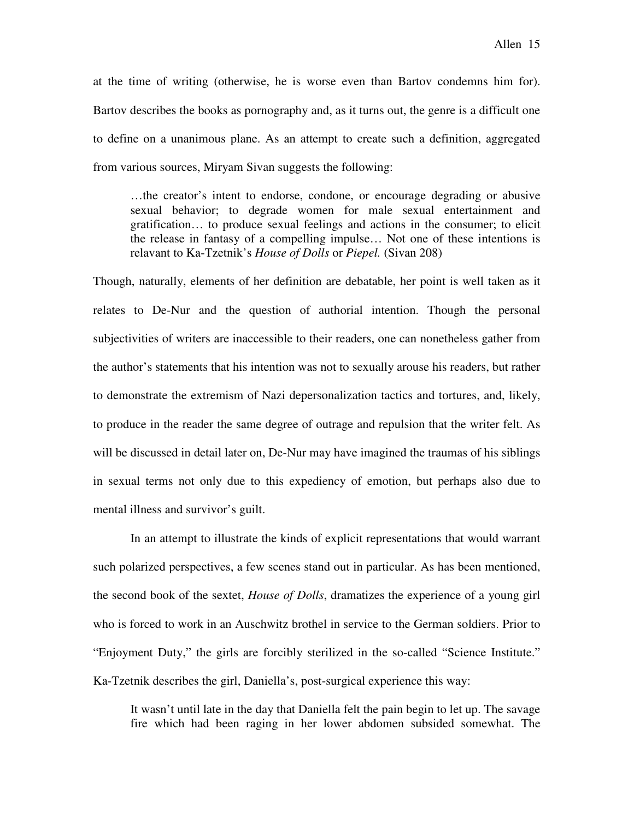at the time of writing (otherwise, he is worse even than Bartov condemns him for). Bartov describes the books as pornography and, as it turns out, the genre is a difficult one to define on a unanimous plane. As an attempt to create such a definition, aggregated from various sources, Miryam Sivan suggests the following:

…the creator's intent to endorse, condone, or encourage degrading or abusive sexual behavior; to degrade women for male sexual entertainment and gratification… to produce sexual feelings and actions in the consumer; to elicit the release in fantasy of a compelling impulse… Not one of these intentions is relavant to Ka-Tzetnik's *House of Dolls* or *Piepel.* (Sivan 208)

Though, naturally, elements of her definition are debatable, her point is well taken as it relates to De-Nur and the question of authorial intention. Though the personal subjectivities of writers are inaccessible to their readers, one can nonetheless gather from the author's statements that his intention was not to sexually arouse his readers, but rather to demonstrate the extremism of Nazi depersonalization tactics and tortures, and, likely, to produce in the reader the same degree of outrage and repulsion that the writer felt. As will be discussed in detail later on, De-Nur may have imagined the traumas of his siblings in sexual terms not only due to this expediency of emotion, but perhaps also due to mental illness and survivor's guilt.

 In an attempt to illustrate the kinds of explicit representations that would warrant such polarized perspectives, a few scenes stand out in particular. As has been mentioned, the second book of the sextet, *House of Dolls*, dramatizes the experience of a young girl who is forced to work in an Auschwitz brothel in service to the German soldiers. Prior to "Enjoyment Duty," the girls are forcibly sterilized in the so-called "Science Institute." Ka-Tzetnik describes the girl, Daniella's, post-surgical experience this way:

It wasn't until late in the day that Daniella felt the pain begin to let up. The savage fire which had been raging in her lower abdomen subsided somewhat. The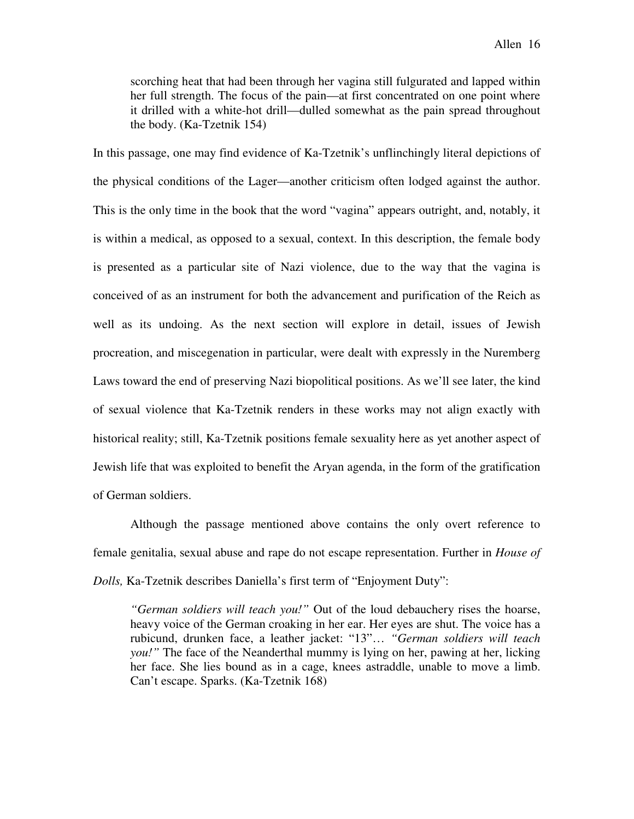scorching heat that had been through her vagina still fulgurated and lapped within her full strength. The focus of the pain—at first concentrated on one point where it drilled with a white-hot drill—dulled somewhat as the pain spread throughout the body. (Ka-Tzetnik 154)

In this passage, one may find evidence of Ka-Tzetnik's unflinchingly literal depictions of the physical conditions of the Lager—another criticism often lodged against the author. This is the only time in the book that the word "vagina" appears outright, and, notably, it is within a medical, as opposed to a sexual, context. In this description, the female body is presented as a particular site of Nazi violence, due to the way that the vagina is conceived of as an instrument for both the advancement and purification of the Reich as well as its undoing. As the next section will explore in detail, issues of Jewish procreation, and miscegenation in particular, were dealt with expressly in the Nuremberg Laws toward the end of preserving Nazi biopolitical positions. As we'll see later, the kind of sexual violence that Ka-Tzetnik renders in these works may not align exactly with historical reality; still, Ka-Tzetnik positions female sexuality here as yet another aspect of Jewish life that was exploited to benefit the Aryan agenda, in the form of the gratification of German soldiers.

 Although the passage mentioned above contains the only overt reference to female genitalia, sexual abuse and rape do not escape representation. Further in *House of Dolls,* Ka-Tzetnik describes Daniella's first term of "Enjoyment Duty":

*"German soldiers will teach you!"* Out of the loud debauchery rises the hoarse, heavy voice of the German croaking in her ear. Her eyes are shut. The voice has a rubicund, drunken face, a leather jacket: "13"… *"German soldiers will teach you!"* The face of the Neanderthal mummy is lying on her, pawing at her, licking her face. She lies bound as in a cage, knees astraddle, unable to move a limb. Can't escape. Sparks. (Ka-Tzetnik 168)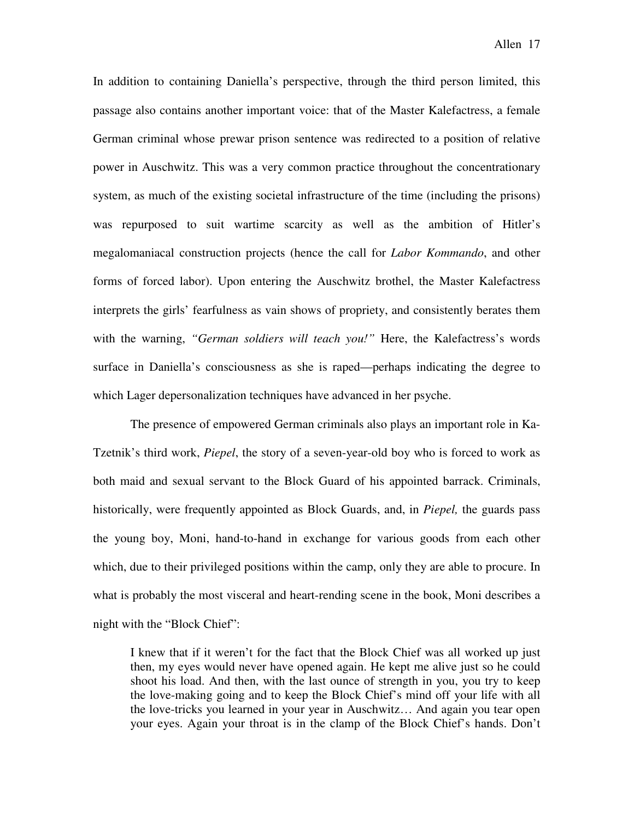In addition to containing Daniella's perspective, through the third person limited, this passage also contains another important voice: that of the Master Kalefactress, a female German criminal whose prewar prison sentence was redirected to a position of relative power in Auschwitz. This was a very common practice throughout the concentrationary system, as much of the existing societal infrastructure of the time (including the prisons) was repurposed to suit wartime scarcity as well as the ambition of Hitler's megalomaniacal construction projects (hence the call for *Labor Kommando*, and other forms of forced labor). Upon entering the Auschwitz brothel, the Master Kalefactress interprets the girls' fearfulness as vain shows of propriety, and consistently berates them with the warning, *"German soldiers will teach you!"* Here, the Kalefactress's words surface in Daniella's consciousness as she is raped—perhaps indicating the degree to which Lager depersonalization techniques have advanced in her psyche.

 The presence of empowered German criminals also plays an important role in Ka-Tzetnik's third work, *Piepel*, the story of a seven-year-old boy who is forced to work as both maid and sexual servant to the Block Guard of his appointed barrack. Criminals, historically, were frequently appointed as Block Guards, and, in *Piepel,* the guards pass the young boy, Moni, hand-to-hand in exchange for various goods from each other which, due to their privileged positions within the camp, only they are able to procure. In what is probably the most visceral and heart-rending scene in the book, Moni describes a night with the "Block Chief":

I knew that if it weren't for the fact that the Block Chief was all worked up just then, my eyes would never have opened again. He kept me alive just so he could shoot his load. And then, with the last ounce of strength in you, you try to keep the love-making going and to keep the Block Chief's mind off your life with all the love-tricks you learned in your year in Auschwitz… And again you tear open your eyes. Again your throat is in the clamp of the Block Chief's hands. Don't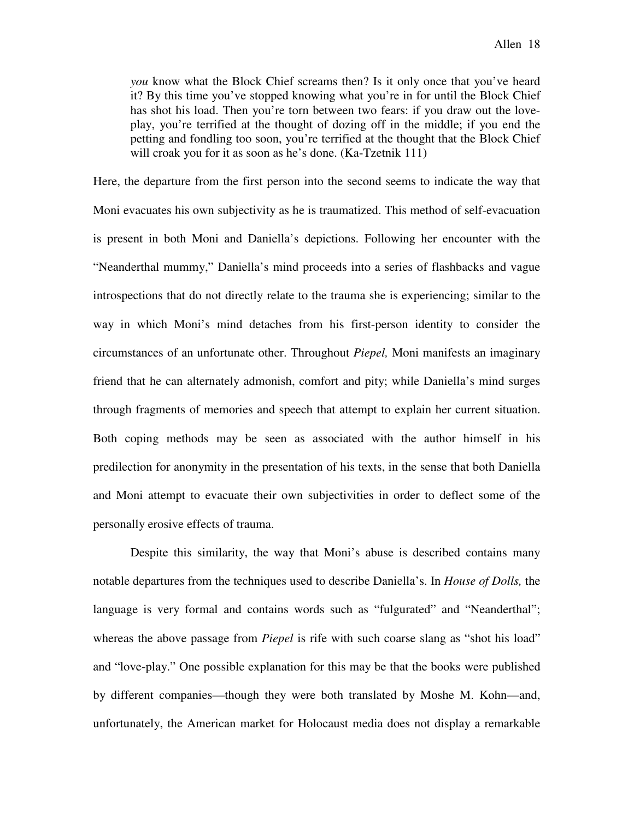*you* know what the Block Chief screams then? Is it only once that you've heard it? By this time you've stopped knowing what you're in for until the Block Chief has shot his load. Then you're torn between two fears: if you draw out the loveplay, you're terrified at the thought of dozing off in the middle; if you end the petting and fondling too soon, you're terrified at the thought that the Block Chief will croak you for it as soon as he's done. (Ka-Tzetnik 111)

Here, the departure from the first person into the second seems to indicate the way that Moni evacuates his own subjectivity as he is traumatized. This method of self-evacuation is present in both Moni and Daniella's depictions. Following her encounter with the "Neanderthal mummy," Daniella's mind proceeds into a series of flashbacks and vague introspections that do not directly relate to the trauma she is experiencing; similar to the way in which Moni's mind detaches from his first-person identity to consider the circumstances of an unfortunate other. Throughout *Piepel,* Moni manifests an imaginary friend that he can alternately admonish, comfort and pity; while Daniella's mind surges through fragments of memories and speech that attempt to explain her current situation. Both coping methods may be seen as associated with the author himself in his predilection for anonymity in the presentation of his texts, in the sense that both Daniella and Moni attempt to evacuate their own subjectivities in order to deflect some of the personally erosive effects of trauma.

Despite this similarity, the way that Moni's abuse is described contains many notable departures from the techniques used to describe Daniella's. In *House of Dolls,* the language is very formal and contains words such as "fulgurated" and "Neanderthal"; whereas the above passage from *Piepel* is rife with such coarse slang as "shot his load" and "love-play." One possible explanation for this may be that the books were published by different companies—though they were both translated by Moshe M. Kohn—and, unfortunately, the American market for Holocaust media does not display a remarkable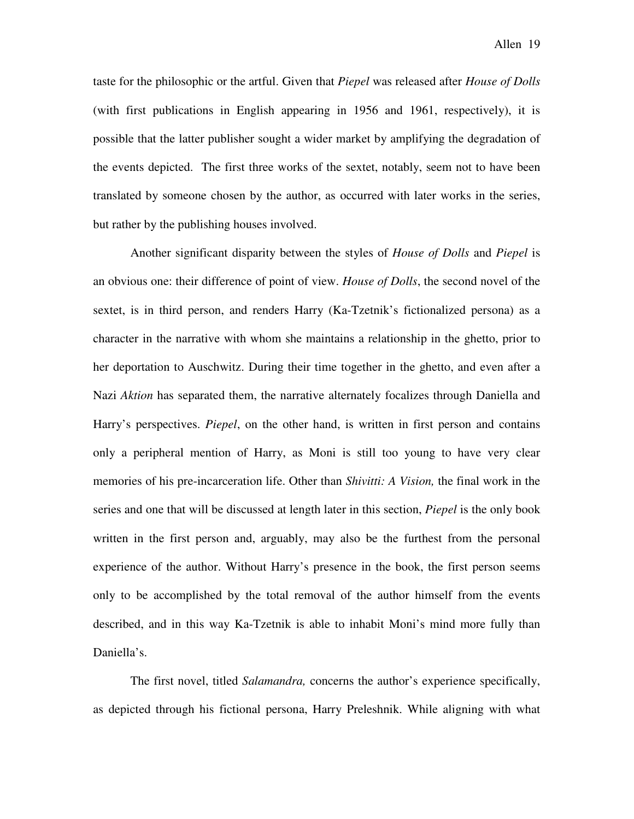taste for the philosophic or the artful. Given that *Piepel* was released after *House of Dolls*  (with first publications in English appearing in 1956 and 1961, respectively), it is possible that the latter publisher sought a wider market by amplifying the degradation of the events depicted. The first three works of the sextet, notably, seem not to have been translated by someone chosen by the author, as occurred with later works in the series, but rather by the publishing houses involved.

Another significant disparity between the styles of *House of Dolls* and *Piepel* is an obvious one: their difference of point of view. *House of Dolls*, the second novel of the sextet, is in third person, and renders Harry (Ka-Tzetnik's fictionalized persona) as a character in the narrative with whom she maintains a relationship in the ghetto, prior to her deportation to Auschwitz. During their time together in the ghetto, and even after a Nazi *Aktion* has separated them, the narrative alternately focalizes through Daniella and Harry's perspectives. *Piepel*, on the other hand, is written in first person and contains only a peripheral mention of Harry, as Moni is still too young to have very clear memories of his pre-incarceration life. Other than *Shivitti: A Vision,* the final work in the series and one that will be discussed at length later in this section, *Piepel* is the only book written in the first person and, arguably, may also be the furthest from the personal experience of the author. Without Harry's presence in the book, the first person seems only to be accomplished by the total removal of the author himself from the events described, and in this way Ka-Tzetnik is able to inhabit Moni's mind more fully than Daniella's.

The first novel, titled *Salamandra,* concerns the author's experience specifically, as depicted through his fictional persona, Harry Preleshnik. While aligning with what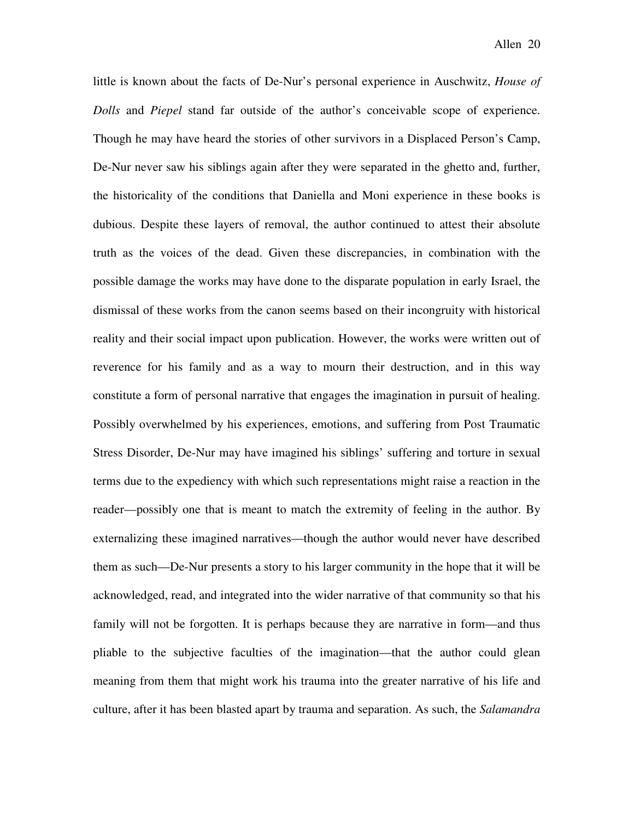little is known about the facts of De-Nur's personal experience in Auschwitz, *House of Dolls* and *Piepel* stand far outside of the author's conceivable scope of experience. Though he may have heard the stories of other survivors in a Displaced Person's Camp, De-Nur never saw his siblings again after they were separated in the ghetto and, further, the historicality of the conditions that Daniella and Moni experience in these books is dubious. Despite these layers of removal, the author continued to attest their absolute truth as the voices of the dead. Given these discrepancies, in combination with the possible damage the works may have done to the disparate population in early Israel, the dismissal of these works from the canon seems based on their incongruity with historical reality and their social impact upon publication. However, the works were written out of reverence for his family and as a way to mourn their destruction, and in this way constitute a form of personal narrative that engages the imagination in pursuit of healing. Possibly overwhelmed by his experiences, emotions, and suffering from Post Traumatic Stress Disorder, De-Nur may have imagined his siblings' suffering and torture in sexual terms due to the expediency with which such representations might raise a reaction in the reader—possibly one that is meant to match the extremity of feeling in the author. By externalizing these imagined narratives—though the author would never have described them as such—De-Nur presents a story to his larger community in the hope that it will be acknowledged, read, and integrated into the wider narrative of that community so that his family will not be forgotten. It is perhaps because they are narrative in form—and thus pliable to the subjective faculties of the imagination—that the author could glean meaning from them that might work his trauma into the greater narrative of his life and culture, after it has been blasted apart by trauma and separation. As such, the *Salamandra*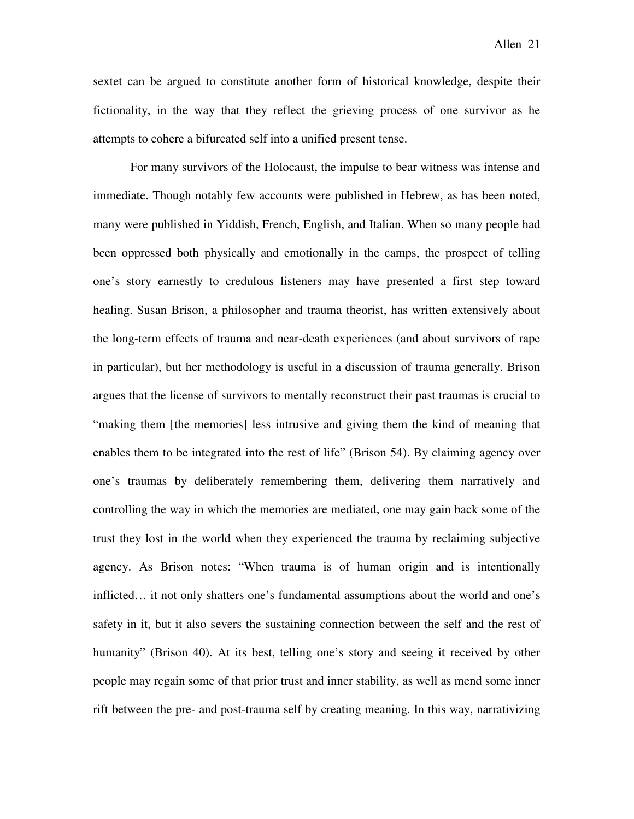sextet can be argued to constitute another form of historical knowledge, despite their fictionality, in the way that they reflect the grieving process of one survivor as he attempts to cohere a bifurcated self into a unified present tense.

 For many survivors of the Holocaust, the impulse to bear witness was intense and immediate. Though notably few accounts were published in Hebrew, as has been noted, many were published in Yiddish, French, English, and Italian. When so many people had been oppressed both physically and emotionally in the camps, the prospect of telling one's story earnestly to credulous listeners may have presented a first step toward healing. Susan Brison, a philosopher and trauma theorist, has written extensively about the long-term effects of trauma and near-death experiences (and about survivors of rape in particular), but her methodology is useful in a discussion of trauma generally. Brison argues that the license of survivors to mentally reconstruct their past traumas is crucial to "making them [the memories] less intrusive and giving them the kind of meaning that enables them to be integrated into the rest of life" (Brison 54). By claiming agency over one's traumas by deliberately remembering them, delivering them narratively and controlling the way in which the memories are mediated, one may gain back some of the trust they lost in the world when they experienced the trauma by reclaiming subjective agency. As Brison notes: "When trauma is of human origin and is intentionally inflicted… it not only shatters one's fundamental assumptions about the world and one's safety in it, but it also severs the sustaining connection between the self and the rest of humanity" (Brison 40). At its best, telling one's story and seeing it received by other people may regain some of that prior trust and inner stability, as well as mend some inner rift between the pre- and post-trauma self by creating meaning. In this way, narrativizing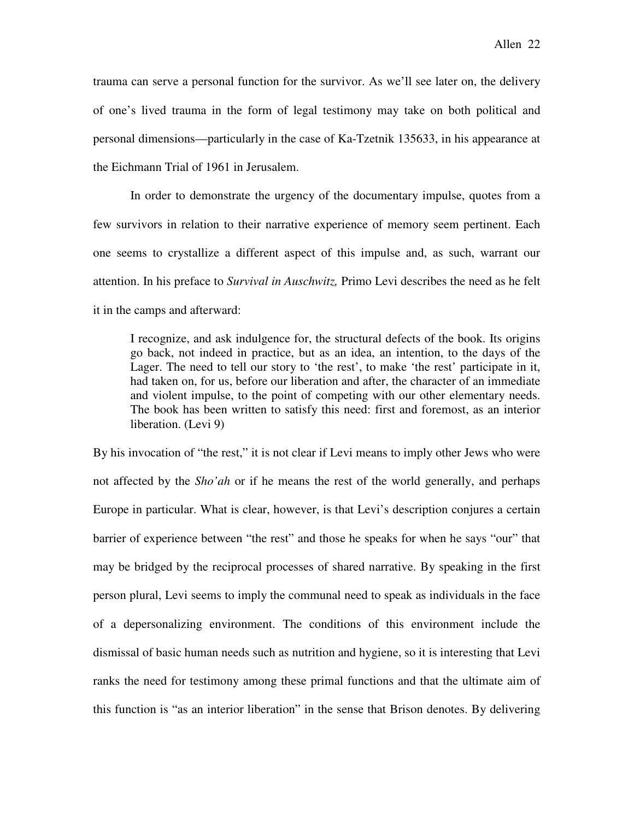trauma can serve a personal function for the survivor. As we'll see later on, the delivery of one's lived trauma in the form of legal testimony may take on both political and personal dimensions—particularly in the case of Ka-Tzetnik 135633, in his appearance at the Eichmann Trial of 1961 in Jerusalem.

 In order to demonstrate the urgency of the documentary impulse, quotes from a few survivors in relation to their narrative experience of memory seem pertinent. Each one seems to crystallize a different aspect of this impulse and, as such, warrant our attention. In his preface to *Survival in Auschwitz,* Primo Levi describes the need as he felt it in the camps and afterward:

I recognize, and ask indulgence for, the structural defects of the book. Its origins go back, not indeed in practice, but as an idea, an intention, to the days of the Lager. The need to tell our story to 'the rest', to make 'the rest' participate in it, had taken on, for us, before our liberation and after, the character of an immediate and violent impulse, to the point of competing with our other elementary needs. The book has been written to satisfy this need: first and foremost, as an interior liberation. (Levi 9)

By his invocation of "the rest," it is not clear if Levi means to imply other Jews who were not affected by the *Sho'ah* or if he means the rest of the world generally, and perhaps Europe in particular. What is clear, however, is that Levi's description conjures a certain barrier of experience between "the rest" and those he speaks for when he says "our" that may be bridged by the reciprocal processes of shared narrative. By speaking in the first person plural, Levi seems to imply the communal need to speak as individuals in the face of a depersonalizing environment. The conditions of this environment include the dismissal of basic human needs such as nutrition and hygiene, so it is interesting that Levi ranks the need for testimony among these primal functions and that the ultimate aim of this function is "as an interior liberation" in the sense that Brison denotes. By delivering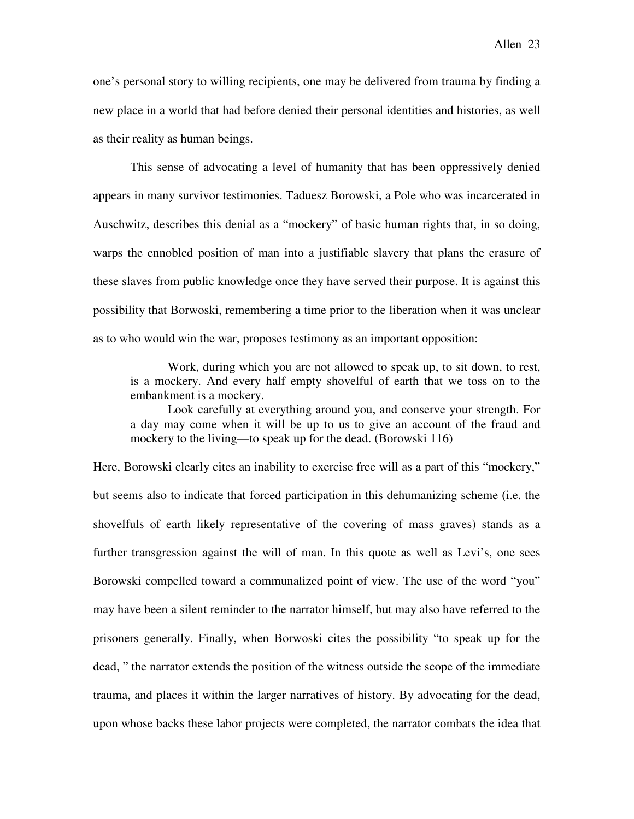one's personal story to willing recipients, one may be delivered from trauma by finding a new place in a world that had before denied their personal identities and histories, as well as their reality as human beings.

 This sense of advocating a level of humanity that has been oppressively denied appears in many survivor testimonies. Taduesz Borowski, a Pole who was incarcerated in Auschwitz, describes this denial as a "mockery" of basic human rights that, in so doing, warps the ennobled position of man into a justifiable slavery that plans the erasure of these slaves from public knowledge once they have served their purpose. It is against this possibility that Borwoski, remembering a time prior to the liberation when it was unclear as to who would win the war, proposes testimony as an important opposition:

Work, during which you are not allowed to speak up, to sit down, to rest, is a mockery. And every half empty shovelful of earth that we toss on to the embankment is a mockery.

Look carefully at everything around you, and conserve your strength. For a day may come when it will be up to us to give an account of the fraud and mockery to the living—to speak up for the dead. (Borowski 116)

Here, Borowski clearly cites an inability to exercise free will as a part of this "mockery," but seems also to indicate that forced participation in this dehumanizing scheme (i.e. the shovelfuls of earth likely representative of the covering of mass graves) stands as a further transgression against the will of man. In this quote as well as Levi's, one sees Borowski compelled toward a communalized point of view. The use of the word "you" may have been a silent reminder to the narrator himself, but may also have referred to the prisoners generally. Finally, when Borwoski cites the possibility "to speak up for the dead, " the narrator extends the position of the witness outside the scope of the immediate trauma, and places it within the larger narratives of history. By advocating for the dead, upon whose backs these labor projects were completed, the narrator combats the idea that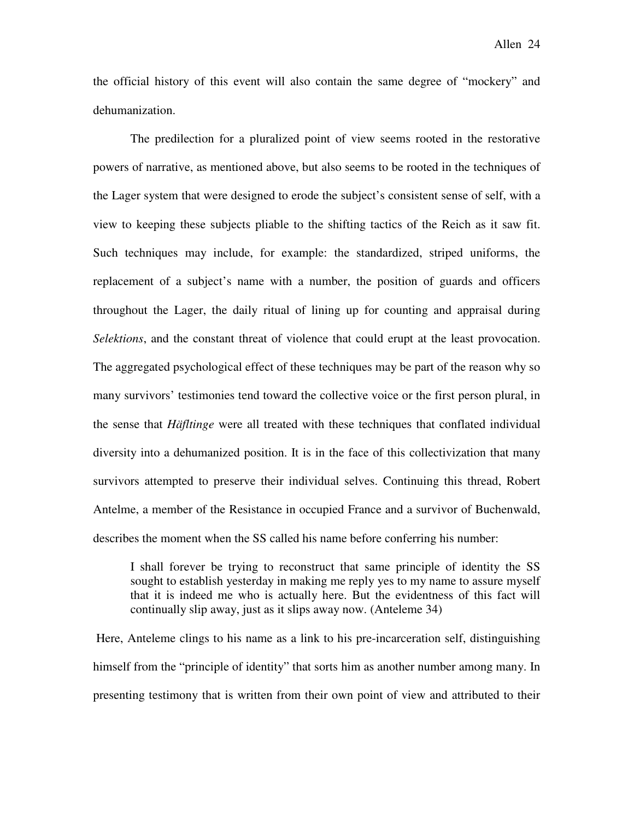the official history of this event will also contain the same degree of "mockery" and dehumanization.

 The predilection for a pluralized point of view seems rooted in the restorative powers of narrative, as mentioned above, but also seems to be rooted in the techniques of the Lager system that were designed to erode the subject's consistent sense of self, with a view to keeping these subjects pliable to the shifting tactics of the Reich as it saw fit. Such techniques may include, for example: the standardized, striped uniforms, the replacement of a subject's name with a number, the position of guards and officers throughout the Lager, the daily ritual of lining up for counting and appraisal during *Selektions*, and the constant threat of violence that could erupt at the least provocation. The aggregated psychological effect of these techniques may be part of the reason why so many survivors' testimonies tend toward the collective voice or the first person plural, in the sense that *Häfltinge* were all treated with these techniques that conflated individual diversity into a dehumanized position. It is in the face of this collectivization that many survivors attempted to preserve their individual selves. Continuing this thread, Robert Antelme, a member of the Resistance in occupied France and a survivor of Buchenwald, describes the moment when the SS called his name before conferring his number:

I shall forever be trying to reconstruct that same principle of identity the SS sought to establish yesterday in making me reply yes to my name to assure myself that it is indeed me who is actually here. But the evidentness of this fact will continually slip away, just as it slips away now. (Anteleme 34)

 Here, Anteleme clings to his name as a link to his pre-incarceration self, distinguishing himself from the "principle of identity" that sorts him as another number among many. In presenting testimony that is written from their own point of view and attributed to their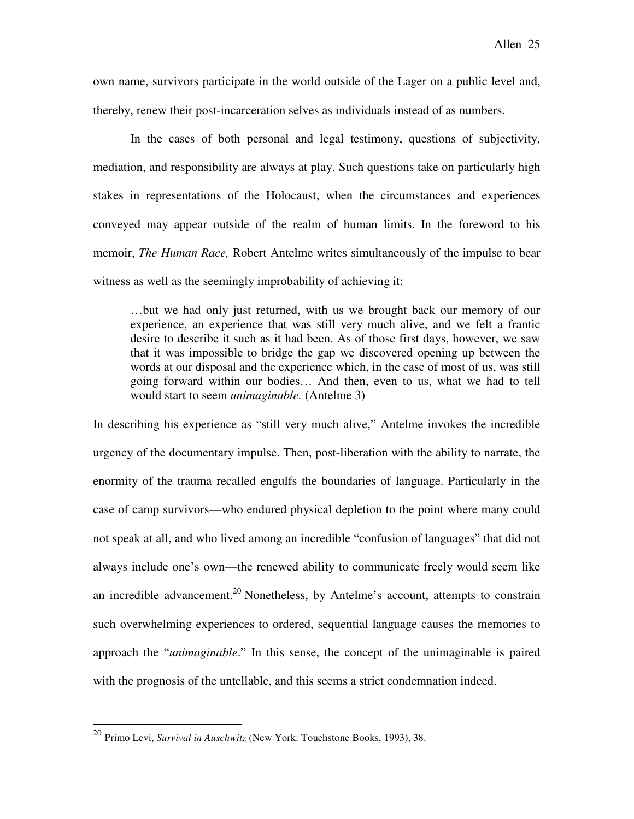own name, survivors participate in the world outside of the Lager on a public level and, thereby, renew their post-incarceration selves as individuals instead of as numbers.

In the cases of both personal and legal testimony, questions of subjectivity, mediation, and responsibility are always at play. Such questions take on particularly high stakes in representations of the Holocaust, when the circumstances and experiences conveyed may appear outside of the realm of human limits. In the foreword to his memoir, *The Human Race,* Robert Antelme writes simultaneously of the impulse to bear witness as well as the seemingly improbability of achieving it:

…but we had only just returned, with us we brought back our memory of our experience, an experience that was still very much alive, and we felt a frantic desire to describe it such as it had been. As of those first days, however, we saw that it was impossible to bridge the gap we discovered opening up between the words at our disposal and the experience which, in the case of most of us, was still going forward within our bodies… And then, even to us, what we had to tell would start to seem *unimaginable.* (Antelme 3)

In describing his experience as "still very much alive," Antelme invokes the incredible urgency of the documentary impulse. Then, post-liberation with the ability to narrate, the enormity of the trauma recalled engulfs the boundaries of language. Particularly in the case of camp survivors—who endured physical depletion to the point where many could not speak at all, and who lived among an incredible "confusion of languages" that did not always include one's own—the renewed ability to communicate freely would seem like an incredible advancement.<sup>20</sup> Nonetheless, by Antelme's account, attempts to constrain such overwhelming experiences to ordered, sequential language causes the memories to approach the "*unimaginable*." In this sense, the concept of the unimaginable is paired with the prognosis of the untellable, and this seems a strict condemnation indeed.

<u>.</u>

<sup>20</sup> Primo Levi, *Survival in Auschwitz* (New York: Touchstone Books, 1993), 38.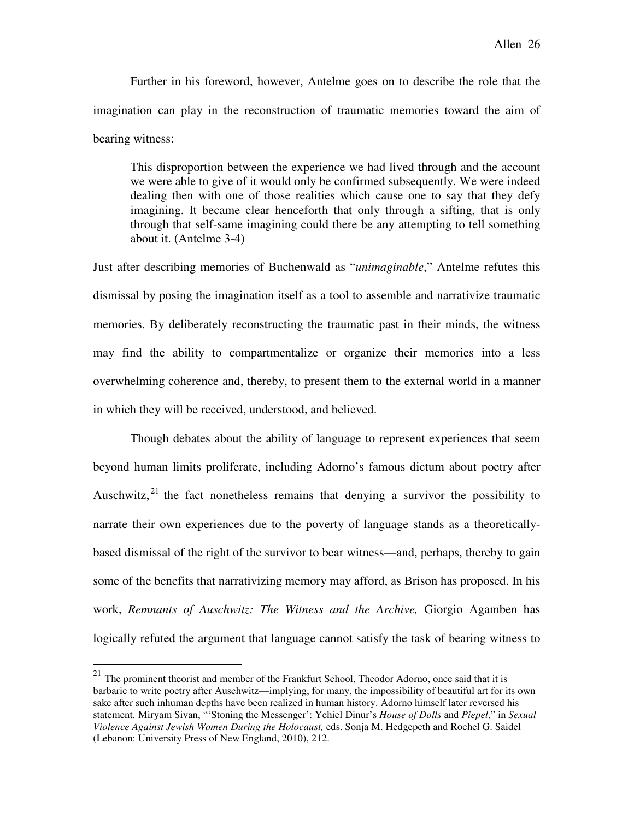Further in his foreword, however, Antelme goes on to describe the role that the imagination can play in the reconstruction of traumatic memories toward the aim of bearing witness:

 This disproportion between the experience we had lived through and the account we were able to give of it would only be confirmed subsequently. We were indeed dealing then with one of those realities which cause one to say that they defy imagining. It became clear henceforth that only through a sifting, that is only through that self-same imagining could there be any attempting to tell something about it. (Antelme 3-4)

Just after describing memories of Buchenwald as "*unimaginable*," Antelme refutes this dismissal by posing the imagination itself as a tool to assemble and narrativize traumatic memories. By deliberately reconstructing the traumatic past in their minds, the witness may find the ability to compartmentalize or organize their memories into a less overwhelming coherence and, thereby, to present them to the external world in a manner in which they will be received, understood, and believed.

Though debates about the ability of language to represent experiences that seem beyond human limits proliferate, including Adorno's famous dictum about poetry after Auschwitz,  $2^{1}$  the fact nonetheless remains that denying a survivor the possibility to narrate their own experiences due to the poverty of language stands as a theoreticallybased dismissal of the right of the survivor to bear witness—and, perhaps, thereby to gain some of the benefits that narrativizing memory may afford, as Brison has proposed. In his work, *Remnants of Auschwitz: The Witness and the Archive,* Giorgio Agamben has logically refuted the argument that language cannot satisfy the task of bearing witness to

 $21$  The prominent theorist and member of the Frankfurt School, Theodor Adorno, once said that it is barbaric to write poetry after Auschwitz—implying, for many, the impossibility of beautiful art for its own sake after such inhuman depths have been realized in human history. Adorno himself later reversed his statement. Miryam Sivan, "'Stoning the Messenger': Yehiel Dinur's *House of Dolls* and *Piepel*," in *Sexual Violence Against Jewish Women During the Holocaust,* eds. Sonja M. Hedgepeth and Rochel G. Saidel (Lebanon: University Press of New England, 2010), 212.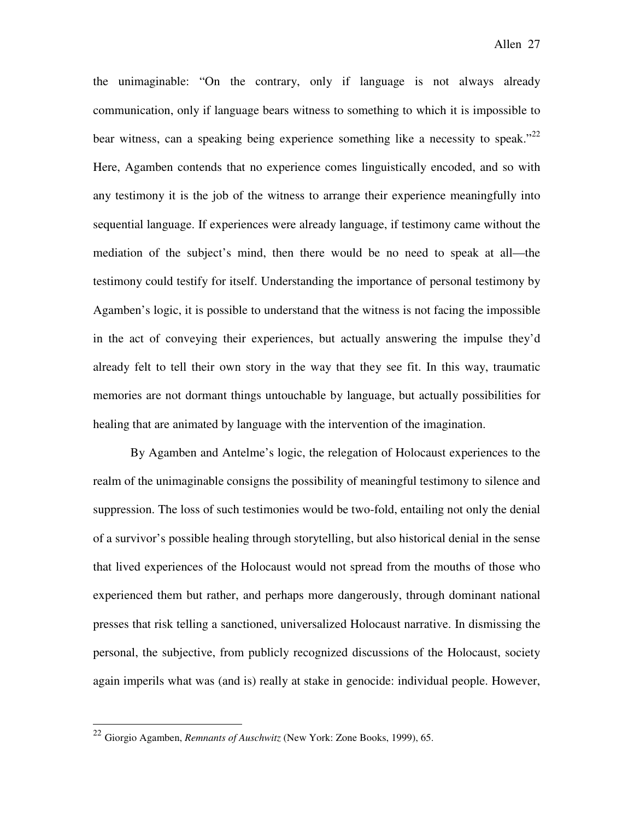the unimaginable: "On the contrary, only if language is not always already communication, only if language bears witness to something to which it is impossible to bear witness, can a speaking being experience something like a necessity to speak."<sup>22</sup> Here, Agamben contends that no experience comes linguistically encoded, and so with any testimony it is the job of the witness to arrange their experience meaningfully into sequential language. If experiences were already language, if testimony came without the mediation of the subject's mind, then there would be no need to speak at all—the testimony could testify for itself. Understanding the importance of personal testimony by Agamben's logic, it is possible to understand that the witness is not facing the impossible in the act of conveying their experiences, but actually answering the impulse they'd already felt to tell their own story in the way that they see fit. In this way, traumatic memories are not dormant things untouchable by language, but actually possibilities for healing that are animated by language with the intervention of the imagination.

By Agamben and Antelme's logic, the relegation of Holocaust experiences to the realm of the unimaginable consigns the possibility of meaningful testimony to silence and suppression. The loss of such testimonies would be two-fold, entailing not only the denial of a survivor's possible healing through storytelling, but also historical denial in the sense that lived experiences of the Holocaust would not spread from the mouths of those who experienced them but rather, and perhaps more dangerously, through dominant national presses that risk telling a sanctioned, universalized Holocaust narrative. In dismissing the personal, the subjective, from publicly recognized discussions of the Holocaust, society again imperils what was (and is) really at stake in genocide: individual people. However,

<u>.</u>

<sup>22</sup> Giorgio Agamben, *Remnants of Auschwitz* (New York: Zone Books, 1999), 65.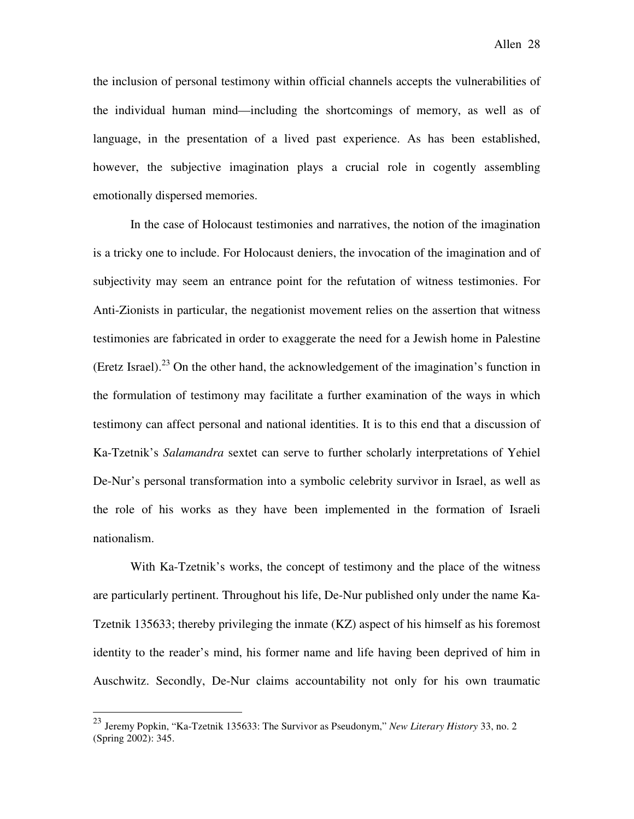the inclusion of personal testimony within official channels accepts the vulnerabilities of the individual human mind—including the shortcomings of memory, as well as of language, in the presentation of a lived past experience. As has been established, however, the subjective imagination plays a crucial role in cogently assembling emotionally dispersed memories.

In the case of Holocaust testimonies and narratives, the notion of the imagination is a tricky one to include. For Holocaust deniers, the invocation of the imagination and of subjectivity may seem an entrance point for the refutation of witness testimonies. For Anti-Zionists in particular, the negationist movement relies on the assertion that witness testimonies are fabricated in order to exaggerate the need for a Jewish home in Palestine (Eretz Israel).<sup>23</sup> On the other hand, the acknowledgement of the imagination's function in the formulation of testimony may facilitate a further examination of the ways in which testimony can affect personal and national identities. It is to this end that a discussion of Ka-Tzetnik's *Salamandra* sextet can serve to further scholarly interpretations of Yehiel De-Nur's personal transformation into a symbolic celebrity survivor in Israel, as well as the role of his works as they have been implemented in the formation of Israeli nationalism.

With Ka-Tzetnik's works, the concept of testimony and the place of the witness are particularly pertinent. Throughout his life, De-Nur published only under the name Ka-Tzetnik 135633; thereby privileging the inmate (KZ) aspect of his himself as his foremost identity to the reader's mind, his former name and life having been deprived of him in Auschwitz. Secondly, De-Nur claims accountability not only for his own traumatic

<sup>23</sup> Jeremy Popkin, "Ka-Tzetnik 135633: The Survivor as Pseudonym," *New Literary History* 33, no. 2 (Spring 2002): 345.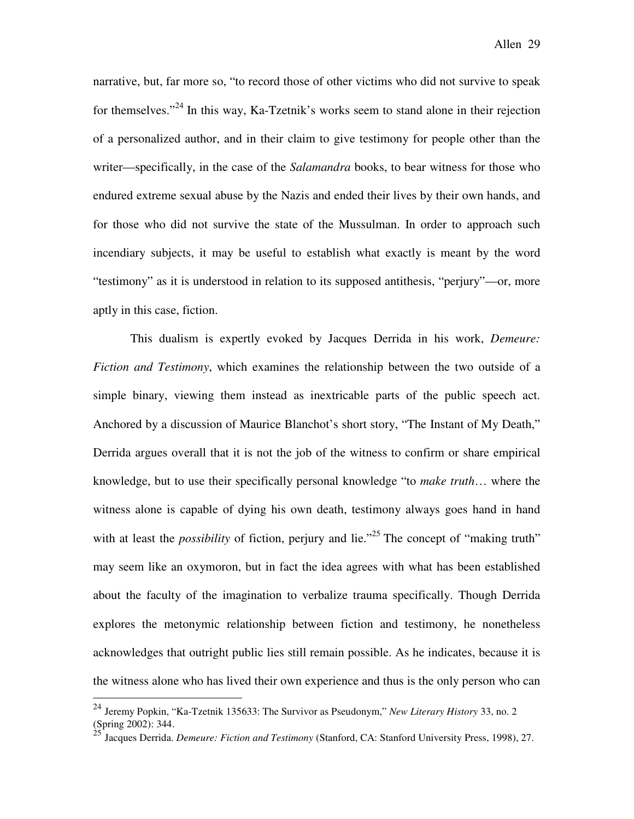narrative, but, far more so, "to record those of other victims who did not survive to speak for themselves."<sup>24</sup> In this way, Ka-Tzetnik's works seem to stand alone in their rejection of a personalized author, and in their claim to give testimony for people other than the writer—specifically, in the case of the *Salamandra* books, to bear witness for those who endured extreme sexual abuse by the Nazis and ended their lives by their own hands, and for those who did not survive the state of the Mussulman. In order to approach such incendiary subjects, it may be useful to establish what exactly is meant by the word "testimony" as it is understood in relation to its supposed antithesis, "perjury"—or, more aptly in this case, fiction.

This dualism is expertly evoked by Jacques Derrida in his work, *Demeure: Fiction and Testimony*, which examines the relationship between the two outside of a simple binary, viewing them instead as inextricable parts of the public speech act. Anchored by a discussion of Maurice Blanchot's short story, "The Instant of My Death," Derrida argues overall that it is not the job of the witness to confirm or share empirical knowledge, but to use their specifically personal knowledge "to *make truth*… where the witness alone is capable of dying his own death, testimony always goes hand in hand with at least the *possibility* of fiction, perjury and lie."<sup>25</sup> The concept of "making truth" may seem like an oxymoron, but in fact the idea agrees with what has been established about the faculty of the imagination to verbalize trauma specifically. Though Derrida explores the metonymic relationship between fiction and testimony, he nonetheless acknowledges that outright public lies still remain possible. As he indicates, because it is the witness alone who has lived their own experience and thus is the only person who can

<sup>24</sup> Jeremy Popkin, "Ka-Tzetnik 135633: The Survivor as Pseudonym," *New Literary History* 33, no. 2 (Spring 2002): 344.

<sup>25</sup> Jacques Derrida. *Demeure: Fiction and Testimony* (Stanford, CA: Stanford University Press, 1998), 27.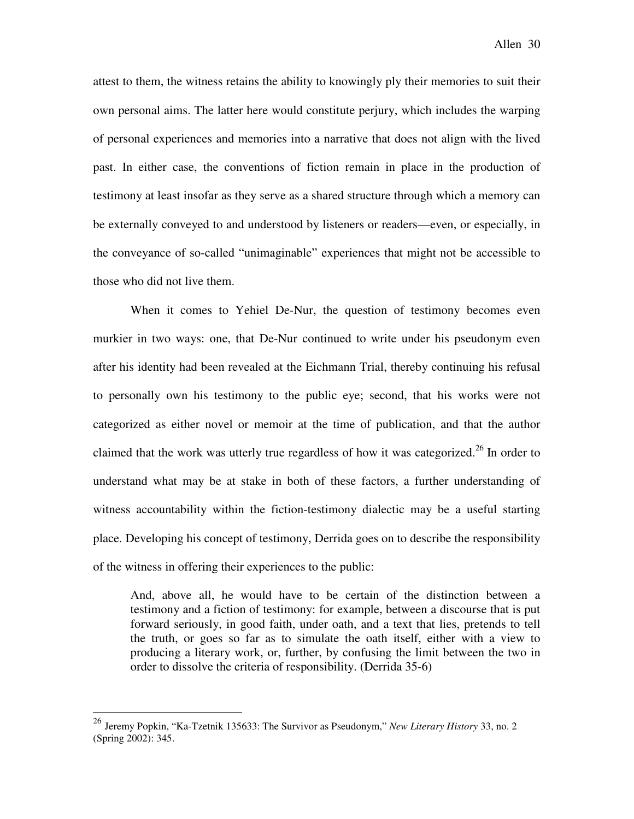attest to them, the witness retains the ability to knowingly ply their memories to suit their own personal aims. The latter here would constitute perjury, which includes the warping of personal experiences and memories into a narrative that does not align with the lived past. In either case, the conventions of fiction remain in place in the production of testimony at least insofar as they serve as a shared structure through which a memory can be externally conveyed to and understood by listeners or readers—even, or especially, in the conveyance of so-called "unimaginable" experiences that might not be accessible to those who did not live them.

When it comes to Yehiel De-Nur, the question of testimony becomes even murkier in two ways: one, that De-Nur continued to write under his pseudonym even after his identity had been revealed at the Eichmann Trial, thereby continuing his refusal to personally own his testimony to the public eye; second, that his works were not categorized as either novel or memoir at the time of publication, and that the author claimed that the work was utterly true regardless of how it was categorized.<sup>26</sup> In order to understand what may be at stake in both of these factors, a further understanding of witness accountability within the fiction-testimony dialectic may be a useful starting place. Developing his concept of testimony, Derrida goes on to describe the responsibility of the witness in offering their experiences to the public:

And, above all, he would have to be certain of the distinction between a testimony and a fiction of testimony: for example, between a discourse that is put forward seriously, in good faith, under oath, and a text that lies, pretends to tell the truth, or goes so far as to simulate the oath itself, either with a view to producing a literary work, or, further, by confusing the limit between the two in order to dissolve the criteria of responsibility. (Derrida 35-6)

 $\overline{a}$ 

<sup>26</sup> Jeremy Popkin, "Ka-Tzetnik 135633: The Survivor as Pseudonym," *New Literary History* 33, no. 2 (Spring 2002): 345.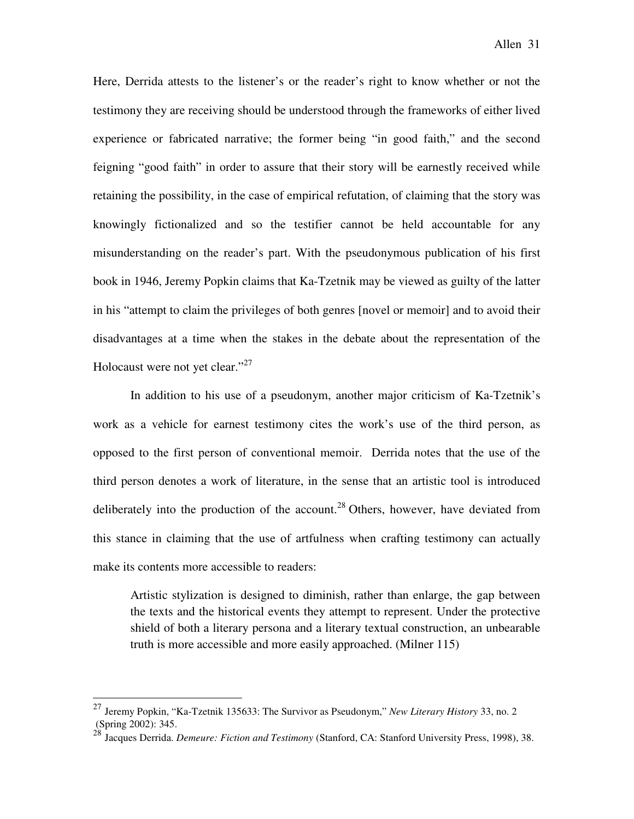Here, Derrida attests to the listener's or the reader's right to know whether or not the testimony they are receiving should be understood through the frameworks of either lived experience or fabricated narrative; the former being "in good faith," and the second feigning "good faith" in order to assure that their story will be earnestly received while retaining the possibility, in the case of empirical refutation, of claiming that the story was knowingly fictionalized and so the testifier cannot be held accountable for any misunderstanding on the reader's part. With the pseudonymous publication of his first book in 1946, Jeremy Popkin claims that Ka-Tzetnik may be viewed as guilty of the latter in his "attempt to claim the privileges of both genres [novel or memoir] and to avoid their disadvantages at a time when the stakes in the debate about the representation of the Holocaust were not yet clear."<sup>27</sup>

 In addition to his use of a pseudonym, another major criticism of Ka-Tzetnik's work as a vehicle for earnest testimony cites the work's use of the third person, as opposed to the first person of conventional memoir. Derrida notes that the use of the third person denotes a work of literature, in the sense that an artistic tool is introduced deliberately into the production of the account.<sup>28</sup> Others, however, have deviated from this stance in claiming that the use of artfulness when crafting testimony can actually make its contents more accessible to readers:

Artistic stylization is designed to diminish, rather than enlarge, the gap between the texts and the historical events they attempt to represent. Under the protective shield of both a literary persona and a literary textual construction, an unbearable truth is more accessible and more easily approached. (Milner 115)

<sup>27</sup> Jeremy Popkin, "Ka-Tzetnik 135633: The Survivor as Pseudonym," *New Literary History* 33, no. 2 (Spring 2002): 345.

<sup>28</sup> Jacques Derrida. *Demeure: Fiction and Testimony* (Stanford, CA: Stanford University Press, 1998), 38.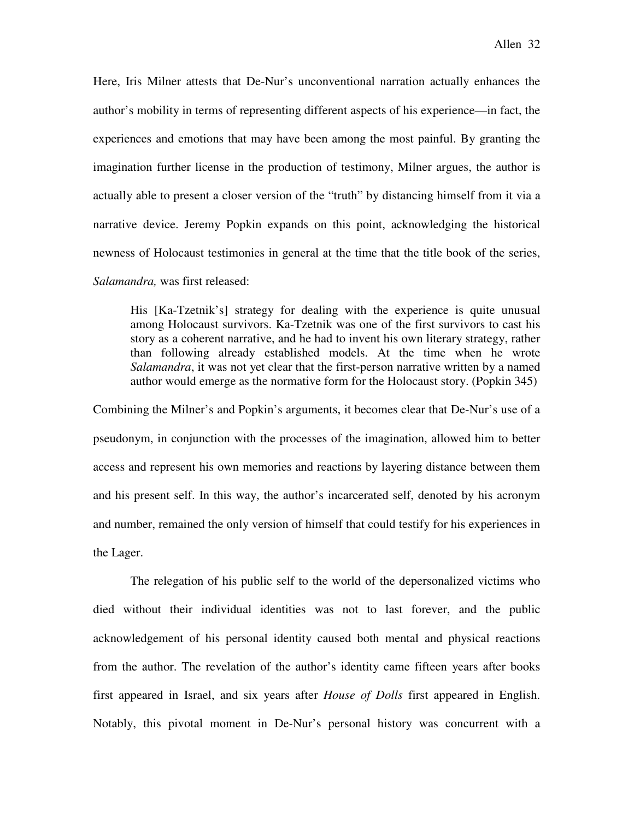Here, Iris Milner attests that De-Nur's unconventional narration actually enhances the author's mobility in terms of representing different aspects of his experience—in fact, the experiences and emotions that may have been among the most painful. By granting the imagination further license in the production of testimony, Milner argues, the author is actually able to present a closer version of the "truth" by distancing himself from it via a narrative device. Jeremy Popkin expands on this point, acknowledging the historical newness of Holocaust testimonies in general at the time that the title book of the series, *Salamandra,* was first released:

His [Ka-Tzetnik's] strategy for dealing with the experience is quite unusual among Holocaust survivors. Ka-Tzetnik was one of the first survivors to cast his story as a coherent narrative, and he had to invent his own literary strategy, rather than following already established models. At the time when he wrote *Salamandra*, it was not yet clear that the first-person narrative written by a named author would emerge as the normative form for the Holocaust story. (Popkin 345)

Combining the Milner's and Popkin's arguments, it becomes clear that De-Nur's use of a pseudonym, in conjunction with the processes of the imagination, allowed him to better access and represent his own memories and reactions by layering distance between them and his present self. In this way, the author's incarcerated self, denoted by his acronym and number, remained the only version of himself that could testify for his experiences in the Lager.

 The relegation of his public self to the world of the depersonalized victims who died without their individual identities was not to last forever, and the public acknowledgement of his personal identity caused both mental and physical reactions from the author. The revelation of the author's identity came fifteen years after books first appeared in Israel, and six years after *House of Dolls* first appeared in English. Notably, this pivotal moment in De-Nur's personal history was concurrent with a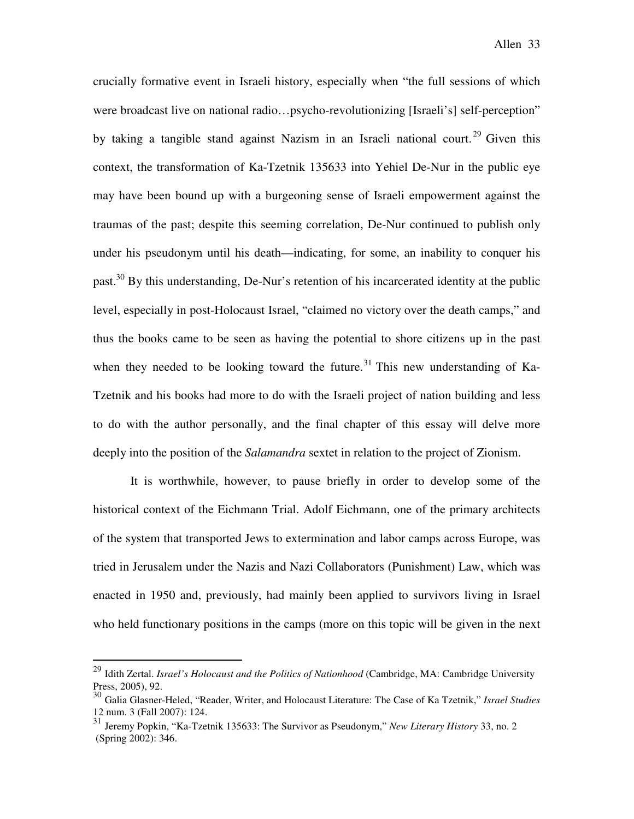crucially formative event in Israeli history, especially when "the full sessions of which were broadcast live on national radio...psycho-revolutionizing [Israeli's] self-perception" by taking a tangible stand against Nazism in an Israeli national court.<sup>29</sup> Given this context, the transformation of Ka-Tzetnik 135633 into Yehiel De-Nur in the public eye may have been bound up with a burgeoning sense of Israeli empowerment against the traumas of the past; despite this seeming correlation, De-Nur continued to publish only under his pseudonym until his death—indicating, for some, an inability to conquer his past.<sup>30</sup> By this understanding, De-Nur's retention of his incarcerated identity at the public level, especially in post-Holocaust Israel, "claimed no victory over the death camps," and thus the books came to be seen as having the potential to shore citizens up in the past when they needed to be looking toward the future.<sup>31</sup> This new understanding of Ka-Tzetnik and his books had more to do with the Israeli project of nation building and less to do with the author personally, and the final chapter of this essay will delve more deeply into the position of the *Salamandra* sextet in relation to the project of Zionism.

 It is worthwhile, however, to pause briefly in order to develop some of the historical context of the Eichmann Trial. Adolf Eichmann, one of the primary architects of the system that transported Jews to extermination and labor camps across Europe, was tried in Jerusalem under the Nazis and Nazi Collaborators (Punishment) Law, which was enacted in 1950 and, previously, had mainly been applied to survivors living in Israel who held functionary positions in the camps (more on this topic will be given in the next

 $\overline{a}$ 

<sup>29</sup> Idith Zertal. *Israel's Holocaust and the Politics of Nationhood* (Cambridge, MA: Cambridge University Press, 2005), 92.

<sup>30</sup> Galia Glasner-Heled, "Reader, Writer, and Holocaust Literature: The Case of Ka Tzetnik," *Israel Studies*  12 num. 3 (Fall 2007): 124.

<sup>31</sup> Jeremy Popkin, "Ka-Tzetnik 135633: The Survivor as Pseudonym," *New Literary History* 33, no. 2 (Spring 2002): 346.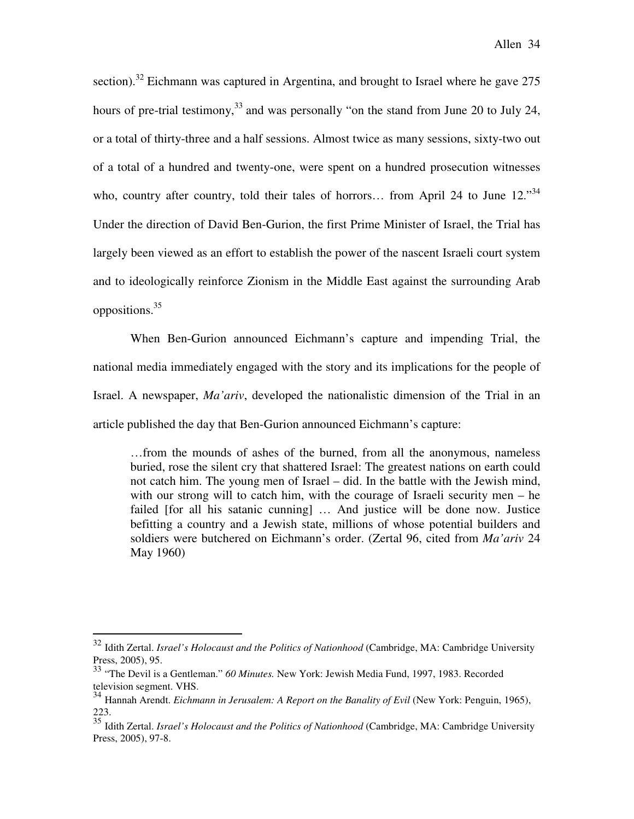section).<sup>32</sup> Eichmann was captured in Argentina, and brought to Israel where he gave  $275$ hours of pre-trial testimony,<sup>33</sup> and was personally "on the stand from June 20 to July 24, or a total of thirty-three and a half sessions. Almost twice as many sessions, sixty-two out of a total of a hundred and twenty-one, were spent on a hundred prosecution witnesses who, country after country, told their tales of horrors... from April 24 to June  $12.^{34}$ Under the direction of David Ben-Gurion, the first Prime Minister of Israel, the Trial has largely been viewed as an effort to establish the power of the nascent Israeli court system and to ideologically reinforce Zionism in the Middle East against the surrounding Arab oppositions.<sup>35</sup>

 When Ben-Gurion announced Eichmann's capture and impending Trial, the national media immediately engaged with the story and its implications for the people of Israel. A newspaper, *Ma'ariv*, developed the nationalistic dimension of the Trial in an article published the day that Ben-Gurion announced Eichmann's capture:

…from the mounds of ashes of the burned, from all the anonymous, nameless buried, rose the silent cry that shattered Israel: The greatest nations on earth could not catch him. The young men of Israel – did. In the battle with the Jewish mind, with our strong will to catch him, with the courage of Israeli security men – he failed [for all his satanic cunning] ... And justice will be done now. Justice befitting a country and a Jewish state, millions of whose potential builders and soldiers were butchered on Eichmann's order. (Zertal 96, cited from *Ma'ariv* 24 May 1960)

<u>.</u>

<sup>32</sup> Idith Zertal. *Israel's Holocaust and the Politics of Nationhood* (Cambridge, MA: Cambridge University Press, 2005), 95.

<sup>33</sup> "The Devil is a Gentleman." *60 Minutes.* New York: Jewish Media Fund, 1997, 1983. Recorded television segment. VHS.

<sup>&</sup>lt;sup>34</sup> Hannah Arendt. *Eichmann in Jerusalem: A Report on the Banality of Evil* (New York: Penguin, 1965), 223.

<sup>35</sup> Idith Zertal. *Israel's Holocaust and the Politics of Nationhood* (Cambridge, MA: Cambridge University Press, 2005), 97-8.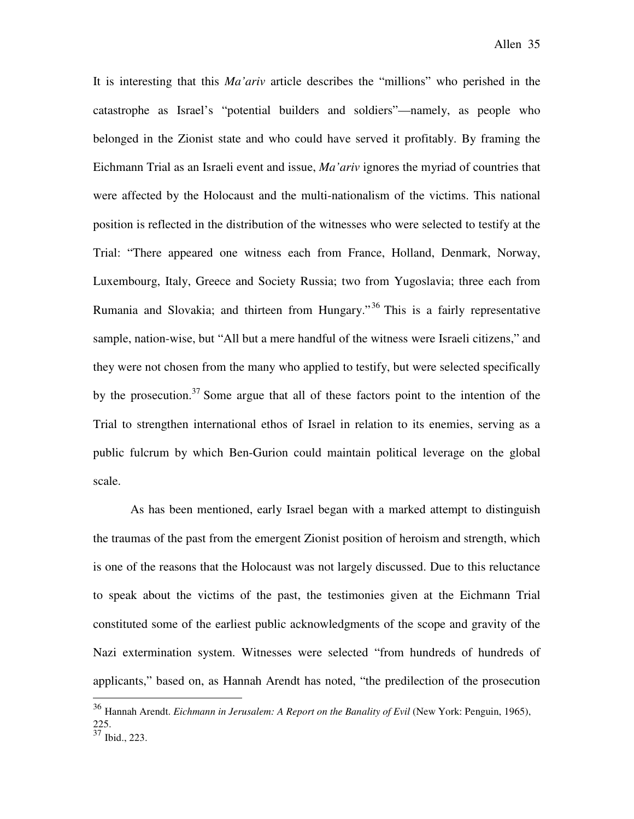It is interesting that this *Ma'ariv* article describes the "millions" who perished in the catastrophe as Israel's "potential builders and soldiers"—namely, as people who belonged in the Zionist state and who could have served it profitably. By framing the Eichmann Trial as an Israeli event and issue, *Ma'ariv* ignores the myriad of countries that were affected by the Holocaust and the multi-nationalism of the victims. This national position is reflected in the distribution of the witnesses who were selected to testify at the Trial: "There appeared one witness each from France, Holland, Denmark, Norway, Luxembourg, Italy, Greece and Society Russia; two from Yugoslavia; three each from Rumania and Slovakia; and thirteen from Hungary."<sup>36</sup> This is a fairly representative sample, nation-wise, but "All but a mere handful of the witness were Israeli citizens," and they were not chosen from the many who applied to testify, but were selected specifically by the prosecution.<sup>37</sup> Some argue that all of these factors point to the intention of the Trial to strengthen international ethos of Israel in relation to its enemies, serving as a public fulcrum by which Ben-Gurion could maintain political leverage on the global scale.

As has been mentioned, early Israel began with a marked attempt to distinguish the traumas of the past from the emergent Zionist position of heroism and strength, which is one of the reasons that the Holocaust was not largely discussed. Due to this reluctance to speak about the victims of the past, the testimonies given at the Eichmann Trial constituted some of the earliest public acknowledgments of the scope and gravity of the Nazi extermination system. Witnesses were selected "from hundreds of hundreds of applicants," based on, as Hannah Arendt has noted, "the predilection of the prosecution

<sup>&</sup>lt;sup>36</sup> Hannah Arendt. *Eichmann in Jerusalem: A Report on the Banality of Evil* (New York: Penguin, 1965), 225.

 $rac{37}{37}$  Ibid., 223.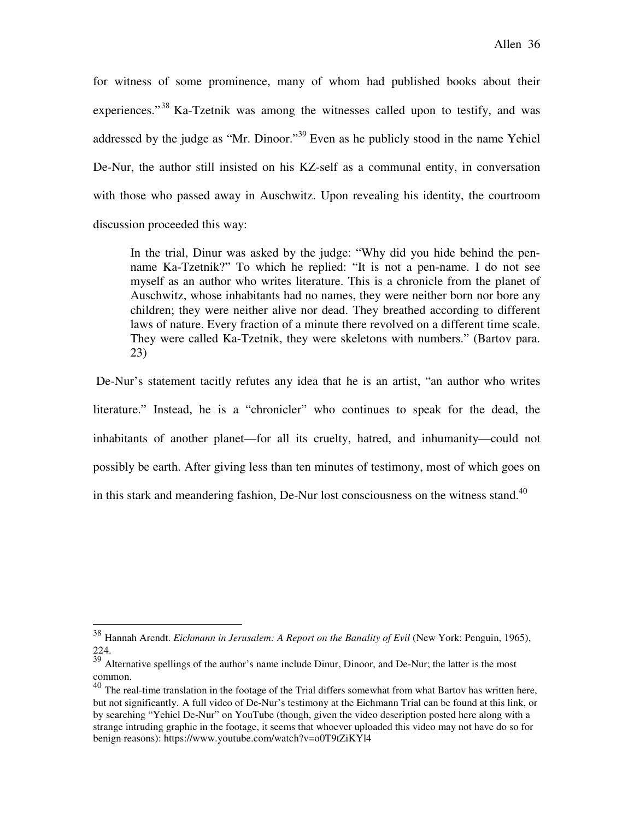for witness of some prominence, many of whom had published books about their experiences."<sup>38</sup> Ka-Tzetnik was among the witnesses called upon to testify, and was addressed by the judge as "Mr. Dinoor."<sup>39</sup> Even as he publicly stood in the name Yehiel De-Nur, the author still insisted on his KZ-self as a communal entity, in conversation with those who passed away in Auschwitz. Upon revealing his identity, the courtroom discussion proceeded this way:

In the trial, Dinur was asked by the judge: "Why did you hide behind the penname Ka-Tzetnik?" To which he replied: "It is not a pen-name. I do not see myself as an author who writes literature. This is a chronicle from the planet of Auschwitz, whose inhabitants had no names, they were neither born nor bore any children; they were neither alive nor dead. They breathed according to different laws of nature. Every fraction of a minute there revolved on a different time scale. They were called Ka-Tzetnik, they were skeletons with numbers." (Bartov para. 23)

 De-Nur's statement tacitly refutes any idea that he is an artist, "an author who writes literature." Instead, he is a "chronicler" who continues to speak for the dead, the inhabitants of another planet—for all its cruelty, hatred, and inhumanity—could not possibly be earth. After giving less than ten minutes of testimony, most of which goes on in this stark and meandering fashion, De-Nur lost consciousness on the witness stand. $40$ 

<sup>&</sup>lt;sup>38</sup> Hannah Arendt. *Eichmann in Jerusalem: A Report on the Banality of Evil* (New York: Penguin, 1965), 224.

 $39<sup>39</sup>$  Alternative spellings of the author's name include Dinur, Dinoor, and De-Nur; the latter is the most common.

<sup>40</sup> The real-time translation in the footage of the Trial differs somewhat from what Bartov has written here, but not significantly. A full video of De-Nur's testimony at the Eichmann Trial can be found at this link, or by searching "Yehiel De-Nur" on YouTube (though, given the video description posted here along with a strange intruding graphic in the footage, it seems that whoever uploaded this video may not have do so for benign reasons): https://www.youtube.com/watch?v=o0T9tZiKYl4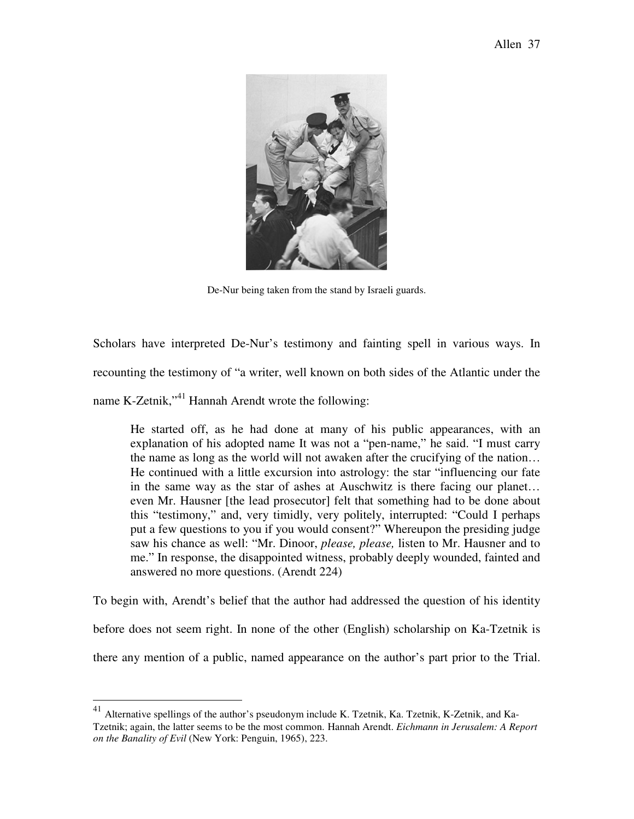

De-Nur being taken from the stand by Israeli guards.

Scholars have interpreted De-Nur's testimony and fainting spell in various ways. In recounting the testimony of "a writer, well known on both sides of the Atlantic under the name K-Zetnik,"<sup>41</sup> Hannah Arendt wrote the following:

He started off, as he had done at many of his public appearances, with an explanation of his adopted name It was not a "pen-name," he said. "I must carry the name as long as the world will not awaken after the crucifying of the nation… He continued with a little excursion into astrology: the star "influencing our fate in the same way as the star of ashes at Auschwitz is there facing our planet… even Mr. Hausner [the lead prosecutor] felt that something had to be done about this "testimony," and, very timidly, very politely, interrupted: "Could I perhaps put a few questions to you if you would consent?" Whereupon the presiding judge saw his chance as well: "Mr. Dinoor, *please, please,* listen to Mr. Hausner and to me." In response, the disappointed witness, probably deeply wounded, fainted and answered no more questions. (Arendt 224)

To begin with, Arendt's belief that the author had addressed the question of his identity before does not seem right. In none of the other (English) scholarship on Ka-Tzetnik is there any mention of a public, named appearance on the author's part prior to the Trial.

 $^{41}$  Alternative spellings of the author's pseudonym include K. Tzetnik, Ka. Tzetnik, K-Zetnik, and Ka-Tzetnik; again, the latter seems to be the most common. Hannah Arendt. *Eichmann in Jerusalem: A Report on the Banality of Evil* (New York: Penguin, 1965), 223.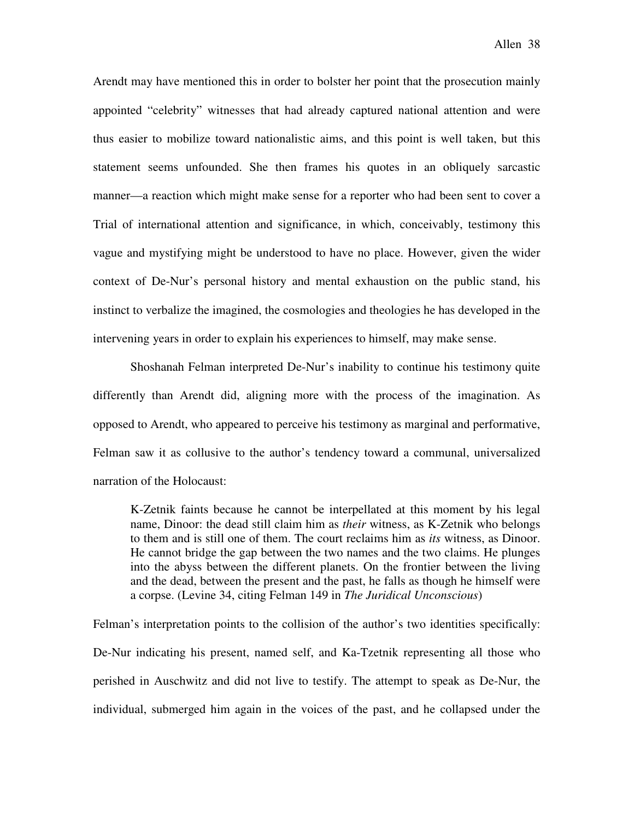Arendt may have mentioned this in order to bolster her point that the prosecution mainly appointed "celebrity" witnesses that had already captured national attention and were thus easier to mobilize toward nationalistic aims, and this point is well taken, but this statement seems unfounded. She then frames his quotes in an obliquely sarcastic manner—a reaction which might make sense for a reporter who had been sent to cover a Trial of international attention and significance, in which, conceivably, testimony this vague and mystifying might be understood to have no place. However, given the wider context of De-Nur's personal history and mental exhaustion on the public stand, his instinct to verbalize the imagined, the cosmologies and theologies he has developed in the intervening years in order to explain his experiences to himself, may make sense.

Shoshanah Felman interpreted De-Nur's inability to continue his testimony quite differently than Arendt did, aligning more with the process of the imagination. As opposed to Arendt, who appeared to perceive his testimony as marginal and performative, Felman saw it as collusive to the author's tendency toward a communal, universalized narration of the Holocaust:

K-Zetnik faints because he cannot be interpellated at this moment by his legal name, Dinoor: the dead still claim him as *their* witness, as K-Zetnik who belongs to them and is still one of them. The court reclaims him as *its* witness, as Dinoor. He cannot bridge the gap between the two names and the two claims. He plunges into the abyss between the different planets. On the frontier between the living and the dead, between the present and the past, he falls as though he himself were a corpse. (Levine 34, citing Felman 149 in *The Juridical Unconscious*)

Felman's interpretation points to the collision of the author's two identities specifically: De-Nur indicating his present, named self, and Ka-Tzetnik representing all those who perished in Auschwitz and did not live to testify. The attempt to speak as De-Nur, the individual, submerged him again in the voices of the past, and he collapsed under the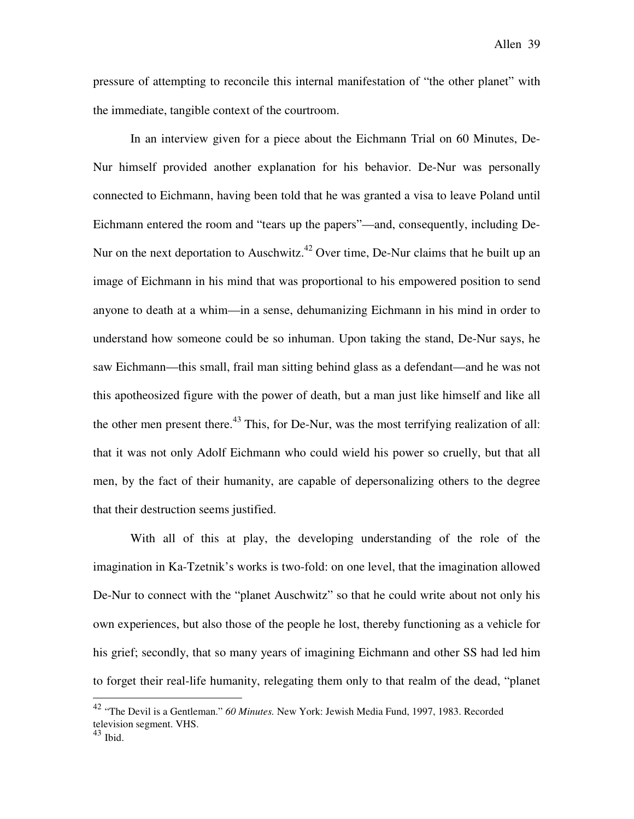pressure of attempting to reconcile this internal manifestation of "the other planet" with the immediate, tangible context of the courtroom.

 In an interview given for a piece about the Eichmann Trial on 60 Minutes, De-Nur himself provided another explanation for his behavior. De-Nur was personally connected to Eichmann, having been told that he was granted a visa to leave Poland until Eichmann entered the room and "tears up the papers"—and, consequently, including De-Nur on the next deportation to Auschwitz.<sup>42</sup> Over time, De-Nur claims that he built up an image of Eichmann in his mind that was proportional to his empowered position to send anyone to death at a whim—in a sense, dehumanizing Eichmann in his mind in order to understand how someone could be so inhuman. Upon taking the stand, De-Nur says, he saw Eichmann—this small, frail man sitting behind glass as a defendant—and he was not this apotheosized figure with the power of death, but a man just like himself and like all the other men present there.<sup>43</sup> This, for De-Nur, was the most terrifying realization of all: that it was not only Adolf Eichmann who could wield his power so cruelly, but that all men, by the fact of their humanity, are capable of depersonalizing others to the degree that their destruction seems justified.

 With all of this at play, the developing understanding of the role of the imagination in Ka-Tzetnik's works is two-fold: on one level, that the imagination allowed De-Nur to connect with the "planet Auschwitz" so that he could write about not only his own experiences, but also those of the people he lost, thereby functioning as a vehicle for his grief; secondly, that so many years of imagining Eichmann and other SS had led him to forget their real-life humanity, relegating them only to that realm of the dead, "planet

<sup>42</sup> "The Devil is a Gentleman." *60 Minutes.* New York: Jewish Media Fund, 1997, 1983. Recorded television segment. VHS.

 $43$  Ibid.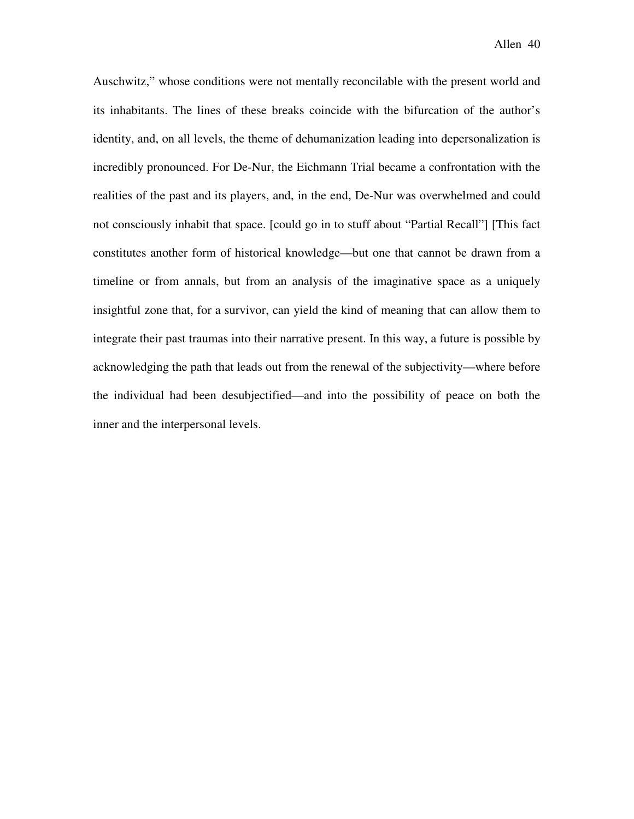Auschwitz," whose conditions were not mentally reconcilable with the present world and its inhabitants. The lines of these breaks coincide with the bifurcation of the author's identity, and, on all levels, the theme of dehumanization leading into depersonalization is incredibly pronounced. For De-Nur, the Eichmann Trial became a confrontation with the realities of the past and its players, and, in the end, De-Nur was overwhelmed and could not consciously inhabit that space. [could go in to stuff about "Partial Recall"] [This fact constitutes another form of historical knowledge—but one that cannot be drawn from a timeline or from annals, but from an analysis of the imaginative space as a uniquely insightful zone that, for a survivor, can yield the kind of meaning that can allow them to integrate their past traumas into their narrative present. In this way, a future is possible by acknowledging the path that leads out from the renewal of the subjectivity—where before the individual had been desubjectified—and into the possibility of peace on both the inner and the interpersonal levels.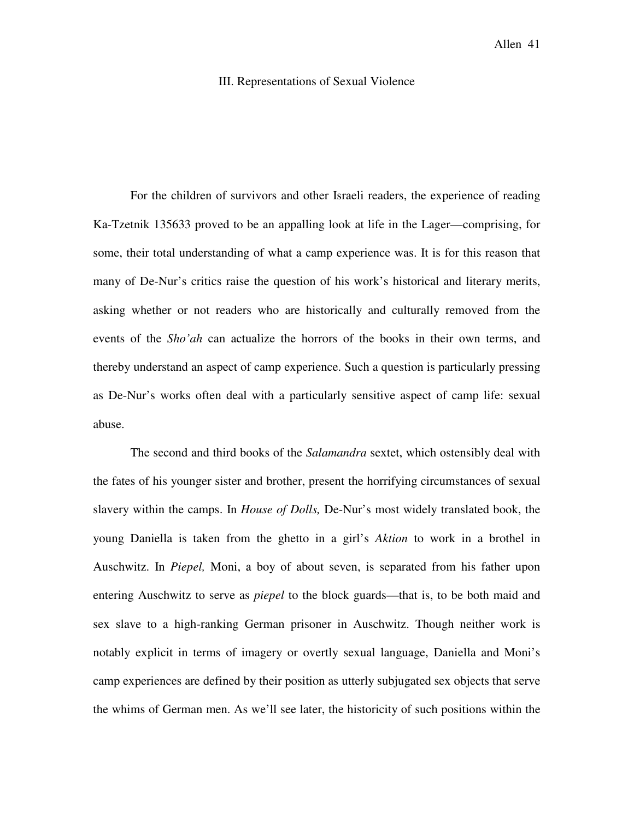## III. Representations of Sexual Violence

For the children of survivors and other Israeli readers, the experience of reading Ka-Tzetnik 135633 proved to be an appalling look at life in the Lager—comprising, for some, their total understanding of what a camp experience was. It is for this reason that many of De-Nur's critics raise the question of his work's historical and literary merits, asking whether or not readers who are historically and culturally removed from the events of the *Sho'ah* can actualize the horrors of the books in their own terms, and thereby understand an aspect of camp experience. Such a question is particularly pressing as De-Nur's works often deal with a particularly sensitive aspect of camp life: sexual abuse.

The second and third books of the *Salamandra* sextet, which ostensibly deal with the fates of his younger sister and brother, present the horrifying circumstances of sexual slavery within the camps. In *House of Dolls,* De-Nur's most widely translated book, the young Daniella is taken from the ghetto in a girl's *Aktion* to work in a brothel in Auschwitz. In *Piepel,* Moni, a boy of about seven, is separated from his father upon entering Auschwitz to serve as *piepel* to the block guards—that is, to be both maid and sex slave to a high-ranking German prisoner in Auschwitz. Though neither work is notably explicit in terms of imagery or overtly sexual language, Daniella and Moni's camp experiences are defined by their position as utterly subjugated sex objects that serve the whims of German men. As we'll see later, the historicity of such positions within the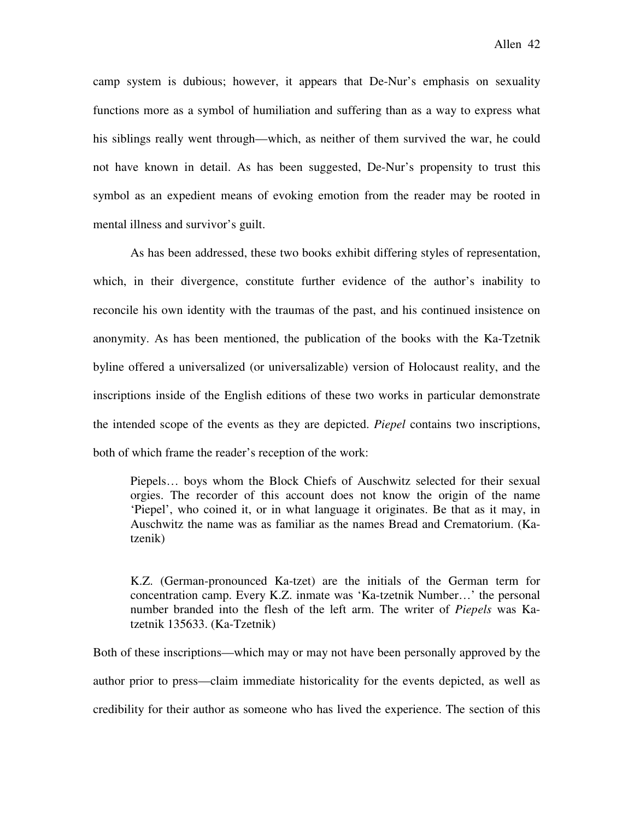camp system is dubious; however, it appears that De-Nur's emphasis on sexuality functions more as a symbol of humiliation and suffering than as a way to express what his siblings really went through—which, as neither of them survived the war, he could not have known in detail. As has been suggested, De-Nur's propensity to trust this symbol as an expedient means of evoking emotion from the reader may be rooted in mental illness and survivor's guilt.

As has been addressed, these two books exhibit differing styles of representation, which, in their divergence, constitute further evidence of the author's inability to reconcile his own identity with the traumas of the past, and his continued insistence on anonymity. As has been mentioned, the publication of the books with the Ka-Tzetnik byline offered a universalized (or universalizable) version of Holocaust reality, and the inscriptions inside of the English editions of these two works in particular demonstrate the intended scope of the events as they are depicted. *Piepel* contains two inscriptions, both of which frame the reader's reception of the work:

Piepels… boys whom the Block Chiefs of Auschwitz selected for their sexual orgies. The recorder of this account does not know the origin of the name 'Piepel', who coined it, or in what language it originates. Be that as it may, in Auschwitz the name was as familiar as the names Bread and Crematorium. (Katzenik)

K.Z. (German-pronounced Ka-tzet) are the initials of the German term for concentration camp. Every K.Z. inmate was 'Ka-tzetnik Number…' the personal number branded into the flesh of the left arm. The writer of *Piepels* was Katzetnik 135633. (Ka-Tzetnik)

Both of these inscriptions—which may or may not have been personally approved by the author prior to press—claim immediate historicality for the events depicted, as well as credibility for their author as someone who has lived the experience. The section of this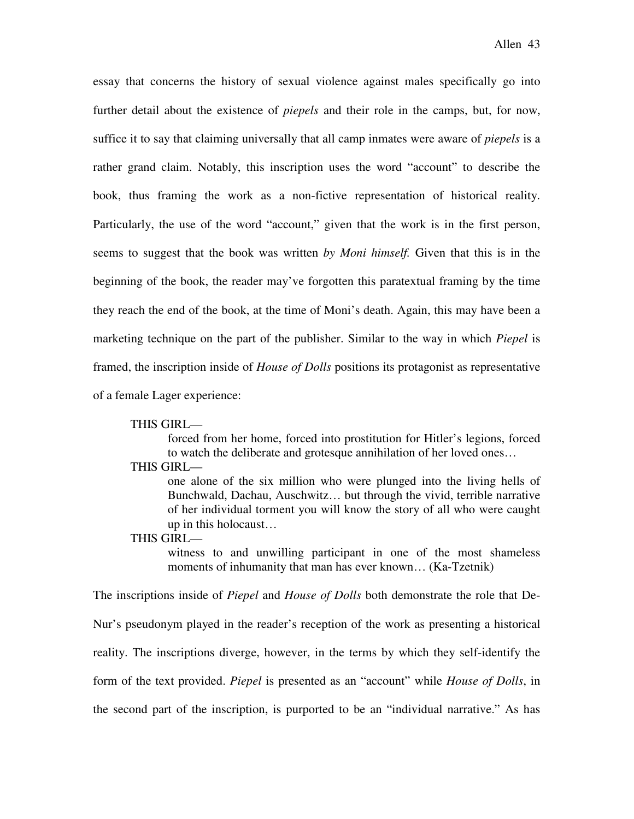essay that concerns the history of sexual violence against males specifically go into further detail about the existence of *piepels* and their role in the camps, but, for now, suffice it to say that claiming universally that all camp inmates were aware of *piepels* is a rather grand claim. Notably, this inscription uses the word "account" to describe the book, thus framing the work as a non-fictive representation of historical reality. Particularly, the use of the word "account," given that the work is in the first person, seems to suggest that the book was written *by Moni himself.* Given that this is in the beginning of the book, the reader may've forgotten this paratextual framing by the time they reach the end of the book, at the time of Moni's death. Again, this may have been a marketing technique on the part of the publisher. Similar to the way in which *Piepel* is framed, the inscription inside of *House of Dolls* positions its protagonist as representative of a female Lager experience:

THIS GIRL—

forced from her home, forced into prostitution for Hitler's legions, forced to watch the deliberate and grotesque annihilation of her loved ones…

THIS GIRL—

one alone of the six million who were plunged into the living hells of Bunchwald, Dachau, Auschwitz… but through the vivid, terrible narrative of her individual torment you will know the story of all who were caught up in this holocaust…

THIS GIRL—

witness to and unwilling participant in one of the most shameless moments of inhumanity that man has ever known... (Ka-Tzetnik)

The inscriptions inside of *Piepel* and *House of Dolls* both demonstrate the role that De-Nur's pseudonym played in the reader's reception of the work as presenting a historical reality. The inscriptions diverge, however, in the terms by which they self-identify the form of the text provided. *Piepel* is presented as an "account" while *House of Dolls*, in the second part of the inscription, is purported to be an "individual narrative." As has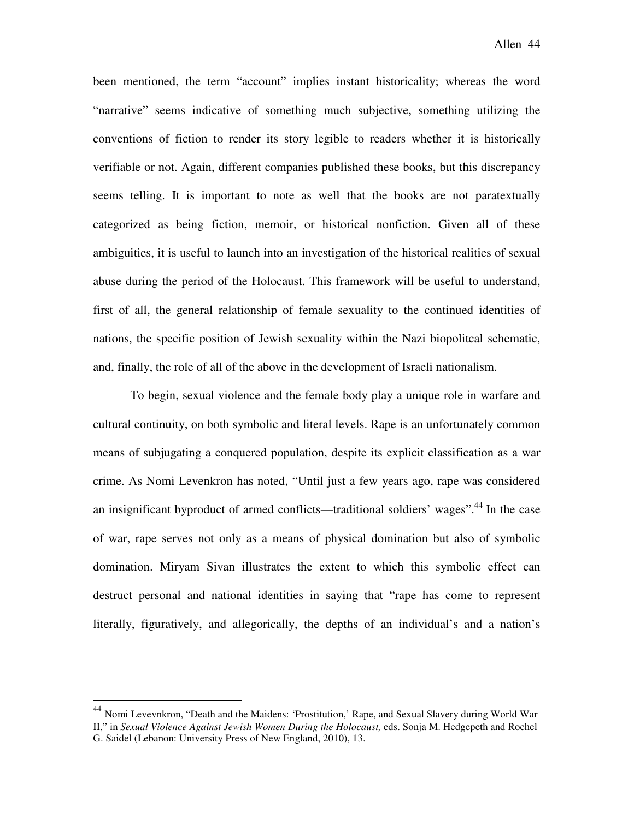been mentioned, the term "account" implies instant historicality; whereas the word "narrative" seems indicative of something much subjective, something utilizing the conventions of fiction to render its story legible to readers whether it is historically verifiable or not. Again, different companies published these books, but this discrepancy seems telling. It is important to note as well that the books are not paratextually categorized as being fiction, memoir, or historical nonfiction. Given all of these ambiguities, it is useful to launch into an investigation of the historical realities of sexual abuse during the period of the Holocaust. This framework will be useful to understand, first of all, the general relationship of female sexuality to the continued identities of nations, the specific position of Jewish sexuality within the Nazi biopolitcal schematic, and, finally, the role of all of the above in the development of Israeli nationalism.

To begin, sexual violence and the female body play a unique role in warfare and cultural continuity, on both symbolic and literal levels. Rape is an unfortunately common means of subjugating a conquered population, despite its explicit classification as a war crime. As Nomi Levenkron has noted, "Until just a few years ago, rape was considered an insignificant byproduct of armed conflicts—traditional soldiers' wages".<sup>44</sup> In the case of war, rape serves not only as a means of physical domination but also of symbolic domination. Miryam Sivan illustrates the extent to which this symbolic effect can destruct personal and national identities in saying that "rape has come to represent literally, figuratively, and allegorically, the depths of an individual's and a nation's

 $\overline{a}$ 

<sup>&</sup>lt;sup>44</sup> Nomi Levevnkron, "Death and the Maidens: 'Prostitution,' Rape, and Sexual Slavery during World War II," in *Sexual Violence Against Jewish Women During the Holocaust,* eds. Sonja M. Hedgepeth and Rochel G. Saidel (Lebanon: University Press of New England, 2010), 13.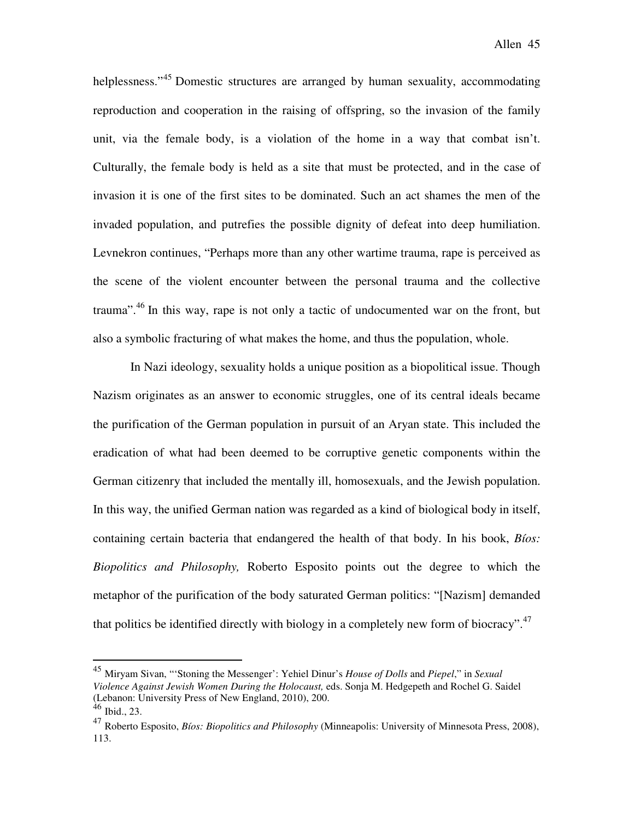helplessness."<sup>45</sup> Domestic structures are arranged by human sexuality, accommodating reproduction and cooperation in the raising of offspring, so the invasion of the family unit, via the female body, is a violation of the home in a way that combat isn't. Culturally, the female body is held as a site that must be protected, and in the case of invasion it is one of the first sites to be dominated. Such an act shames the men of the invaded population, and putrefies the possible dignity of defeat into deep humiliation. Levnekron continues, "Perhaps more than any other wartime trauma, rape is perceived as the scene of the violent encounter between the personal trauma and the collective trauma".<sup>46</sup> In this way, rape is not only a tactic of undocumented war on the front, but also a symbolic fracturing of what makes the home, and thus the population, whole.

In Nazi ideology, sexuality holds a unique position as a biopolitical issue. Though Nazism originates as an answer to economic struggles, one of its central ideals became the purification of the German population in pursuit of an Aryan state. This included the eradication of what had been deemed to be corruptive genetic components within the German citizenry that included the mentally ill, homosexuals, and the Jewish population. In this way, the unified German nation was regarded as a kind of biological body in itself, containing certain bacteria that endangered the health of that body. In his book, *Bíos: Biopolitics and Philosophy,* Roberto Esposito points out the degree to which the metaphor of the purification of the body saturated German politics: "[Nazism] demanded that politics be identified directly with biology in a completely new form of biocracy".<sup>47</sup>

<sup>45</sup> Miryam Sivan, "'Stoning the Messenger': Yehiel Dinur's *House of Dolls* and *Piepel*," in *Sexual Violence Against Jewish Women During the Holocaust,* eds. Sonja M. Hedgepeth and Rochel G. Saidel (Lebanon: University Press of New England, 2010), 200.

 $46$  Ibid., 23.

<sup>47</sup> Roberto Esposito, *Bíos: Biopolitics and Philosophy* (Minneapolis: University of Minnesota Press, 2008), 113.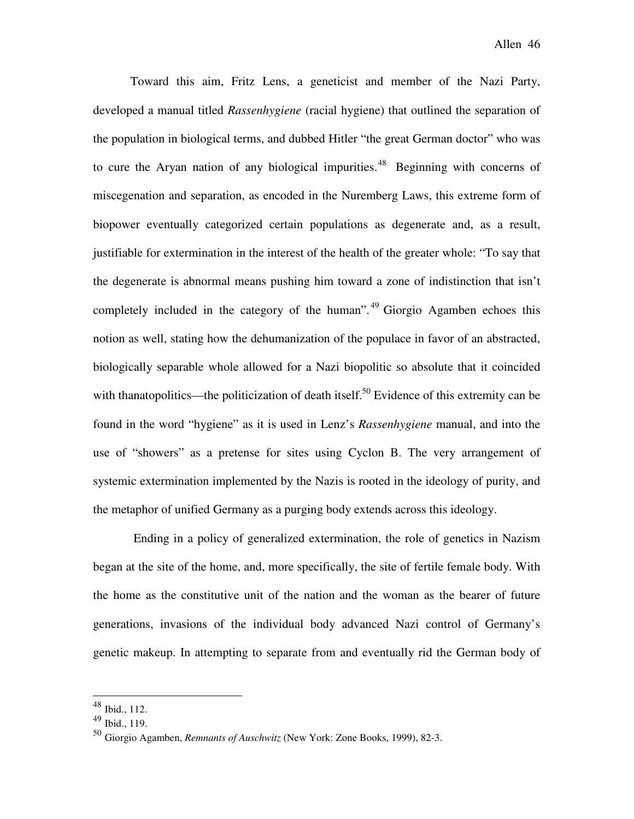Toward this aim, Fritz Lens, a geneticist and member of the Nazi Party, developed a manual titled *Rassenhygiene* (racial hygiene) that outlined the separation of the population in biological terms, and dubbed Hitler "the great German doctor" who was to cure the Aryan nation of any biological impurities.<sup>48</sup> Beginning with concerns of miscegenation and separation, as encoded in the Nuremberg Laws, this extreme form of biopower eventually categorized certain populations as degenerate and, as a result, justifiable for extermination in the interest of the health of the greater whole: "To say that the degenerate is abnormal means pushing him toward a zone of indistinction that isn't completely included in the category of the human".<sup>49</sup> Giorgio Agamben echoes this notion as well, stating how the dehumanization of the populace in favor of an abstracted, biologically separable whole allowed for a Nazi biopolitic so absolute that it coincided with thanatopolitics—the politicization of death itself.<sup>50</sup> Evidence of this extremity can be found in the word "hygiene" as it is used in Lenz's *Rassenhygiene* manual, and into the use of "showers" as a pretense for sites using Cyclon B. The very arrangement of systemic extermination implemented by the Nazis is rooted in the ideology of purity, and the metaphor of unified Germany as a purging body extends across this ideology.

 Ending in a policy of generalized extermination, the role of genetics in Nazism began at the site of the home, and, more specifically, the site of fertile female body. With the home as the constitutive unit of the nation and the woman as the bearer of future generations, invasions of the individual body advanced Nazi control of Germany's genetic makeup. In attempting to separate from and eventually rid the German body of

 $\overline{a}$ 

 $48$  Ibid., 112.

 $49$  Ibid., 119.

<sup>50</sup> Giorgio Agamben, *Remnants of Auschwitz* (New York: Zone Books, 1999), 82-3.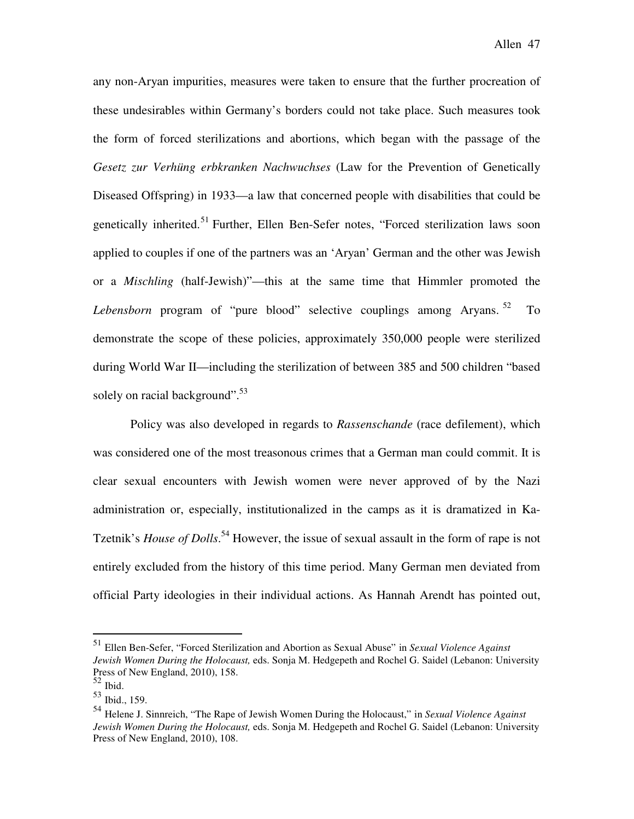any non-Aryan impurities, measures were taken to ensure that the further procreation of these undesirables within Germany's borders could not take place. Such measures took the form of forced sterilizations and abortions, which began with the passage of the *Gesetz zur Verhüng erbkranken Nachwuchses* (Law for the Prevention of Genetically Diseased Offspring) in 1933—a law that concerned people with disabilities that could be genetically inherited.<sup>51</sup> Further, Ellen Ben-Sefer notes, "Forced sterilization laws soon applied to couples if one of the partners was an 'Aryan' German and the other was Jewish or a *Mischling* (half-Jewish)"—this at the same time that Himmler promoted the *Lebensborn* program of "pure blood" selective couplings among Aryans.<sup>52</sup> To demonstrate the scope of these policies, approximately 350,000 people were sterilized during World War II—including the sterilization of between 385 and 500 children "based solely on racial background".<sup>53</sup>

Policy was also developed in regards to *Rassenschande* (race defilement), which was considered one of the most treasonous crimes that a German man could commit. It is clear sexual encounters with Jewish women were never approved of by the Nazi administration or, especially, institutionalized in the camps as it is dramatized in Ka-Tzetnik's *House of Dolls*. <sup>54</sup> However, the issue of sexual assault in the form of rape is not entirely excluded from the history of this time period. Many German men deviated from official Party ideologies in their individual actions. As Hannah Arendt has pointed out,

<u>.</u>

<sup>51</sup> Ellen Ben-Sefer, "Forced Sterilization and Abortion as Sexual Abuse" in *Sexual Violence Against Jewish Women During the Holocaust,* eds. Sonja M. Hedgepeth and Rochel G. Saidel (Lebanon: University Press of New England, 2010), 158.

 $52$  Ibid.

<sup>53</sup> Ibid., 159.

<sup>54</sup> Helene J. Sinnreich, "The Rape of Jewish Women During the Holocaust," in *Sexual Violence Against Jewish Women During the Holocaust,* eds. Sonja M. Hedgepeth and Rochel G. Saidel (Lebanon: University Press of New England, 2010), 108.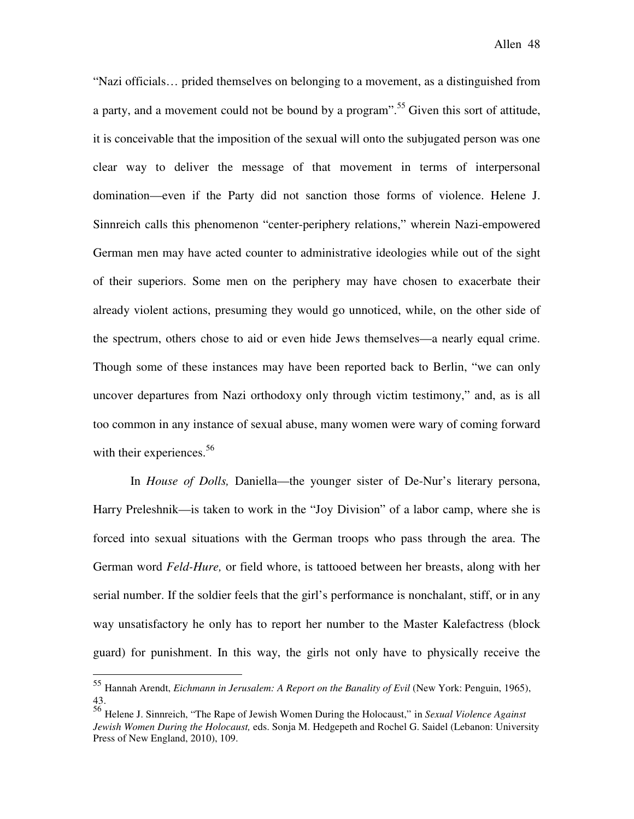"Nazi officials… prided themselves on belonging to a movement, as a distinguished from a party, and a movement could not be bound by a program".<sup>55</sup> Given this sort of attitude, it is conceivable that the imposition of the sexual will onto the subjugated person was one clear way to deliver the message of that movement in terms of interpersonal domination—even if the Party did not sanction those forms of violence. Helene J. Sinnreich calls this phenomenon "center-periphery relations," wherein Nazi-empowered German men may have acted counter to administrative ideologies while out of the sight of their superiors. Some men on the periphery may have chosen to exacerbate their already violent actions, presuming they would go unnoticed, while, on the other side of the spectrum, others chose to aid or even hide Jews themselves—a nearly equal crime. Though some of these instances may have been reported back to Berlin, "we can only uncover departures from Nazi orthodoxy only through victim testimony," and, as is all too common in any instance of sexual abuse, many women were wary of coming forward with their experiences.<sup>56</sup>

In *House of Dolls,* Daniella—the younger sister of De-Nur's literary persona, Harry Preleshnik—is taken to work in the "Joy Division" of a labor camp, where she is forced into sexual situations with the German troops who pass through the area. The German word *Feld-Hure,* or field whore, is tattooed between her breasts, along with her serial number. If the soldier feels that the girl's performance is nonchalant, stiff, or in any way unsatisfactory he only has to report her number to the Master Kalefactress (block guard) for punishment. In this way, the girls not only have to physically receive the

<sup>55</sup> Hannah Arendt, *Eichmann in Jerusalem: A Report on the Banality of Evil* (New York: Penguin, 1965), 43.

<sup>56</sup> Helene J. Sinnreich, "The Rape of Jewish Women During the Holocaust," in *Sexual Violence Against Jewish Women During the Holocaust,* eds. Sonja M. Hedgepeth and Rochel G. Saidel (Lebanon: University Press of New England, 2010), 109.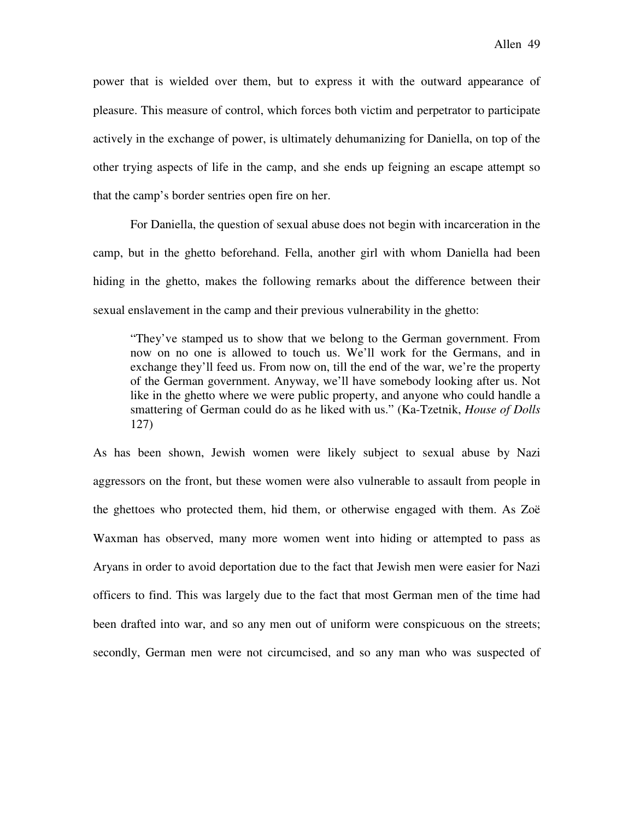power that is wielded over them, but to express it with the outward appearance of pleasure. This measure of control, which forces both victim and perpetrator to participate actively in the exchange of power, is ultimately dehumanizing for Daniella, on top of the other trying aspects of life in the camp, and she ends up feigning an escape attempt so that the camp's border sentries open fire on her.

For Daniella, the question of sexual abuse does not begin with incarceration in the camp, but in the ghetto beforehand. Fella, another girl with whom Daniella had been hiding in the ghetto, makes the following remarks about the difference between their sexual enslavement in the camp and their previous vulnerability in the ghetto:

"They've stamped us to show that we belong to the German government. From now on no one is allowed to touch us. We'll work for the Germans, and in exchange they'll feed us. From now on, till the end of the war, we're the property of the German government. Anyway, we'll have somebody looking after us. Not like in the ghetto where we were public property, and anyone who could handle a smattering of German could do as he liked with us." (Ka-Tzetnik, *House of Dolls*  127)

As has been shown, Jewish women were likely subject to sexual abuse by Nazi aggressors on the front, but these women were also vulnerable to assault from people in the ghettoes who protected them, hid them, or otherwise engaged with them. As Zoë Waxman has observed, many more women went into hiding or attempted to pass as Aryans in order to avoid deportation due to the fact that Jewish men were easier for Nazi officers to find. This was largely due to the fact that most German men of the time had been drafted into war, and so any men out of uniform were conspicuous on the streets; secondly, German men were not circumcised, and so any man who was suspected of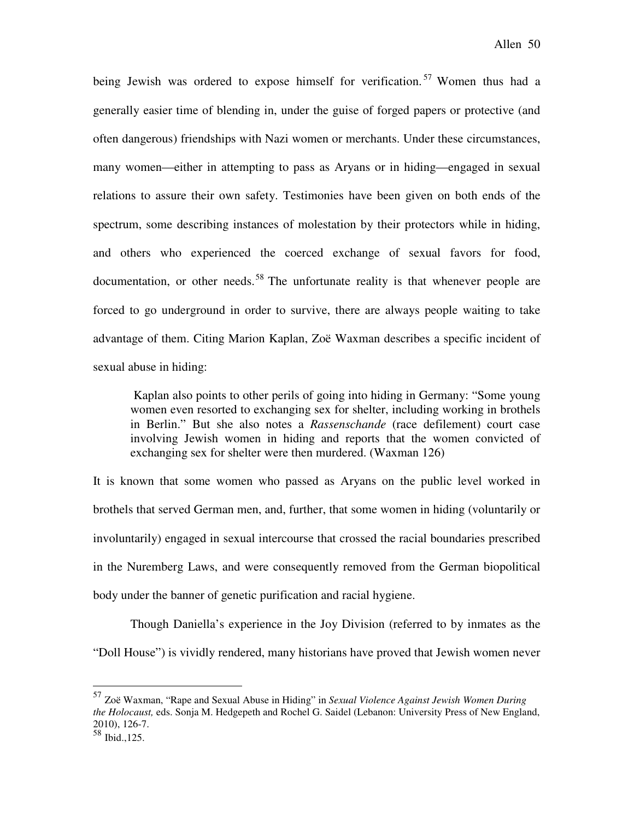being Jewish was ordered to expose himself for verification.<sup>57</sup> Women thus had a generally easier time of blending in, under the guise of forged papers or protective (and often dangerous) friendships with Nazi women or merchants. Under these circumstances, many women—either in attempting to pass as Aryans or in hiding—engaged in sexual relations to assure their own safety. Testimonies have been given on both ends of the spectrum, some describing instances of molestation by their protectors while in hiding, and others who experienced the coerced exchange of sexual favors for food, documentation, or other needs.<sup>58</sup> The unfortunate reality is that whenever people are forced to go underground in order to survive, there are always people waiting to take advantage of them. Citing Marion Kaplan, Zoë Waxman describes a specific incident of sexual abuse in hiding:

Kaplan also points to other perils of going into hiding in Germany: "Some young women even resorted to exchanging sex for shelter, including working in brothels in Berlin." But she also notes a *Rassenschande* (race defilement) court case involving Jewish women in hiding and reports that the women convicted of exchanging sex for shelter were then murdered. (Waxman 126)

It is known that some women who passed as Aryans on the public level worked in brothels that served German men, and, further, that some women in hiding (voluntarily or involuntarily) engaged in sexual intercourse that crossed the racial boundaries prescribed in the Nuremberg Laws, and were consequently removed from the German biopolitical body under the banner of genetic purification and racial hygiene.

Though Daniella's experience in the Joy Division (referred to by inmates as the "Doll House") is vividly rendered, many historians have proved that Jewish women never

<sup>57</sup> Zoë Waxman, "Rape and Sexual Abuse in Hiding" in *Sexual Violence Against Jewish Women During the Holocaust,* eds. Sonja M. Hedgepeth and Rochel G. Saidel (Lebanon: University Press of New England, 2010), 126-7.

 $rac{26}{58}$  Ibid., 125.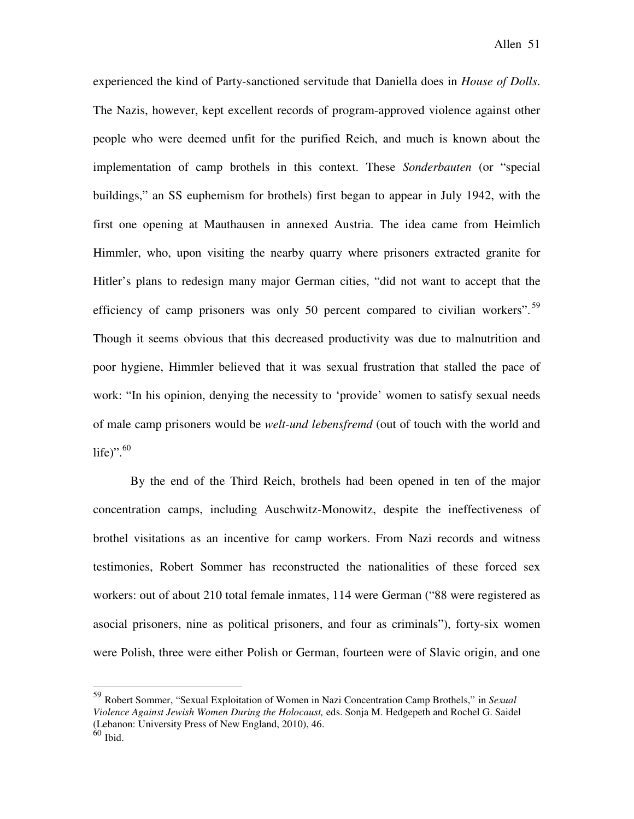experienced the kind of Party-sanctioned servitude that Daniella does in *House of Dolls*. The Nazis, however, kept excellent records of program-approved violence against other people who were deemed unfit for the purified Reich, and much is known about the implementation of camp brothels in this context. These *Sonderbauten* (or "special buildings," an SS euphemism for brothels) first began to appear in July 1942, with the first one opening at Mauthausen in annexed Austria. The idea came from Heimlich Himmler, who, upon visiting the nearby quarry where prisoners extracted granite for Hitler's plans to redesign many major German cities, "did not want to accept that the efficiency of camp prisoners was only 50 percent compared to civilian workers".  $59$ Though it seems obvious that this decreased productivity was due to malnutrition and poor hygiene, Himmler believed that it was sexual frustration that stalled the pace of work: "In his opinion, denying the necessity to 'provide' women to satisfy sexual needs of male camp prisoners would be *welt-und lebensfremd* (out of touch with the world and life)". $60$ 

By the end of the Third Reich, brothels had been opened in ten of the major concentration camps, including Auschwitz-Monowitz, despite the ineffectiveness of brothel visitations as an incentive for camp workers. From Nazi records and witness testimonies, Robert Sommer has reconstructed the nationalities of these forced sex workers: out of about 210 total female inmates, 114 were German ("88 were registered as asocial prisoners, nine as political prisoners, and four as criminals"), forty-six women were Polish, three were either Polish or German, fourteen were of Slavic origin, and one

<sup>59</sup> Robert Sommer, "Sexual Exploitation of Women in Nazi Concentration Camp Brothels," in *Sexual Violence Against Jewish Women During the Holocaust,* eds. Sonja M. Hedgepeth and Rochel G. Saidel (Lebanon: University Press of New England, 2010), 46.

 $60$  Ibid.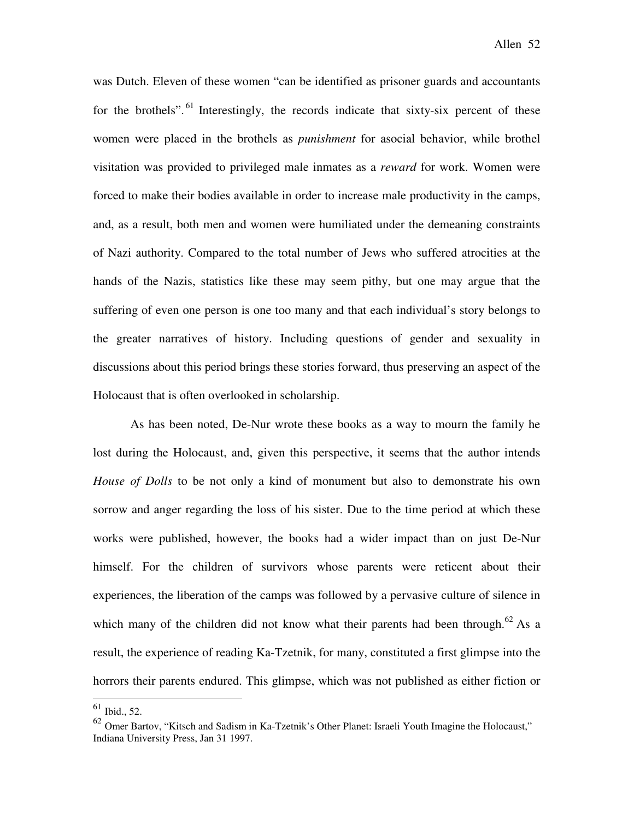was Dutch. Eleven of these women "can be identified as prisoner guards and accountants for the brothels". <sup>61</sup> Interestingly, the records indicate that sixty-six percent of these women were placed in the brothels as *punishment* for asocial behavior, while brothel visitation was provided to privileged male inmates as a *reward* for work. Women were forced to make their bodies available in order to increase male productivity in the camps, and, as a result, both men and women were humiliated under the demeaning constraints of Nazi authority. Compared to the total number of Jews who suffered atrocities at the hands of the Nazis, statistics like these may seem pithy, but one may argue that the suffering of even one person is one too many and that each individual's story belongs to the greater narratives of history. Including questions of gender and sexuality in discussions about this period brings these stories forward, thus preserving an aspect of the Holocaust that is often overlooked in scholarship.

As has been noted, De-Nur wrote these books as a way to mourn the family he lost during the Holocaust, and, given this perspective, it seems that the author intends *House of Dolls* to be not only a kind of monument but also to demonstrate his own sorrow and anger regarding the loss of his sister. Due to the time period at which these works were published, however, the books had a wider impact than on just De-Nur himself. For the children of survivors whose parents were reticent about their experiences, the liberation of the camps was followed by a pervasive culture of silence in which many of the children did not know what their parents had been through.<sup>62</sup> As a result, the experience of reading Ka-Tzetnik, for many, constituted a first glimpse into the horrors their parents endured. This glimpse, which was not published as either fiction or

 $61$  Ibid., 52.

<sup>62</sup> Omer Bartov, "Kitsch and Sadism in Ka-Tzetnik's Other Planet: Israeli Youth Imagine the Holocaust," Indiana University Press, Jan 31 1997.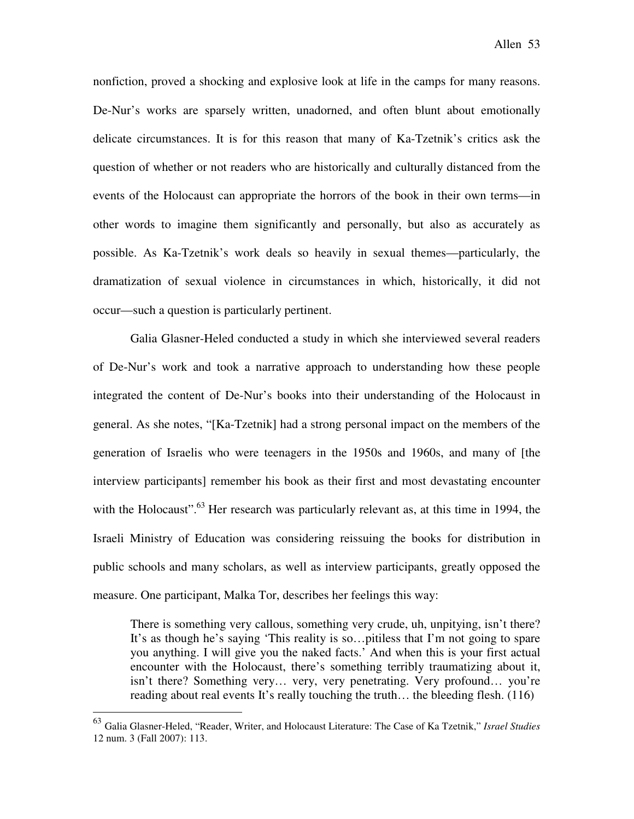nonfiction, proved a shocking and explosive look at life in the camps for many reasons. De-Nur's works are sparsely written, unadorned, and often blunt about emotionally delicate circumstances. It is for this reason that many of Ka-Tzetnik's critics ask the question of whether or not readers who are historically and culturally distanced from the events of the Holocaust can appropriate the horrors of the book in their own terms—in other words to imagine them significantly and personally, but also as accurately as possible. As Ka-Tzetnik's work deals so heavily in sexual themes—particularly, the dramatization of sexual violence in circumstances in which, historically, it did not occur—such a question is particularly pertinent.

Galia Glasner-Heled conducted a study in which she interviewed several readers of De-Nur's work and took a narrative approach to understanding how these people integrated the content of De-Nur's books into their understanding of the Holocaust in general. As she notes, "[Ka-Tzetnik] had a strong personal impact on the members of the generation of Israelis who were teenagers in the 1950s and 1960s, and many of [the interview participants] remember his book as their first and most devastating encounter with the Holocaust".<sup>63</sup> Her research was particularly relevant as, at this time in 1994, the Israeli Ministry of Education was considering reissuing the books for distribution in public schools and many scholars, as well as interview participants, greatly opposed the measure. One participant, Malka Tor, describes her feelings this way:

There is something very callous, something very crude, uh, unpitying, isn't there? It's as though he's saying 'This reality is so…pitiless that I'm not going to spare you anything. I will give you the naked facts.' And when this is your first actual encounter with the Holocaust, there's something terribly traumatizing about it, isn't there? Something very… very, very penetrating. Very profound… you're reading about real events It's really touching the truth… the bleeding flesh. (116)

<sup>63</sup> Galia Glasner-Heled, "Reader, Writer, and Holocaust Literature: The Case of Ka Tzetnik," *Israel Studies*  12 num. 3 (Fall 2007): 113.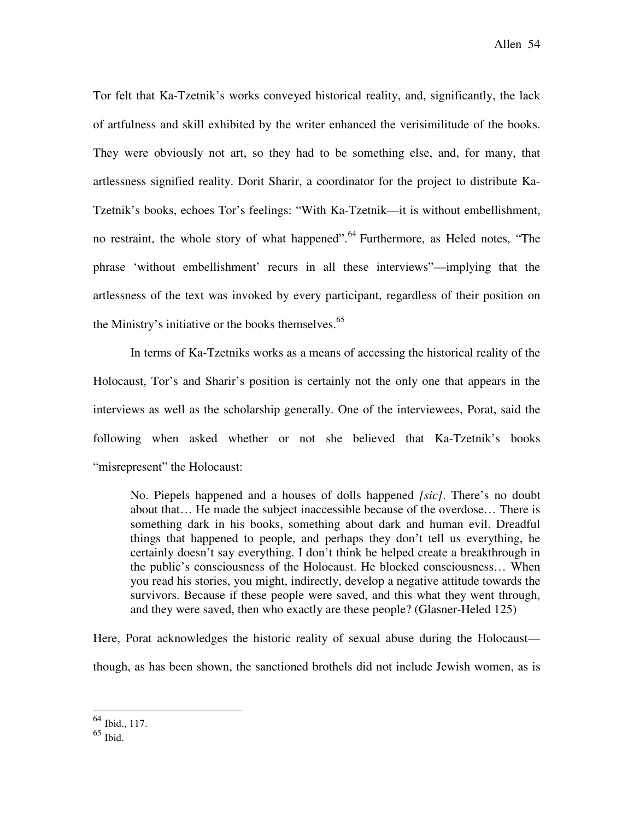Allen 54

Tor felt that Ka-Tzetnik's works conveyed historical reality, and, significantly, the lack of artfulness and skill exhibited by the writer enhanced the verisimilitude of the books. They were obviously not art, so they had to be something else, and, for many, that artlessness signified reality. Dorit Sharir, a coordinator for the project to distribute Ka-Tzetnik's books, echoes Tor's feelings: "With Ka-Tzetnik—it is without embellishment, no restraint, the whole story of what happened".<sup>64</sup> Furthermore, as Heled notes, "The phrase 'without embellishment' recurs in all these interviews"—implying that the artlessness of the text was invoked by every participant, regardless of their position on the Ministry's initiative or the books themselves.<sup>65</sup>

In terms of Ka-Tzetniks works as a means of accessing the historical reality of the Holocaust, Tor's and Sharir's position is certainly not the only one that appears in the interviews as well as the scholarship generally. One of the interviewees, Porat, said the following when asked whether or not she believed that Ka-Tzetnik's books "misrepresent" the Holocaust:

No. Piepels happened and a houses of dolls happened *[sic]*. There's no doubt about that… He made the subject inaccessible because of the overdose… There is something dark in his books, something about dark and human evil. Dreadful things that happened to people, and perhaps they don't tell us everything, he certainly doesn't say everything. I don't think he helped create a breakthrough in the public's consciousness of the Holocaust. He blocked consciousness… When you read his stories, you might, indirectly, develop a negative attitude towards the survivors. Because if these people were saved, and this what they went through, and they were saved, then who exactly are these people? (Glasner-Heled 125)

Here, Porat acknowledges the historic reality of sexual abuse during the Holocaust though, as has been shown, the sanctioned brothels did not include Jewish women, as is

 $\overline{\phantom{a}}$ 

<sup>&</sup>lt;sup>64</sup> Ibid., 117.

 $65$  Ibid.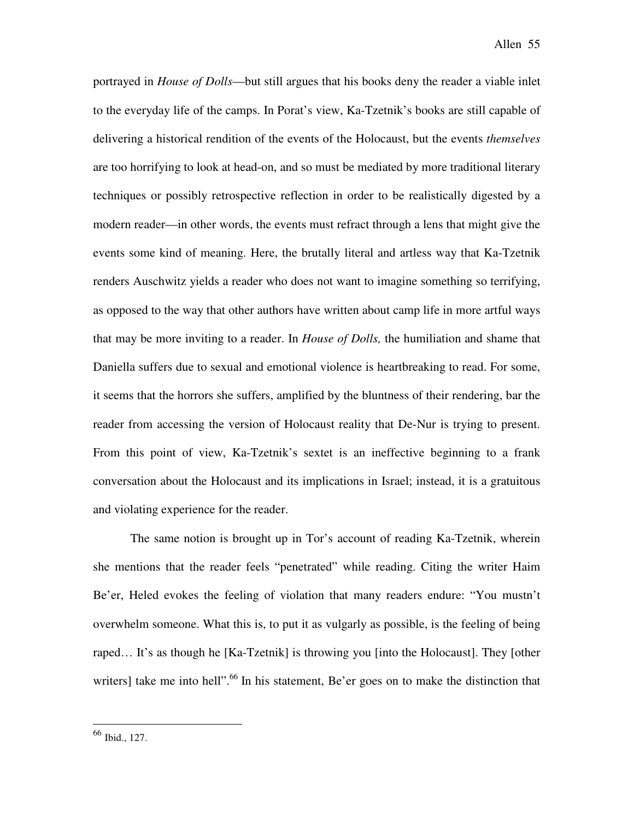portrayed in *House of Dolls*—but still argues that his books deny the reader a viable inlet to the everyday life of the camps. In Porat's view, Ka-Tzetnik's books are still capable of delivering a historical rendition of the events of the Holocaust, but the events *themselves*  are too horrifying to look at head-on, and so must be mediated by more traditional literary techniques or possibly retrospective reflection in order to be realistically digested by a modern reader—in other words, the events must refract through a lens that might give the events some kind of meaning. Here, the brutally literal and artless way that Ka-Tzetnik renders Auschwitz yields a reader who does not want to imagine something so terrifying, as opposed to the way that other authors have written about camp life in more artful ways that may be more inviting to a reader. In *House of Dolls,* the humiliation and shame that Daniella suffers due to sexual and emotional violence is heartbreaking to read. For some, it seems that the horrors she suffers, amplified by the bluntness of their rendering, bar the reader from accessing the version of Holocaust reality that De-Nur is trying to present. From this point of view, Ka-Tzetnik's sextet is an ineffective beginning to a frank conversation about the Holocaust and its implications in Israel; instead, it is a gratuitous and violating experience for the reader.

The same notion is brought up in Tor's account of reading Ka-Tzetnik, wherein she mentions that the reader feels "penetrated" while reading. Citing the writer Haim Be'er, Heled evokes the feeling of violation that many readers endure: "You mustn't overwhelm someone. What this is, to put it as vulgarly as possible, is the feeling of being raped… It's as though he [Ka-Tzetnik] is throwing you [into the Holocaust]. They [other writers] take me into hell".<sup>66</sup> In his statement, Be'er goes on to make the distinction that

<u>.</u>

<sup>&</sup>lt;sup>66</sup> Ibid., 127.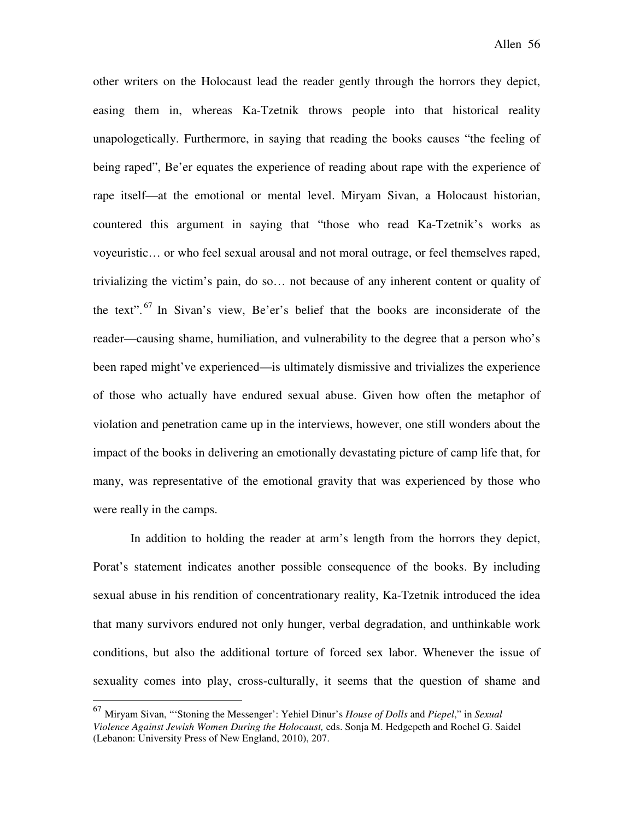other writers on the Holocaust lead the reader gently through the horrors they depict, easing them in, whereas Ka-Tzetnik throws people into that historical reality unapologetically. Furthermore, in saying that reading the books causes "the feeling of being raped", Be'er equates the experience of reading about rape with the experience of rape itself—at the emotional or mental level. Miryam Sivan, a Holocaust historian, countered this argument in saying that "those who read Ka-Tzetnik's works as voyeuristic… or who feel sexual arousal and not moral outrage, or feel themselves raped, trivializing the victim's pain, do so… not because of any inherent content or quality of the text".  $67$  In Sivan's view, Be'er's belief that the books are inconsiderate of the reader—causing shame, humiliation, and vulnerability to the degree that a person who's been raped might've experienced—is ultimately dismissive and trivializes the experience of those who actually have endured sexual abuse. Given how often the metaphor of violation and penetration came up in the interviews, however, one still wonders about the impact of the books in delivering an emotionally devastating picture of camp life that, for many, was representative of the emotional gravity that was experienced by those who were really in the camps.

 In addition to holding the reader at arm's length from the horrors they depict, Porat's statement indicates another possible consequence of the books. By including sexual abuse in his rendition of concentrationary reality, Ka-Tzetnik introduced the idea that many survivors endured not only hunger, verbal degradation, and unthinkable work conditions, but also the additional torture of forced sex labor. Whenever the issue of sexuality comes into play, cross-culturally, it seems that the question of shame and

<sup>67</sup> Miryam Sivan, "'Stoning the Messenger': Yehiel Dinur's *House of Dolls* and *Piepel*," in *Sexual Violence Against Jewish Women During the Holocaust,* eds. Sonja M. Hedgepeth and Rochel G. Saidel (Lebanon: University Press of New England, 2010), 207.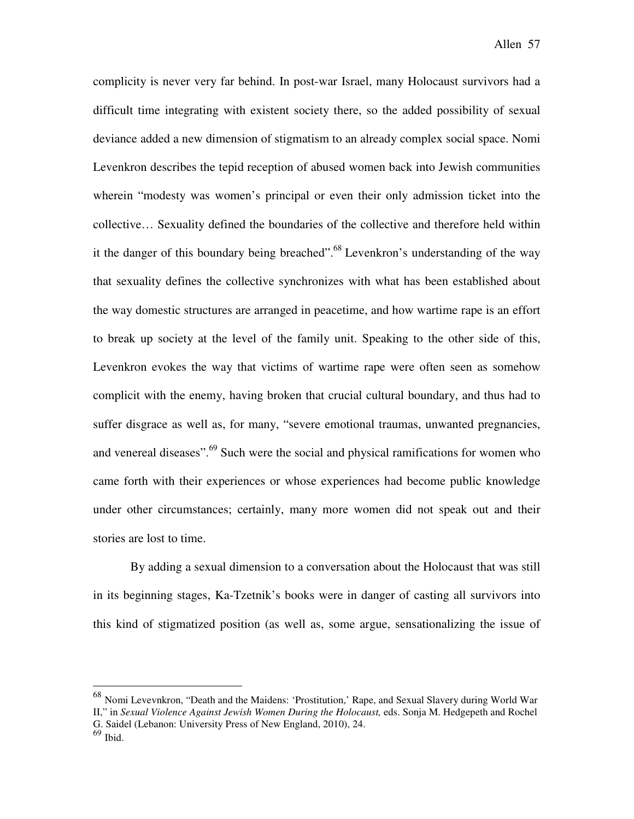complicity is never very far behind. In post-war Israel, many Holocaust survivors had a difficult time integrating with existent society there, so the added possibility of sexual deviance added a new dimension of stigmatism to an already complex social space. Nomi Levenkron describes the tepid reception of abused women back into Jewish communities wherein "modesty was women's principal or even their only admission ticket into the collective… Sexuality defined the boundaries of the collective and therefore held within it the danger of this boundary being breached".<sup>68</sup> Levenkron's understanding of the way that sexuality defines the collective synchronizes with what has been established about the way domestic structures are arranged in peacetime, and how wartime rape is an effort to break up society at the level of the family unit. Speaking to the other side of this, Levenkron evokes the way that victims of wartime rape were often seen as somehow complicit with the enemy, having broken that crucial cultural boundary, and thus had to suffer disgrace as well as, for many, "severe emotional traumas, unwanted pregnancies, and venereal diseases".<sup>69</sup> Such were the social and physical ramifications for women who came forth with their experiences or whose experiences had become public knowledge under other circumstances; certainly, many more women did not speak out and their stories are lost to time.

 By adding a sexual dimension to a conversation about the Holocaust that was still in its beginning stages, Ka-Tzetnik's books were in danger of casting all survivors into this kind of stigmatized position (as well as, some argue, sensationalizing the issue of

<sup>68</sup> Nomi Levevnkron, "Death and the Maidens: 'Prostitution,' Rape, and Sexual Slavery during World War II," in *Sexual Violence Against Jewish Women During the Holocaust,* eds. Sonja M. Hedgepeth and Rochel

G. Saidel (Lebanon: University Press of New England, 2010), 24.

 $^{69}$  Ibid.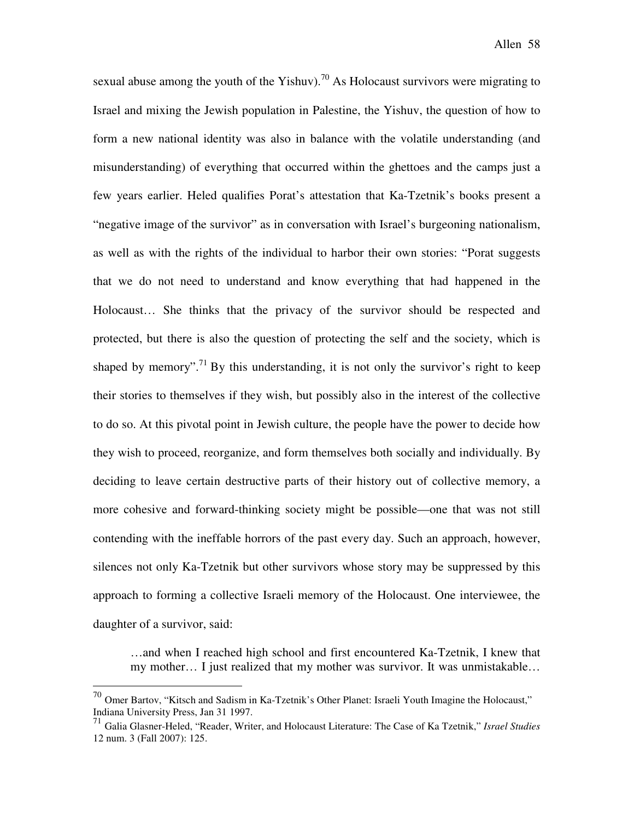sexual abuse among the youth of the Yishuv).<sup>70</sup> As Holocaust survivors were migrating to Israel and mixing the Jewish population in Palestine, the Yishuv, the question of how to form a new national identity was also in balance with the volatile understanding (and misunderstanding) of everything that occurred within the ghettoes and the camps just a few years earlier. Heled qualifies Porat's attestation that Ka-Tzetnik's books present a "negative image of the survivor" as in conversation with Israel's burgeoning nationalism, as well as with the rights of the individual to harbor their own stories: "Porat suggests that we do not need to understand and know everything that had happened in the Holocaust… She thinks that the privacy of the survivor should be respected and protected, but there is also the question of protecting the self and the society, which is shaped by memory".<sup>71</sup> By this understanding, it is not only the survivor's right to keep their stories to themselves if they wish, but possibly also in the interest of the collective to do so. At this pivotal point in Jewish culture, the people have the power to decide how they wish to proceed, reorganize, and form themselves both socially and individually. By deciding to leave certain destructive parts of their history out of collective memory, a more cohesive and forward-thinking society might be possible—one that was not still contending with the ineffable horrors of the past every day. Such an approach, however, silences not only Ka-Tzetnik but other survivors whose story may be suppressed by this approach to forming a collective Israeli memory of the Holocaust. One interviewee, the daughter of a survivor, said:

…and when I reached high school and first encountered Ka-Tzetnik, I knew that my mother… I just realized that my mother was survivor. It was unmistakable…

<sup>70</sup> Omer Bartov, "Kitsch and Sadism in Ka-Tzetnik's Other Planet: Israeli Youth Imagine the Holocaust," Indiana University Press, Jan 31 1997.

<sup>71</sup> Galia Glasner-Heled, "Reader, Writer, and Holocaust Literature: The Case of Ka Tzetnik," *Israel Studies*  12 num. 3 (Fall 2007): 125.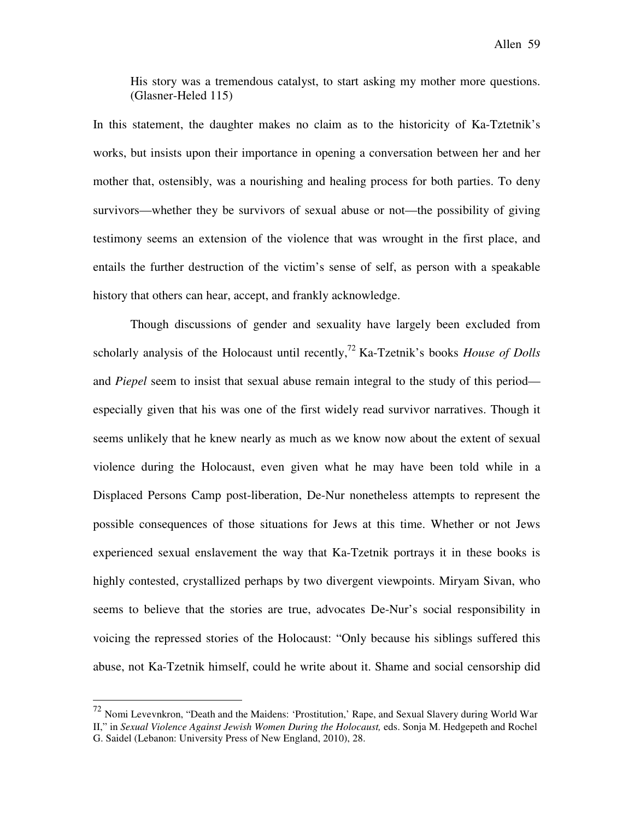His story was a tremendous catalyst, to start asking my mother more questions. (Glasner-Heled 115)

In this statement, the daughter makes no claim as to the historicity of Ka-Tztetnik's works, but insists upon their importance in opening a conversation between her and her mother that, ostensibly, was a nourishing and healing process for both parties. To deny survivors—whether they be survivors of sexual abuse or not—the possibility of giving testimony seems an extension of the violence that was wrought in the first place, and entails the further destruction of the victim's sense of self, as person with a speakable history that others can hear, accept, and frankly acknowledge.

Though discussions of gender and sexuality have largely been excluded from scholarly analysis of the Holocaust until recently,<sup>72</sup> Ka-Tzetnik's books *House of Dolls* and *Piepel* seem to insist that sexual abuse remain integral to the study of this period especially given that his was one of the first widely read survivor narratives. Though it seems unlikely that he knew nearly as much as we know now about the extent of sexual violence during the Holocaust, even given what he may have been told while in a Displaced Persons Camp post-liberation, De-Nur nonetheless attempts to represent the possible consequences of those situations for Jews at this time. Whether or not Jews experienced sexual enslavement the way that Ka-Tzetnik portrays it in these books is highly contested, crystallized perhaps by two divergent viewpoints. Miryam Sivan, who seems to believe that the stories are true, advocates De-Nur's social responsibility in voicing the repressed stories of the Holocaust: "Only because his siblings suffered this abuse, not Ka-Tzetnik himself, could he write about it. Shame and social censorship did

 $\overline{a}$ 

 $72$  Nomi Levevnkron, "Death and the Maidens: 'Prostitution,' Rape, and Sexual Slavery during World War II," in *Sexual Violence Against Jewish Women During the Holocaust,* eds. Sonja M. Hedgepeth and Rochel G. Saidel (Lebanon: University Press of New England, 2010), 28.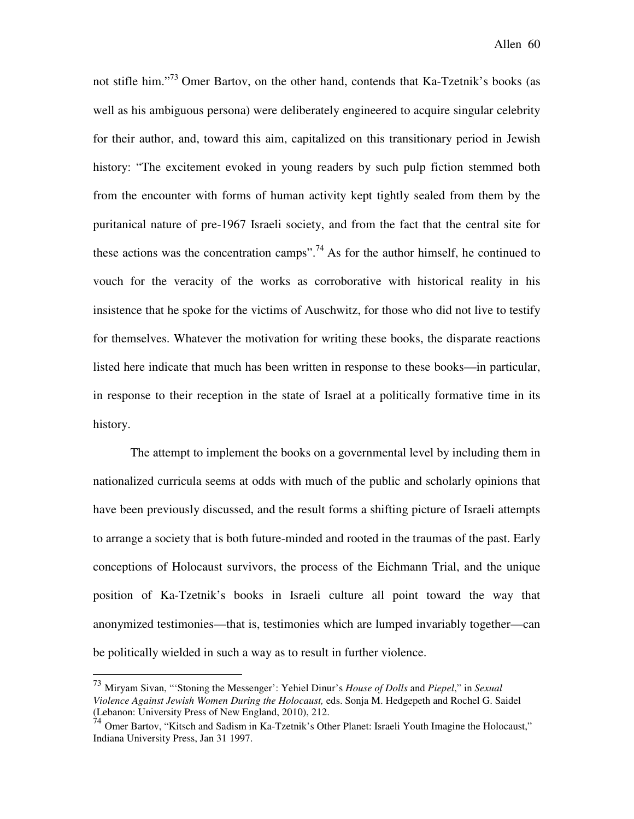not stifle him."<sup>73</sup> Omer Bartov, on the other hand, contends that Ka-Tzetnik's books (as well as his ambiguous persona) were deliberately engineered to acquire singular celebrity for their author, and, toward this aim, capitalized on this transitionary period in Jewish history: "The excitement evoked in young readers by such pulp fiction stemmed both from the encounter with forms of human activity kept tightly sealed from them by the puritanical nature of pre-1967 Israeli society, and from the fact that the central site for these actions was the concentration camps".<sup>74</sup> As for the author himself, he continued to vouch for the veracity of the works as corroborative with historical reality in his insistence that he spoke for the victims of Auschwitz, for those who did not live to testify for themselves. Whatever the motivation for writing these books, the disparate reactions listed here indicate that much has been written in response to these books—in particular, in response to their reception in the state of Israel at a politically formative time in its history.

The attempt to implement the books on a governmental level by including them in nationalized curricula seems at odds with much of the public and scholarly opinions that have been previously discussed, and the result forms a shifting picture of Israeli attempts to arrange a society that is both future-minded and rooted in the traumas of the past. Early conceptions of Holocaust survivors, the process of the Eichmann Trial, and the unique position of Ka-Tzetnik's books in Israeli culture all point toward the way that anonymized testimonies—that is, testimonies which are lumped invariably together—can be politically wielded in such a way as to result in further violence.

<sup>73</sup> Miryam Sivan, "'Stoning the Messenger': Yehiel Dinur's *House of Dolls* and *Piepel*," in *Sexual Violence Against Jewish Women During the Holocaust,* eds. Sonja M. Hedgepeth and Rochel G. Saidel (Lebanon: University Press of New England, 2010), 212.

<sup>&</sup>lt;sup>74</sup> Omer Bartov, "Kitsch and Sadism in Ka-Tzetnik's Other Planet: Israeli Youth Imagine the Holocaust," Indiana University Press, Jan 31 1997.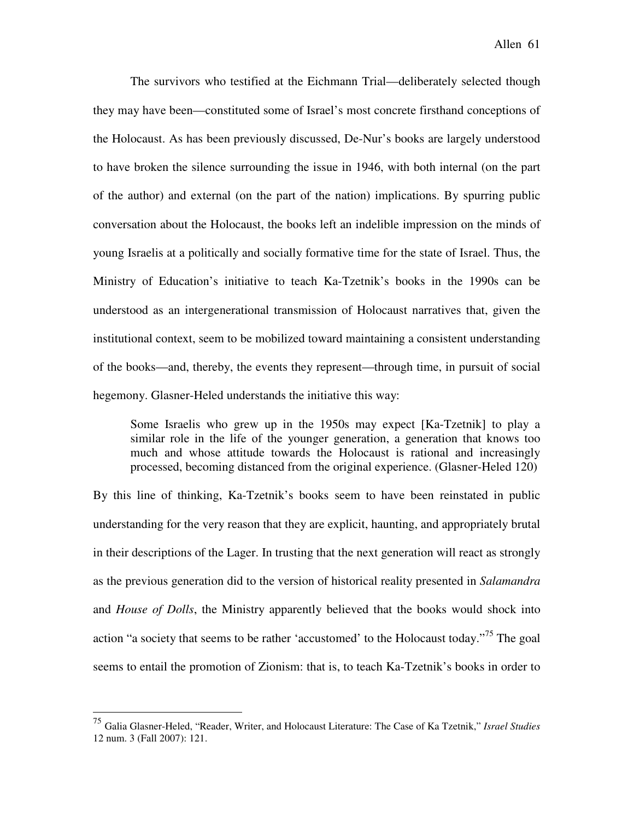The survivors who testified at the Eichmann Trial—deliberately selected though they may have been—constituted some of Israel's most concrete firsthand conceptions of the Holocaust. As has been previously discussed, De-Nur's books are largely understood to have broken the silence surrounding the issue in 1946, with both internal (on the part of the author) and external (on the part of the nation) implications. By spurring public conversation about the Holocaust, the books left an indelible impression on the minds of young Israelis at a politically and socially formative time for the state of Israel. Thus, the Ministry of Education's initiative to teach Ka-Tzetnik's books in the 1990s can be understood as an intergenerational transmission of Holocaust narratives that, given the institutional context, seem to be mobilized toward maintaining a consistent understanding of the books—and, thereby, the events they represent—through time, in pursuit of social hegemony. Glasner-Heled understands the initiative this way:

Some Israelis who grew up in the 1950s may expect [Ka-Tzetnik] to play a similar role in the life of the younger generation, a generation that knows too much and whose attitude towards the Holocaust is rational and increasingly processed, becoming distanced from the original experience. (Glasner-Heled 120)

By this line of thinking, Ka-Tzetnik's books seem to have been reinstated in public understanding for the very reason that they are explicit, haunting, and appropriately brutal in their descriptions of the Lager. In trusting that the next generation will react as strongly as the previous generation did to the version of historical reality presented in *Salamandra* and *House of Dolls*, the Ministry apparently believed that the books would shock into action "a society that seems to be rather 'accustomed' to the Holocaust today."<sup>75</sup> The goal seems to entail the promotion of Zionism: that is, to teach Ka-Tzetnik's books in order to

<sup>75</sup> Galia Glasner-Heled, "Reader, Writer, and Holocaust Literature: The Case of Ka Tzetnik," *Israel Studies*  12 num. 3 (Fall 2007): 121.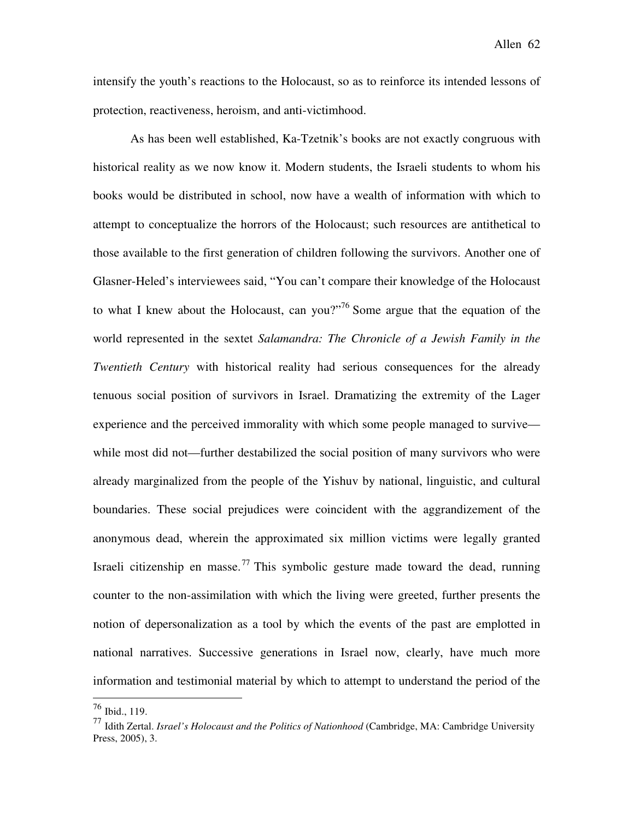intensify the youth's reactions to the Holocaust, so as to reinforce its intended lessons of protection, reactiveness, heroism, and anti-victimhood.

As has been well established, Ka-Tzetnik's books are not exactly congruous with historical reality as we now know it. Modern students, the Israeli students to whom his books would be distributed in school, now have a wealth of information with which to attempt to conceptualize the horrors of the Holocaust; such resources are antithetical to those available to the first generation of children following the survivors. Another one of Glasner-Heled's interviewees said, "You can't compare their knowledge of the Holocaust to what I knew about the Holocaust, can you?"<sup>76</sup> Some argue that the equation of the world represented in the sextet *Salamandra: The Chronicle of a Jewish Family in the Twentieth Century* with historical reality had serious consequences for the already tenuous social position of survivors in Israel. Dramatizing the extremity of the Lager experience and the perceived immorality with which some people managed to survive while most did not—further destabilized the social position of many survivors who were already marginalized from the people of the Yishuv by national, linguistic, and cultural boundaries. These social prejudices were coincident with the aggrandizement of the anonymous dead, wherein the approximated six million victims were legally granted Israeli citizenship en masse.<sup>77</sup> This symbolic gesture made toward the dead, running counter to the non-assimilation with which the living were greeted, further presents the notion of depersonalization as a tool by which the events of the past are emplotted in national narratives. Successive generations in Israel now, clearly, have much more information and testimonial material by which to attempt to understand the period of the

 $^{76}$  Ibid., 119.

<sup>77</sup> Idith Zertal. *Israel's Holocaust and the Politics of Nationhood* (Cambridge, MA: Cambridge University Press, 2005), 3.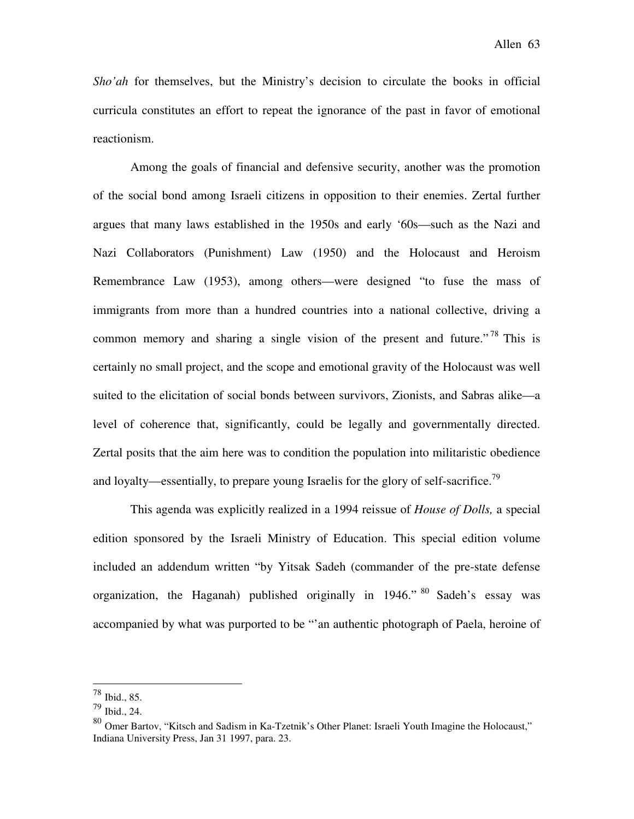*Sho'ah* for themselves, but the Ministry's decision to circulate the books in official curricula constitutes an effort to repeat the ignorance of the past in favor of emotional reactionism.

Among the goals of financial and defensive security, another was the promotion of the social bond among Israeli citizens in opposition to their enemies. Zertal further argues that many laws established in the 1950s and early '60s—such as the Nazi and Nazi Collaborators (Punishment) Law (1950) and the Holocaust and Heroism Remembrance Law (1953), among others—were designed "to fuse the mass of immigrants from more than a hundred countries into a national collective, driving a common memory and sharing a single vision of the present and future.<sup> $78$ </sup> This is certainly no small project, and the scope and emotional gravity of the Holocaust was well suited to the elicitation of social bonds between survivors, Zionists, and Sabras alike—a level of coherence that, significantly, could be legally and governmentally directed. Zertal posits that the aim here was to condition the population into militaristic obedience and loyalty—essentially, to prepare young Israelis for the glory of self-sacrifice.<sup>79</sup>

This agenda was explicitly realized in a 1994 reissue of *House of Dolls,* a special edition sponsored by the Israeli Ministry of Education. This special edition volume included an addendum written "by Yitsak Sadeh (commander of the pre-state defense organization, the Haganah) published originally in  $1946$ ."  $80$  Sadeh's essay was accompanied by what was purported to be "'an authentic photograph of Paela, heroine of

 $78$  Ibid., 85.

<sup>79</sup> Ibid., 24.

<sup>80</sup> Omer Bartov, "Kitsch and Sadism in Ka-Tzetnik's Other Planet: Israeli Youth Imagine the Holocaust," Indiana University Press, Jan 31 1997, para. 23.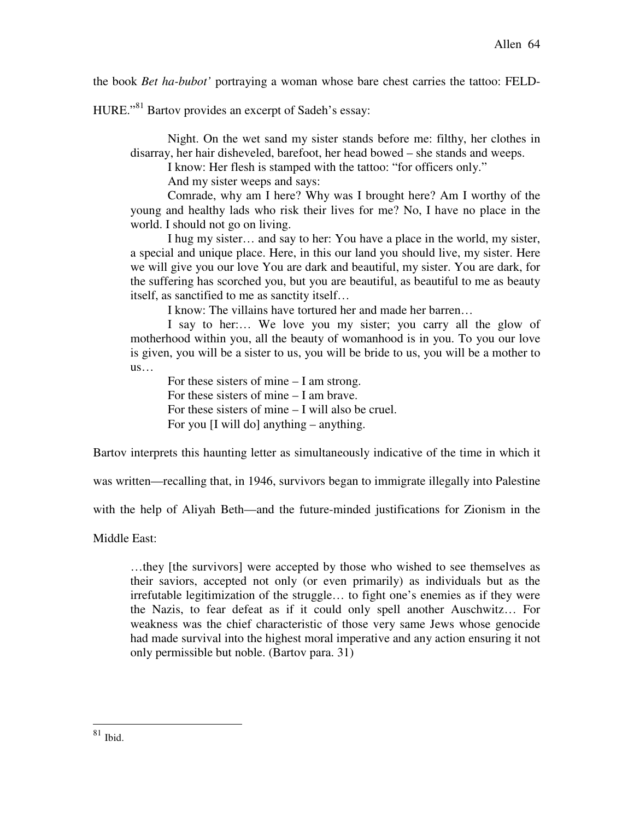the book *Bet ha-bubot'* portraying a woman whose bare chest carries the tattoo: FELD-

HURE."<sup>81</sup> Bartov provides an excerpt of Sadeh's essay:

Night. On the wet sand my sister stands before me: filthy, her clothes in disarray, her hair disheveled, barefoot, her head bowed – she stands and weeps.

I know: Her flesh is stamped with the tattoo: "for officers only."

And my sister weeps and says:

Comrade, why am I here? Why was I brought here? Am I worthy of the young and healthy lads who risk their lives for me? No, I have no place in the world. I should not go on living.

I hug my sister… and say to her: You have a place in the world, my sister, a special and unique place. Here, in this our land you should live, my sister. Here we will give you our love You are dark and beautiful, my sister. You are dark, for the suffering has scorched you, but you are beautiful, as beautiful to me as beauty itself, as sanctified to me as sanctity itself…

I know: The villains have tortured her and made her barren…

I say to her:… We love you my sister; you carry all the glow of motherhood within you, all the beauty of womanhood is in you. To you our love is given, you will be a sister to us, you will be bride to us, you will be a mother to  $us...$ 

For these sisters of mine – I am strong. For these sisters of mine – I am brave. For these sisters of mine – I will also be cruel. For you  $[I \text{ will do}]$  anything – anything.

Bartov interprets this haunting letter as simultaneously indicative of the time in which it

was written—recalling that, in 1946, survivors began to immigrate illegally into Palestine

with the help of Aliyah Beth—and the future-minded justifications for Zionism in the

Middle East:

…they [the survivors] were accepted by those who wished to see themselves as their saviors, accepted not only (or even primarily) as individuals but as the irrefutable legitimization of the struggle… to fight one's enemies as if they were the Nazis, to fear defeat as if it could only spell another Auschwitz… For weakness was the chief characteristic of those very same Jews whose genocide had made survival into the highest moral imperative and any action ensuring it not only permissible but noble. (Bartov para. 31)

<u>.</u>

 $81$  Ibid.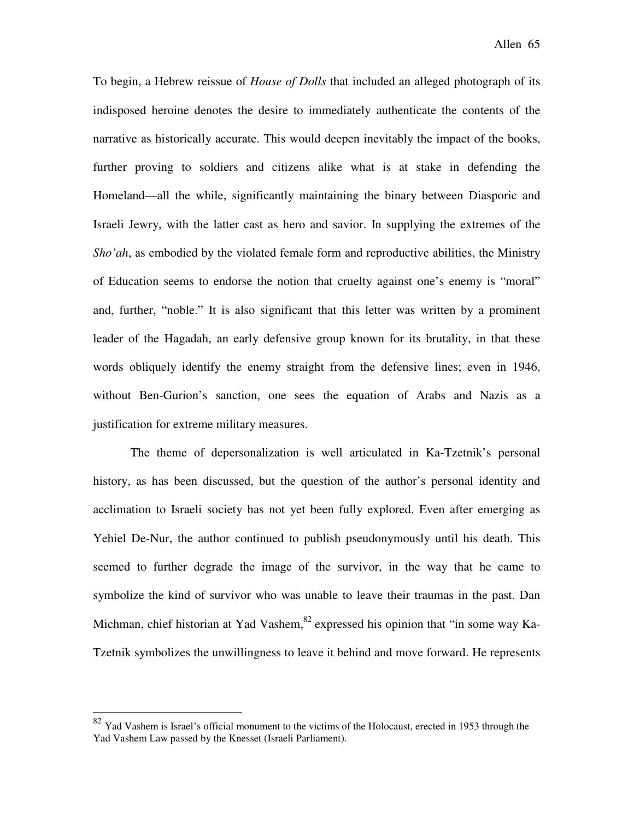To begin, a Hebrew reissue of *House of Dolls* that included an alleged photograph of its indisposed heroine denotes the desire to immediately authenticate the contents of the narrative as historically accurate. This would deepen inevitably the impact of the books, further proving to soldiers and citizens alike what is at stake in defending the Homeland—all the while, significantly maintaining the binary between Diasporic and Israeli Jewry, with the latter cast as hero and savior. In supplying the extremes of the *Sho'ah*, as embodied by the violated female form and reproductive abilities, the Ministry of Education seems to endorse the notion that cruelty against one's enemy is "moral" and, further, "noble." It is also significant that this letter was written by a prominent leader of the Hagadah, an early defensive group known for its brutality, in that these words obliquely identify the enemy straight from the defensive lines; even in 1946, without Ben-Gurion's sanction, one sees the equation of Arabs and Nazis as a justification for extreme military measures.

The theme of depersonalization is well articulated in Ka-Tzetnik's personal history, as has been discussed, but the question of the author's personal identity and acclimation to Israeli society has not yet been fully explored. Even after emerging as Yehiel De-Nur, the author continued to publish pseudonymously until his death. This seemed to further degrade the image of the survivor, in the way that he came to symbolize the kind of survivor who was unable to leave their traumas in the past. Dan Michman, chief historian at Yad Vashem,  $82$  expressed his opinion that "in some way Ka-Tzetnik symbolizes the unwillingness to leave it behind and move forward. He represents

 $82$  Yad Vashem is Israel's official monument to the victims of the Holocaust, erected in 1953 through the Yad Vashem Law passed by the Knesset (Israeli Parliament).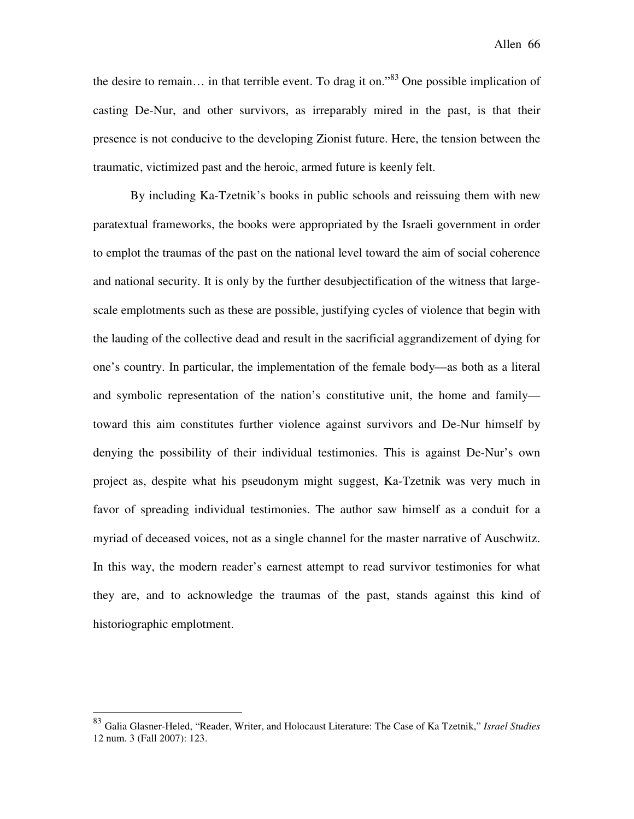the desire to remain... in that terrible event. To drag it on.<sup>383</sup> One possible implication of casting De-Nur, and other survivors, as irreparably mired in the past, is that their presence is not conducive to the developing Zionist future. Here, the tension between the traumatic, victimized past and the heroic, armed future is keenly felt.

By including Ka-Tzetnik's books in public schools and reissuing them with new paratextual frameworks, the books were appropriated by the Israeli government in order to emplot the traumas of the past on the national level toward the aim of social coherence and national security. It is only by the further desubjectification of the witness that largescale emplotments such as these are possible, justifying cycles of violence that begin with the lauding of the collective dead and result in the sacrificial aggrandizement of dying for one's country. In particular, the implementation of the female body—as both as a literal and symbolic representation of the nation's constitutive unit, the home and family toward this aim constitutes further violence against survivors and De-Nur himself by denying the possibility of their individual testimonies. This is against De-Nur's own project as, despite what his pseudonym might suggest, Ka-Tzetnik was very much in favor of spreading individual testimonies. The author saw himself as a conduit for a myriad of deceased voices, not as a single channel for the master narrative of Auschwitz. In this way, the modern reader's earnest attempt to read survivor testimonies for what they are, and to acknowledge the traumas of the past, stands against this kind of historiographic emplotment.

<sup>83</sup> Galia Glasner-Heled, "Reader, Writer, and Holocaust Literature: The Case of Ka Tzetnik," *Israel Studies*  12 num. 3 (Fall 2007): 123.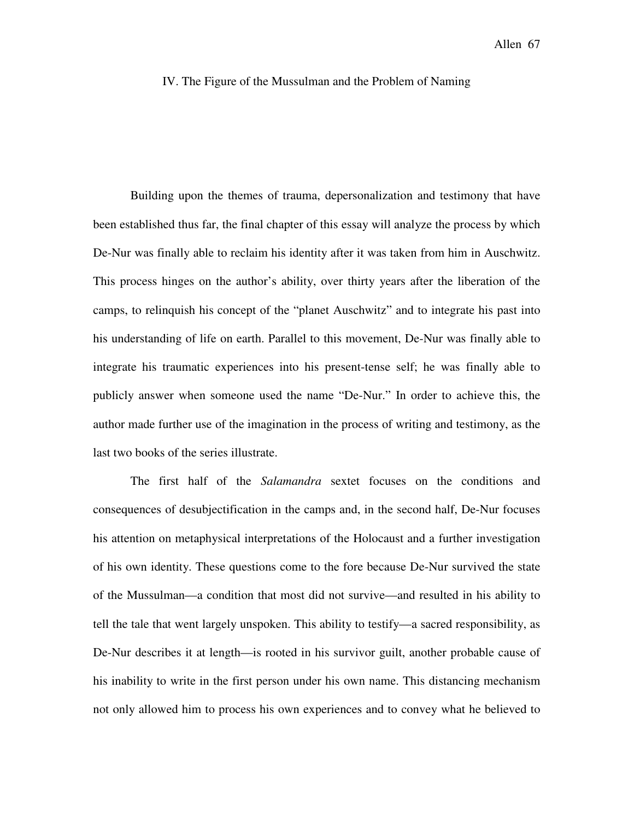## IV. The Figure of the Mussulman and the Problem of Naming

 Building upon the themes of trauma, depersonalization and testimony that have been established thus far, the final chapter of this essay will analyze the process by which De-Nur was finally able to reclaim his identity after it was taken from him in Auschwitz. This process hinges on the author's ability, over thirty years after the liberation of the camps, to relinquish his concept of the "planet Auschwitz" and to integrate his past into his understanding of life on earth. Parallel to this movement, De-Nur was finally able to integrate his traumatic experiences into his present-tense self; he was finally able to publicly answer when someone used the name "De-Nur." In order to achieve this, the author made further use of the imagination in the process of writing and testimony, as the last two books of the series illustrate.

 The first half of the *Salamandra* sextet focuses on the conditions and consequences of desubjectification in the camps and, in the second half, De-Nur focuses his attention on metaphysical interpretations of the Holocaust and a further investigation of his own identity. These questions come to the fore because De-Nur survived the state of the Mussulman—a condition that most did not survive—and resulted in his ability to tell the tale that went largely unspoken. This ability to testify—a sacred responsibility, as De-Nur describes it at length—is rooted in his survivor guilt, another probable cause of his inability to write in the first person under his own name. This distancing mechanism not only allowed him to process his own experiences and to convey what he believed to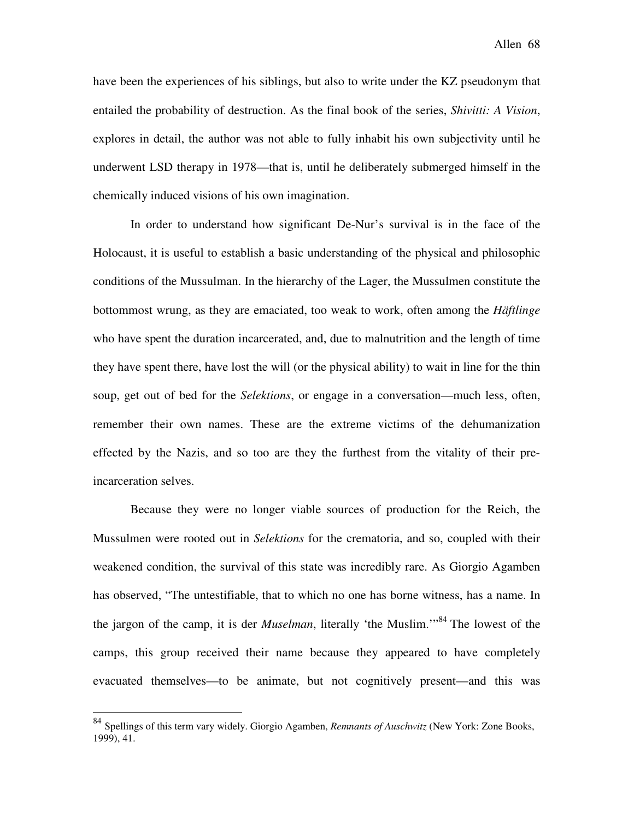have been the experiences of his siblings, but also to write under the KZ pseudonym that entailed the probability of destruction. As the final book of the series, *Shivitti: A Vision*, explores in detail, the author was not able to fully inhabit his own subjectivity until he underwent LSD therapy in 1978—that is, until he deliberately submerged himself in the chemically induced visions of his own imagination.

 In order to understand how significant De-Nur's survival is in the face of the Holocaust, it is useful to establish a basic understanding of the physical and philosophic conditions of the Mussulman. In the hierarchy of the Lager, the Mussulmen constitute the bottommost wrung, as they are emaciated, too weak to work, often among the *Häftlinge*  who have spent the duration incarcerated, and, due to malnutrition and the length of time they have spent there, have lost the will (or the physical ability) to wait in line for the thin soup, get out of bed for the *Selektions*, or engage in a conversation—much less, often, remember their own names. These are the extreme victims of the dehumanization effected by the Nazis, and so too are they the furthest from the vitality of their preincarceration selves.

Because they were no longer viable sources of production for the Reich, the Mussulmen were rooted out in *Selektions* for the crematoria, and so, coupled with their weakened condition, the survival of this state was incredibly rare. As Giorgio Agamben has observed, "The untestifiable, that to which no one has borne witness, has a name. In the jargon of the camp, it is der *Muselman*, literally 'the Muslim.'"<sup>84</sup> The lowest of the camps, this group received their name because they appeared to have completely evacuated themselves—to be animate, but not cognitively present—and this was

<sup>84</sup> Spellings of this term vary widely. Giorgio Agamben, *Remnants of Auschwitz* (New York: Zone Books, 1999), 41.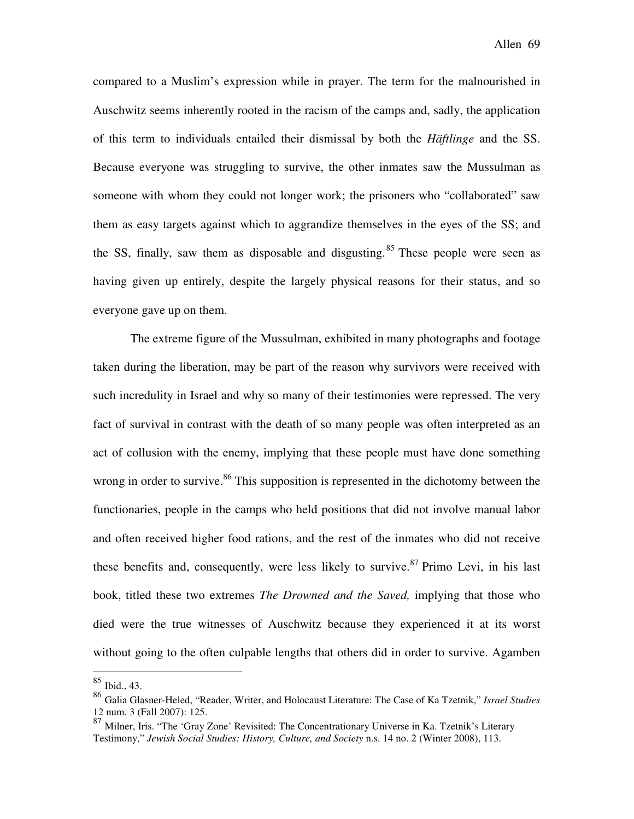compared to a Muslim's expression while in prayer. The term for the malnourished in Auschwitz seems inherently rooted in the racism of the camps and, sadly, the application of this term to individuals entailed their dismissal by both the *Häftlinge* and the SS. Because everyone was struggling to survive, the other inmates saw the Mussulman as someone with whom they could not longer work; the prisoners who "collaborated" saw them as easy targets against which to aggrandize themselves in the eyes of the SS; and the SS, finally, saw them as disposable and disgusting.<sup>85</sup> These people were seen as having given up entirely, despite the largely physical reasons for their status, and so everyone gave up on them.

 The extreme figure of the Mussulman, exhibited in many photographs and footage taken during the liberation, may be part of the reason why survivors were received with such incredulity in Israel and why so many of their testimonies were repressed. The very fact of survival in contrast with the death of so many people was often interpreted as an act of collusion with the enemy, implying that these people must have done something wrong in order to survive.<sup>86</sup> This supposition is represented in the dichotomy between the functionaries, people in the camps who held positions that did not involve manual labor and often received higher food rations, and the rest of the inmates who did not receive these benefits and, consequently, were less likely to survive.<sup>87</sup> Primo Levi, in his last book, titled these two extremes *The Drowned and the Saved,* implying that those who died were the true witnesses of Auschwitz because they experienced it at its worst without going to the often culpable lengths that others did in order to survive. Agamben

<u>.</u>

 $85$  Ibid., 43.

<sup>86</sup> Galia Glasner-Heled, "Reader, Writer, and Holocaust Literature: The Case of Ka Tzetnik," *Israel Studies*  12 num. 3 (Fall 2007): 125.

<sup>87</sup> Milner, Iris. "The 'Gray Zone' Revisited: The Concentrationary Universe in Ka. Tzetnik's Literary Testimony," *Jewish Social Studies: History, Culture, and Society* n.s. 14 no. 2 (Winter 2008), 113.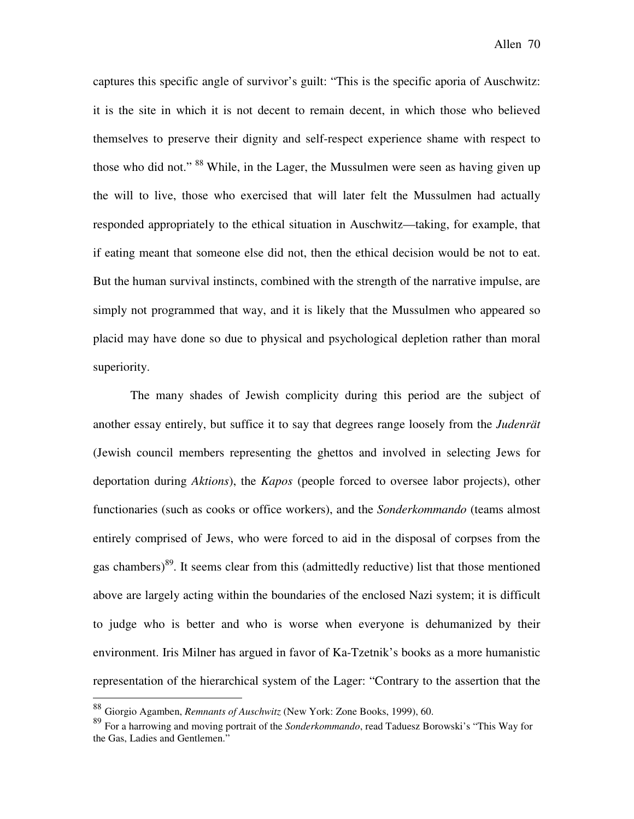captures this specific angle of survivor's guilt: "This is the specific aporia of Auschwitz: it is the site in which it is not decent to remain decent, in which those who believed themselves to preserve their dignity and self-respect experience shame with respect to those who did not." <sup>88</sup> While, in the Lager, the Mussulmen were seen as having given up the will to live, those who exercised that will later felt the Mussulmen had actually responded appropriately to the ethical situation in Auschwitz—taking, for example, that if eating meant that someone else did not, then the ethical decision would be not to eat. But the human survival instincts, combined with the strength of the narrative impulse, are simply not programmed that way, and it is likely that the Mussulmen who appeared so placid may have done so due to physical and psychological depletion rather than moral superiority.

The many shades of Jewish complicity during this period are the subject of another essay entirely, but suffice it to say that degrees range loosely from the *Judenrät*  (Jewish council members representing the ghettos and involved in selecting Jews for deportation during *Aktions*), the *Kapos* (people forced to oversee labor projects), other functionaries (such as cooks or office workers), and the *Sonderkommando* (teams almost entirely comprised of Jews, who were forced to aid in the disposal of corpses from the gas chambers)<sup>89</sup>. It seems clear from this (admittedly reductive) list that those mentioned above are largely acting within the boundaries of the enclosed Nazi system; it is difficult to judge who is better and who is worse when everyone is dehumanized by their environment. Iris Milner has argued in favor of Ka-Tzetnik's books as a more humanistic representation of the hierarchical system of the Lager: "Contrary to the assertion that the

<sup>88</sup> Giorgio Agamben, *Remnants of Auschwitz* (New York: Zone Books, 1999), 60.

<sup>89</sup> For a harrowing and moving portrait of the *Sonderkommando*, read Taduesz Borowski's "This Way for the Gas, Ladies and Gentlemen."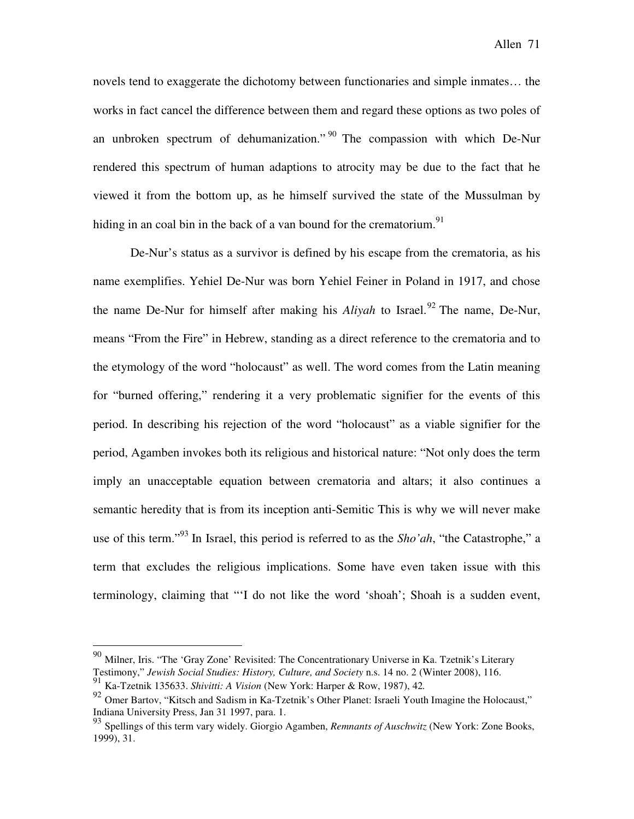novels tend to exaggerate the dichotomy between functionaries and simple inmates… the works in fact cancel the difference between them and regard these options as two poles of an unbroken spectrum of dehumanization." <sup>90</sup> The compassion with which De-Nur rendered this spectrum of human adaptions to atrocity may be due to the fact that he viewed it from the bottom up, as he himself survived the state of the Mussulman by hiding in an coal bin in the back of a van bound for the crematorium. $^{91}$ 

 De-Nur's status as a survivor is defined by his escape from the crematoria, as his name exemplifies. Yehiel De-Nur was born Yehiel Feiner in Poland in 1917, and chose the name De-Nur for himself after making his *Aliyah* to Israel.<sup>92</sup> The name, De-Nur, means "From the Fire" in Hebrew, standing as a direct reference to the crematoria and to the etymology of the word "holocaust" as well. The word comes from the Latin meaning for "burned offering," rendering it a very problematic signifier for the events of this period. In describing his rejection of the word "holocaust" as a viable signifier for the period, Agamben invokes both its religious and historical nature: "Not only does the term imply an unacceptable equation between crematoria and altars; it also continues a semantic heredity that is from its inception anti-Semitic This is why we will never make use of this term."<sup>93</sup> In Israel, this period is referred to as the *Sho'ah*, "the Catastrophe," a term that excludes the religious implications. Some have even taken issue with this terminology, claiming that "'I do not like the word 'shoah'; Shoah is a sudden event,

 $90$  Milner, Iris. "The 'Gray Zone' Revisited: The Concentrationary Universe in Ka. Tzetnik's Literary Testimony," *Jewish Social Studies: History, Culture, and Society* n.s. 14 no. 2 (Winter 2008), 116.

<sup>91</sup> Ka-Tzetnik 135633. *Shivitti: A Vision* (New York: Harper & Row, 1987), 42*.*

<sup>&</sup>lt;sup>92</sup> Omer Bartov, "Kitsch and Sadism in Ka-Tzetnik's Other Planet: Israeli Youth Imagine the Holocaust," Indiana University Press, Jan 31 1997, para. 1.

<sup>93</sup> Spellings of this term vary widely. Giorgio Agamben, *Remnants of Auschwitz* (New York: Zone Books, 1999), 31.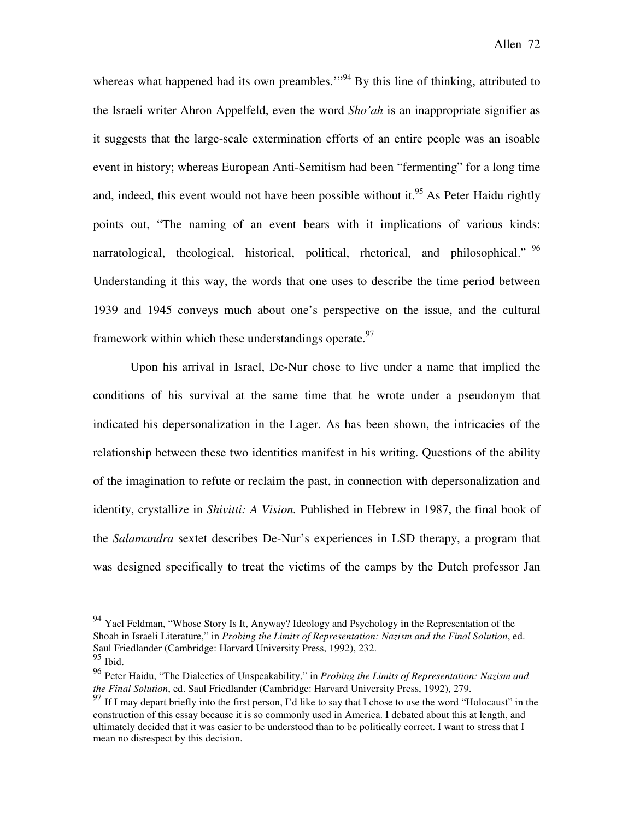whereas what happened had its own preambles."<sup>94</sup> By this line of thinking, attributed to the Israeli writer Ahron Appelfeld, even the word *Sho'ah* is an inappropriate signifier as it suggests that the large-scale extermination efforts of an entire people was an isoable event in history; whereas European Anti-Semitism had been "fermenting" for a long time and, indeed, this event would not have been possible without it.<sup>95</sup> As Peter Haidu rightly points out, "The naming of an event bears with it implications of various kinds: narratological, theological, historical, political, rhetorical, and philosophical." <sup>96</sup> Understanding it this way, the words that one uses to describe the time period between 1939 and 1945 conveys much about one's perspective on the issue, and the cultural framework within which these understandings operate.<sup>97</sup>

Upon his arrival in Israel, De-Nur chose to live under a name that implied the conditions of his survival at the same time that he wrote under a pseudonym that indicated his depersonalization in the Lager. As has been shown, the intricacies of the relationship between these two identities manifest in his writing. Questions of the ability of the imagination to refute or reclaim the past, in connection with depersonalization and identity, crystallize in *Shivitti: A Vision.* Published in Hebrew in 1987, the final book of the *Salamandra* sextet describes De-Nur's experiences in LSD therapy, a program that was designed specifically to treat the victims of the camps by the Dutch professor Jan

<sup>&</sup>lt;sup>94</sup> Yael Feldman, "Whose Story Is It, Anyway? Ideology and Psychology in the Representation of the Shoah in Israeli Literature," in *Probing the Limits of Representation: Nazism and the Final Solution*, ed. Saul Friedlander (Cambridge: Harvard University Press, 1992), 232.

<sup>95</sup> Ibid.

<sup>96</sup> Peter Haidu, "The Dialectics of Unspeakability," in *Probing the Limits of Representation: Nazism and the Final Solution*, ed. Saul Friedlander (Cambridge: Harvard University Press, 1992), 279.

 $^{97}$  If I may depart briefly into the first person, I'd like to say that I chose to use the word "Holocaust" in the construction of this essay because it is so commonly used in America. I debated about this at length, and ultimately decided that it was easier to be understood than to be politically correct. I want to stress that I mean no disrespect by this decision.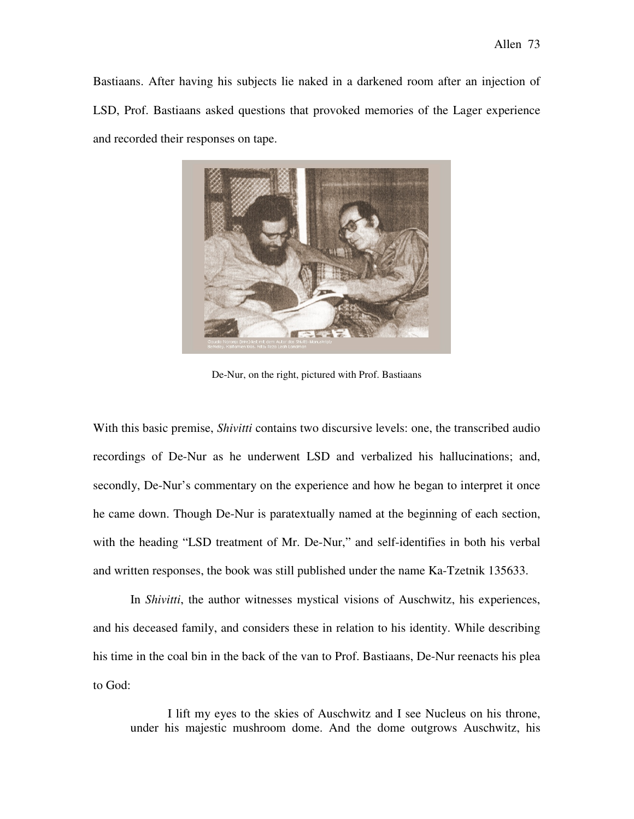Bastiaans. After having his subjects lie naked in a darkened room after an injection of LSD, Prof. Bastiaans asked questions that provoked memories of the Lager experience and recorded their responses on tape.



De-Nur, on the right, pictured with Prof. Bastiaans

With this basic premise, *Shivitti* contains two discursive levels: one, the transcribed audio recordings of De-Nur as he underwent LSD and verbalized his hallucinations; and, secondly, De-Nur's commentary on the experience and how he began to interpret it once he came down. Though De-Nur is paratextually named at the beginning of each section, with the heading "LSD treatment of Mr. De-Nur," and self-identifies in both his verbal and written responses, the book was still published under the name Ka-Tzetnik 135633.

 In *Shivitti*, the author witnesses mystical visions of Auschwitz, his experiences, and his deceased family, and considers these in relation to his identity. While describing his time in the coal bin in the back of the van to Prof. Bastiaans, De-Nur reenacts his plea to God:

I lift my eyes to the skies of Auschwitz and I see Nucleus on his throne, under his majestic mushroom dome. And the dome outgrows Auschwitz, his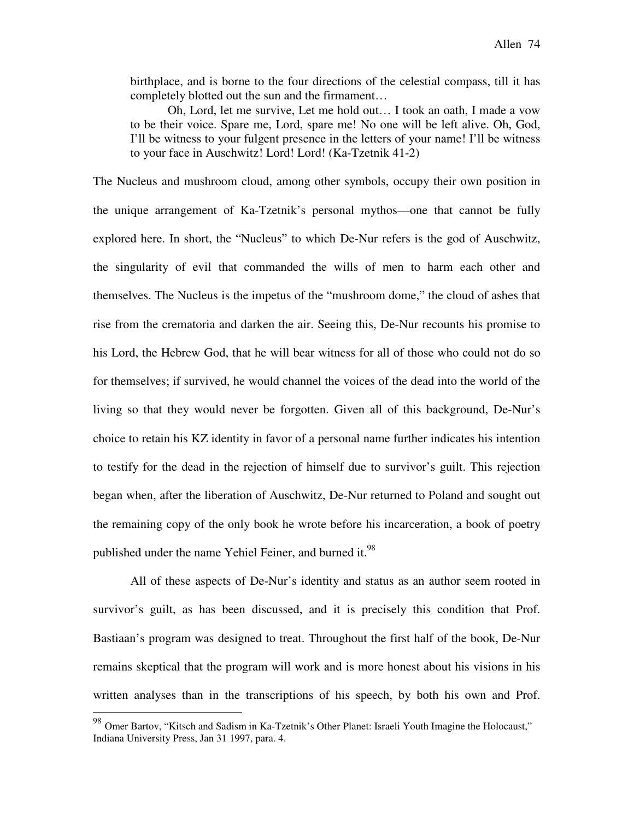birthplace, and is borne to the four directions of the celestial compass, till it has completely blotted out the sun and the firmament…

Oh, Lord, let me survive, Let me hold out… I took an oath, I made a vow to be their voice. Spare me, Lord, spare me! No one will be left alive. Oh, God, I'll be witness to your fulgent presence in the letters of your name! I'll be witness to your face in Auschwitz! Lord! Lord! (Ka-Tzetnik 41-2)

The Nucleus and mushroom cloud, among other symbols, occupy their own position in the unique arrangement of Ka-Tzetnik's personal mythos—one that cannot be fully explored here. In short, the "Nucleus" to which De-Nur refers is the god of Auschwitz, the singularity of evil that commanded the wills of men to harm each other and themselves. The Nucleus is the impetus of the "mushroom dome," the cloud of ashes that rise from the crematoria and darken the air. Seeing this, De-Nur recounts his promise to his Lord, the Hebrew God, that he will bear witness for all of those who could not do so for themselves; if survived, he would channel the voices of the dead into the world of the living so that they would never be forgotten. Given all of this background, De-Nur's choice to retain his KZ identity in favor of a personal name further indicates his intention to testify for the dead in the rejection of himself due to survivor's guilt. This rejection began when, after the liberation of Auschwitz, De-Nur returned to Poland and sought out the remaining copy of the only book he wrote before his incarceration, a book of poetry published under the name Yehiel Feiner, and burned it.<sup>98</sup>

 All of these aspects of De-Nur's identity and status as an author seem rooted in survivor's guilt, as has been discussed, and it is precisely this condition that Prof. Bastiaan's program was designed to treat. Throughout the first half of the book, De-Nur remains skeptical that the program will work and is more honest about his visions in his written analyses than in the transcriptions of his speech, by both his own and Prof.

-

<sup>&</sup>lt;sup>98</sup> Omer Bartov, "Kitsch and Sadism in Ka-Tzetnik's Other Planet: Israeli Youth Imagine the Holocaust," Indiana University Press, Jan 31 1997, para. 4.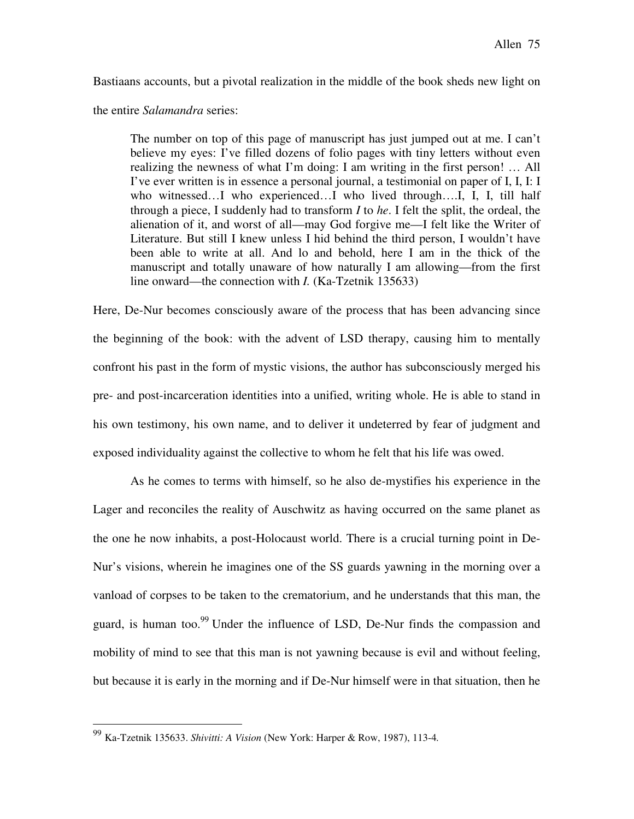Bastiaans accounts, but a pivotal realization in the middle of the book sheds new light on

the entire *Salamandra* series:

The number on top of this page of manuscript has just jumped out at me. I can't believe my eyes: I've filled dozens of folio pages with tiny letters without even realizing the newness of what I'm doing: I am writing in the first person! … All I've ever written is in essence a personal journal, a testimonial on paper of I, I, I: I who witnessed…I who experienced…I who lived through….I, I, I, till half through a piece, I suddenly had to transform *I* to *he*. I felt the split, the ordeal, the alienation of it, and worst of all—may God forgive me—I felt like the Writer of Literature. But still I knew unless I hid behind the third person, I wouldn't have been able to write at all. And lo and behold, here I am in the thick of the manuscript and totally unaware of how naturally I am allowing—from the first line onward—the connection with *I.* (Ka-Tzetnik 135633)

Here, De-Nur becomes consciously aware of the process that has been advancing since the beginning of the book: with the advent of LSD therapy, causing him to mentally confront his past in the form of mystic visions, the author has subconsciously merged his pre- and post-incarceration identities into a unified, writing whole. He is able to stand in his own testimony, his own name, and to deliver it undeterred by fear of judgment and exposed individuality against the collective to whom he felt that his life was owed.

 As he comes to terms with himself, so he also de-mystifies his experience in the Lager and reconciles the reality of Auschwitz as having occurred on the same planet as the one he now inhabits, a post-Holocaust world. There is a crucial turning point in De-Nur's visions, wherein he imagines one of the SS guards yawning in the morning over a vanload of corpses to be taken to the crematorium, and he understands that this man, the guard, is human too.<sup>99</sup> Under the influence of LSD, De-Nur finds the compassion and mobility of mind to see that this man is not yawning because is evil and without feeling, but because it is early in the morning and if De-Nur himself were in that situation, then he

<u>.</u>

<sup>99</sup> Ka-Tzetnik 135633. *Shivitti: A Vision* (New York: Harper & Row, 1987), 113-4*.*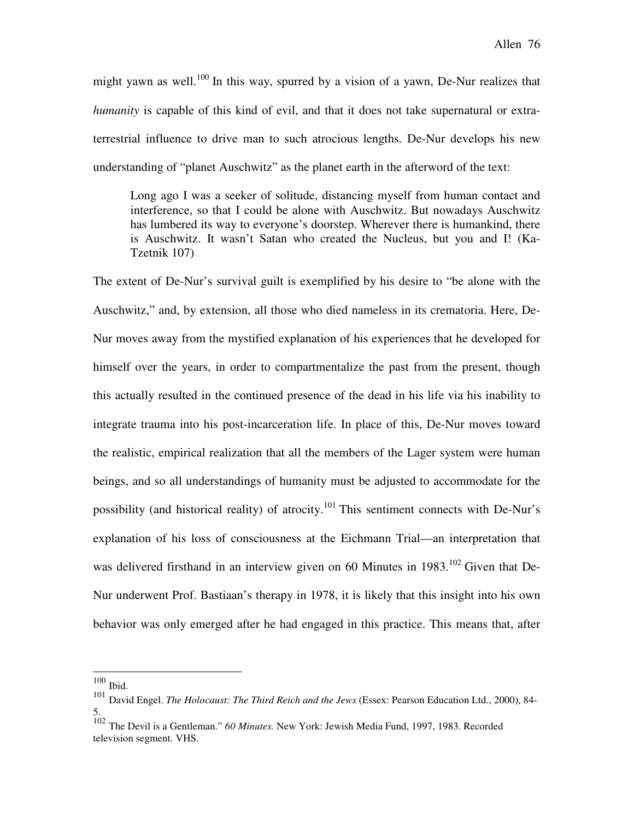might yawn as well.<sup>100</sup> In this way, spurred by a vision of a yawn, De-Nur realizes that *humanity* is capable of this kind of evil, and that it does not take supernatural or extraterrestrial influence to drive man to such atrocious lengths. De-Nur develops his new understanding of "planet Auschwitz" as the planet earth in the afterword of the text:

Long ago I was a seeker of solitude, distancing myself from human contact and interference, so that I could be alone with Auschwitz. But nowadays Auschwitz has lumbered its way to everyone's doorstep. Wherever there is humankind, there is Auschwitz. It wasn't Satan who created the Nucleus, but you and I! (Ka-Tzetnik 107)

The extent of De-Nur's survival guilt is exemplified by his desire to "be alone with the Auschwitz," and, by extension, all those who died nameless in its crematoria. Here, De-Nur moves away from the mystified explanation of his experiences that he developed for himself over the years, in order to compartmentalize the past from the present, though this actually resulted in the continued presence of the dead in his life via his inability to integrate trauma into his post-incarceration life. In place of this, De-Nur moves toward the realistic, empirical realization that all the members of the Lager system were human beings, and so all understandings of humanity must be adjusted to accommodate for the possibility (and historical reality) of atrocity.<sup>101</sup> This sentiment connects with De-Nur's explanation of his loss of consciousness at the Eichmann Trial—an interpretation that was delivered firsthand in an interview given on 60 Minutes in  $1983$ .<sup>102</sup> Given that De-Nur underwent Prof. Bastiaan's therapy in 1978, it is likely that this insight into his own behavior was only emerged after he had engaged in this practice. This means that, after

<u>.</u>

 $100$  Ibid.

<sup>101</sup> David Engel. *The Holocaust: The Third Reich and the Jews* (Essex: Pearson Education Ltd., 2000), 84- 5.

<sup>102</sup> The Devil is a Gentleman." *60 Minutes.* New York: Jewish Media Fund, 1997, 1983. Recorded television segment. VHS.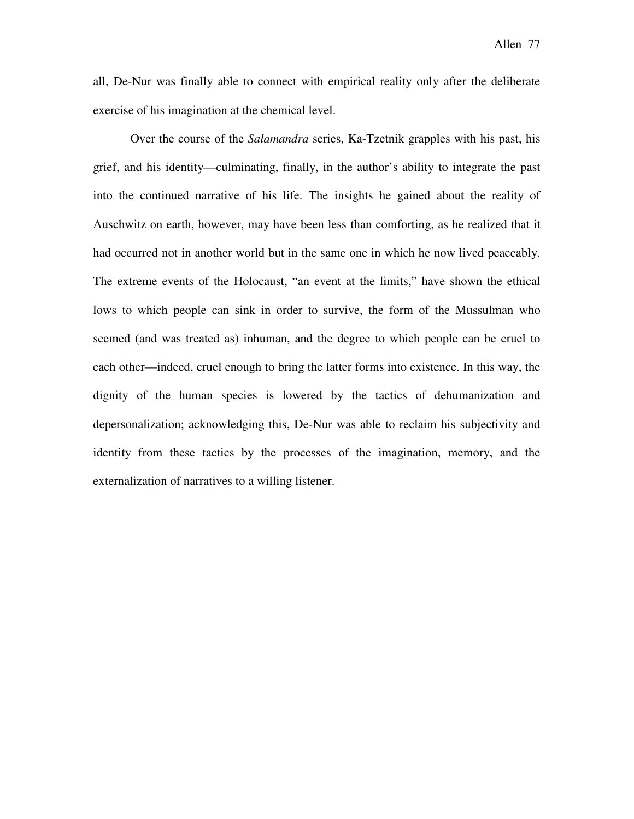all, De-Nur was finally able to connect with empirical reality only after the deliberate exercise of his imagination at the chemical level.

 Over the course of the *Salamandra* series, Ka-Tzetnik grapples with his past, his grief, and his identity—culminating, finally, in the author's ability to integrate the past into the continued narrative of his life. The insights he gained about the reality of Auschwitz on earth, however, may have been less than comforting, as he realized that it had occurred not in another world but in the same one in which he now lived peaceably. The extreme events of the Holocaust, "an event at the limits," have shown the ethical lows to which people can sink in order to survive, the form of the Mussulman who seemed (and was treated as) inhuman, and the degree to which people can be cruel to each other—indeed, cruel enough to bring the latter forms into existence. In this way, the dignity of the human species is lowered by the tactics of dehumanization and depersonalization; acknowledging this, De-Nur was able to reclaim his subjectivity and identity from these tactics by the processes of the imagination, memory, and the externalization of narratives to a willing listener.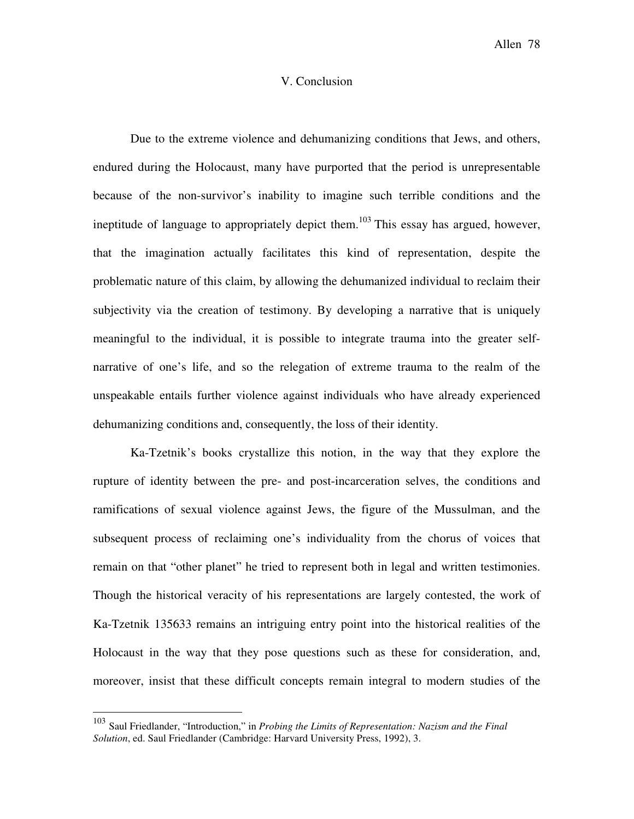## V. Conclusion

 Due to the extreme violence and dehumanizing conditions that Jews, and others, endured during the Holocaust, many have purported that the period is unrepresentable because of the non-survivor's inability to imagine such terrible conditions and the ineptitude of language to appropriately depict them.<sup>103</sup> This essay has argued, however, that the imagination actually facilitates this kind of representation, despite the problematic nature of this claim, by allowing the dehumanized individual to reclaim their subjectivity via the creation of testimony. By developing a narrative that is uniquely meaningful to the individual, it is possible to integrate trauma into the greater selfnarrative of one's life, and so the relegation of extreme trauma to the realm of the unspeakable entails further violence against individuals who have already experienced dehumanizing conditions and, consequently, the loss of their identity.

Ka-Tzetnik's books crystallize this notion, in the way that they explore the rupture of identity between the pre- and post-incarceration selves, the conditions and ramifications of sexual violence against Jews, the figure of the Mussulman, and the subsequent process of reclaiming one's individuality from the chorus of voices that remain on that "other planet" he tried to represent both in legal and written testimonies. Though the historical veracity of his representations are largely contested, the work of Ka-Tzetnik 135633 remains an intriguing entry point into the historical realities of the Holocaust in the way that they pose questions such as these for consideration, and, moreover, insist that these difficult concepts remain integral to modern studies of the

-

<sup>103</sup> Saul Friedlander, "Introduction," in *Probing the Limits of Representation: Nazism and the Final Solution*, ed. Saul Friedlander (Cambridge: Harvard University Press, 1992), 3.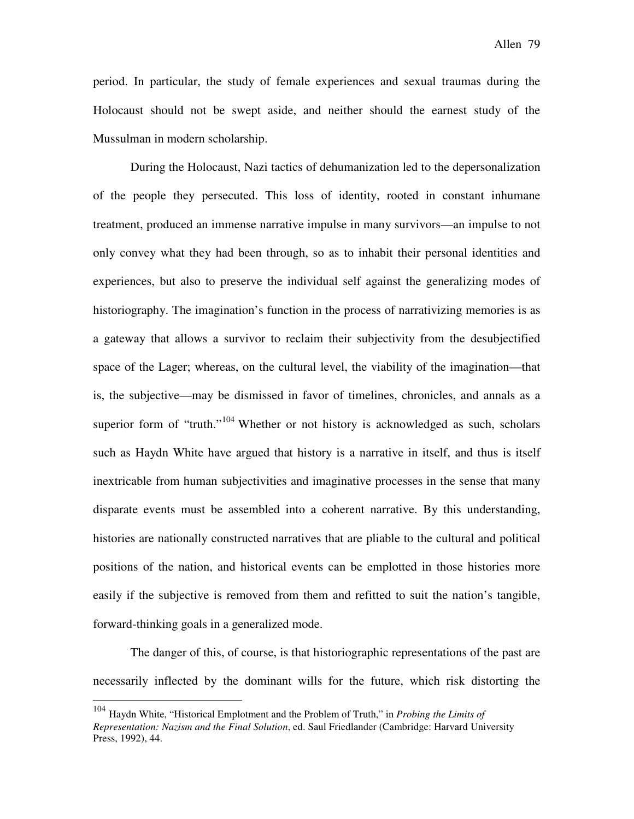period. In particular, the study of female experiences and sexual traumas during the Holocaust should not be swept aside, and neither should the earnest study of the Mussulman in modern scholarship.

During the Holocaust, Nazi tactics of dehumanization led to the depersonalization of the people they persecuted. This loss of identity, rooted in constant inhumane treatment, produced an immense narrative impulse in many survivors—an impulse to not only convey what they had been through, so as to inhabit their personal identities and experiences, but also to preserve the individual self against the generalizing modes of historiography. The imagination's function in the process of narrativizing memories is as a gateway that allows a survivor to reclaim their subjectivity from the desubjectified space of the Lager; whereas, on the cultural level, the viability of the imagination—that is, the subjective—may be dismissed in favor of timelines, chronicles, and annals as a superior form of "truth."<sup>104</sup> Whether or not history is acknowledged as such, scholars such as Haydn White have argued that history is a narrative in itself, and thus is itself inextricable from human subjectivities and imaginative processes in the sense that many disparate events must be assembled into a coherent narrative. By this understanding, histories are nationally constructed narratives that are pliable to the cultural and political positions of the nation, and historical events can be emplotted in those histories more easily if the subjective is removed from them and refitted to suit the nation's tangible, forward-thinking goals in a generalized mode.

The danger of this, of course, is that historiographic representations of the past are necessarily inflected by the dominant wills for the future, which risk distorting the

 $\overline{a}$ 

<sup>104</sup> Haydn White, "Historical Emplotment and the Problem of Truth," in *Probing the Limits of Representation: Nazism and the Final Solution*, ed. Saul Friedlander (Cambridge: Harvard University Press, 1992), 44.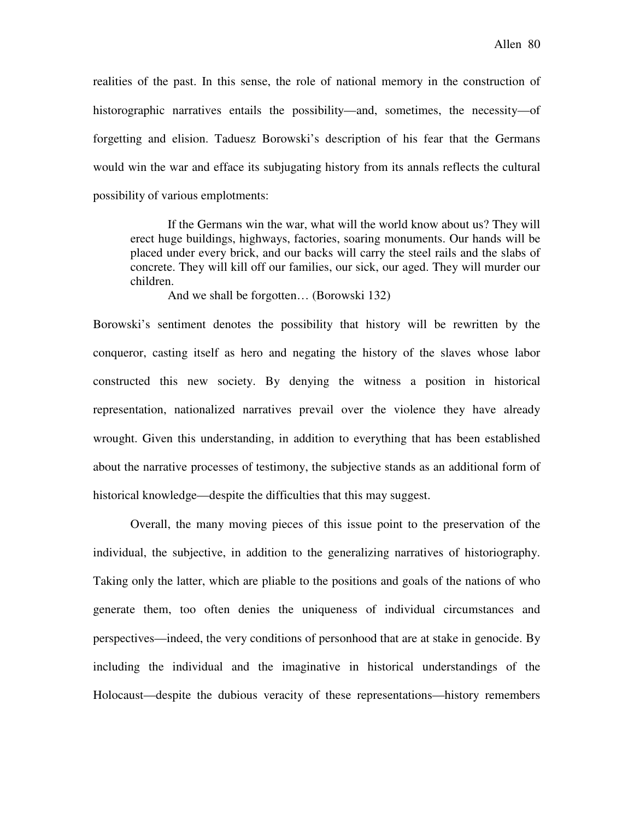realities of the past. In this sense, the role of national memory in the construction of historographic narratives entails the possibility—and, sometimes, the necessity—of forgetting and elision. Taduesz Borowski's description of his fear that the Germans would win the war and efface its subjugating history from its annals reflects the cultural possibility of various emplotments:

If the Germans win the war, what will the world know about us? They will erect huge buildings, highways, factories, soaring monuments. Our hands will be placed under every brick, and our backs will carry the steel rails and the slabs of concrete. They will kill off our families, our sick, our aged. They will murder our children.

And we shall be forgotten… (Borowski 132)

Borowski's sentiment denotes the possibility that history will be rewritten by the conqueror, casting itself as hero and negating the history of the slaves whose labor constructed this new society. By denying the witness a position in historical representation, nationalized narratives prevail over the violence they have already wrought. Given this understanding, in addition to everything that has been established about the narrative processes of testimony, the subjective stands as an additional form of historical knowledge—despite the difficulties that this may suggest.

 Overall, the many moving pieces of this issue point to the preservation of the individual, the subjective, in addition to the generalizing narratives of historiography. Taking only the latter, which are pliable to the positions and goals of the nations of who generate them, too often denies the uniqueness of individual circumstances and perspectives—indeed, the very conditions of personhood that are at stake in genocide. By including the individual and the imaginative in historical understandings of the Holocaust—despite the dubious veracity of these representations—history remembers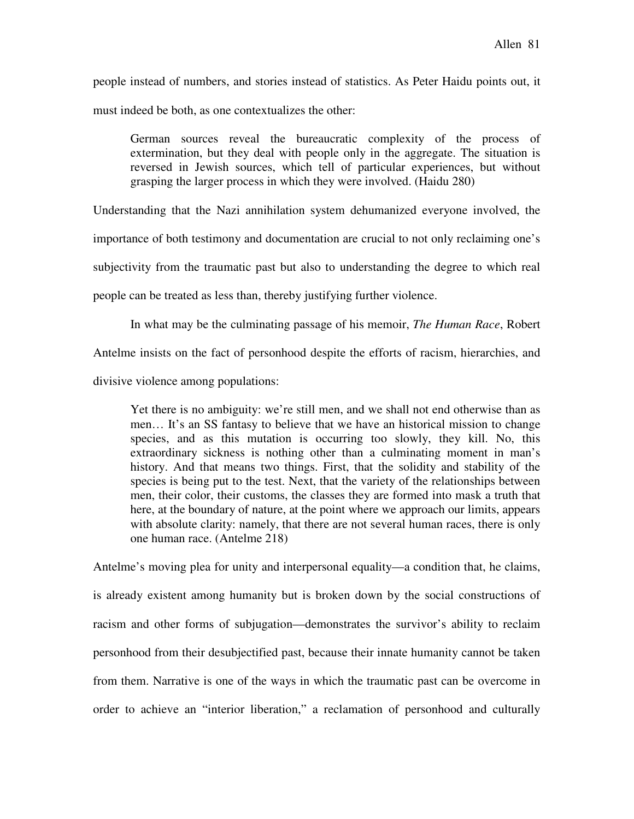people instead of numbers, and stories instead of statistics. As Peter Haidu points out, it must indeed be both, as one contextualizes the other:

German sources reveal the bureaucratic complexity of the process of extermination, but they deal with people only in the aggregate. The situation is reversed in Jewish sources, which tell of particular experiences, but without grasping the larger process in which they were involved. (Haidu 280)

Understanding that the Nazi annihilation system dehumanized everyone involved, the importance of both testimony and documentation are crucial to not only reclaiming one's subjectivity from the traumatic past but also to understanding the degree to which real people can be treated as less than, thereby justifying further violence.

In what may be the culminating passage of his memoir, *The Human Race*, Robert Antelme insists on the fact of personhood despite the efforts of racism, hierarchies, and divisive violence among populations:

Yet there is no ambiguity: we're still men, and we shall not end otherwise than as men… It's an SS fantasy to believe that we have an historical mission to change species, and as this mutation is occurring too slowly, they kill. No, this extraordinary sickness is nothing other than a culminating moment in man's history. And that means two things. First, that the solidity and stability of the species is being put to the test. Next, that the variety of the relationships between men, their color, their customs, the classes they are formed into mask a truth that here, at the boundary of nature, at the point where we approach our limits, appears with absolute clarity: namely, that there are not several human races, there is only one human race. (Antelme 218)

Antelme's moving plea for unity and interpersonal equality—a condition that, he claims, is already existent among humanity but is broken down by the social constructions of racism and other forms of subjugation—demonstrates the survivor's ability to reclaim personhood from their desubjectified past, because their innate humanity cannot be taken from them. Narrative is one of the ways in which the traumatic past can be overcome in order to achieve an "interior liberation," a reclamation of personhood and culturally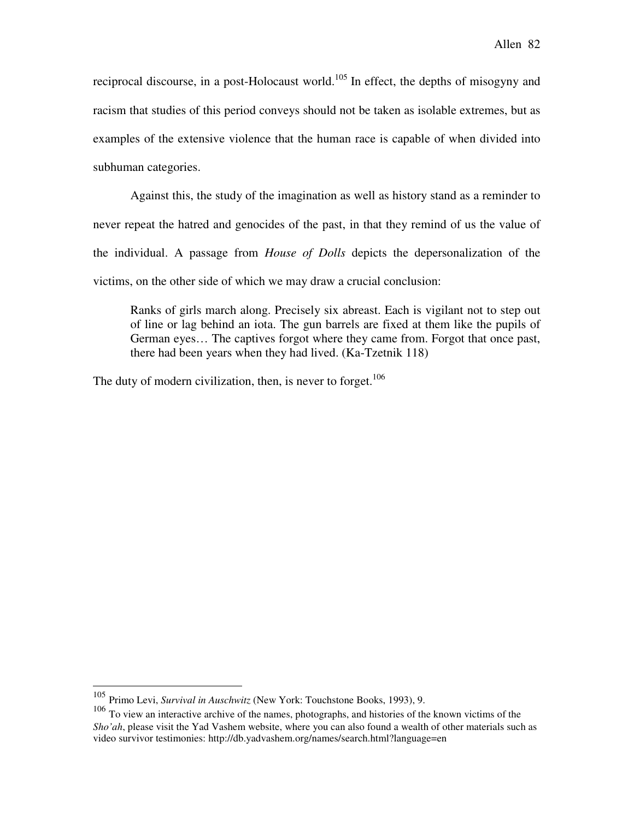reciprocal discourse, in a post-Holocaust world.<sup>105</sup> In effect, the depths of misogyny and racism that studies of this period conveys should not be taken as isolable extremes, but as examples of the extensive violence that the human race is capable of when divided into subhuman categories.

Against this, the study of the imagination as well as history stand as a reminder to never repeat the hatred and genocides of the past, in that they remind of us the value of the individual. A passage from *House of Dolls* depicts the depersonalization of the victims, on the other side of which we may draw a crucial conclusion:

Ranks of girls march along. Precisely six abreast. Each is vigilant not to step out of line or lag behind an iota. The gun barrels are fixed at them like the pupils of German eyes… The captives forgot where they came from. Forgot that once past, there had been years when they had lived. (Ka-Tzetnik 118)

The duty of modern civilization, then, is never to forget.<sup>106</sup>

 $\overline{a}$ 

<sup>105</sup> Primo Levi, *Survival in Auschwitz* (New York: Touchstone Books, 1993), 9.

<sup>106</sup> To view an interactive archive of the names, photographs, and histories of the known victims of the *Sho'ah*, please visit the Yad Vashem website, where you can also found a wealth of other materials such as video survivor testimonies: http://db.yadvashem.org/names/search.html?language=en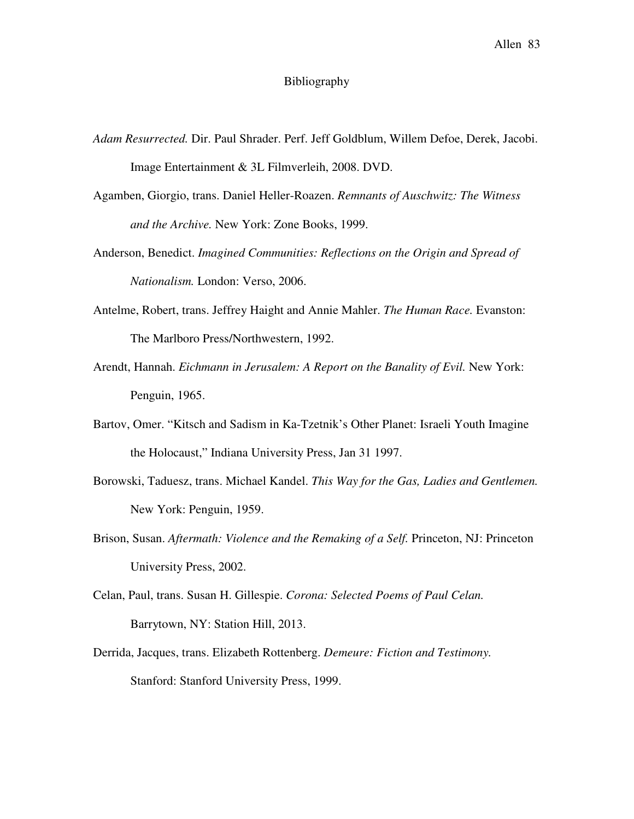## Bibliography

- *Adam Resurrected.* Dir. Paul Shrader. Perf. Jeff Goldblum, Willem Defoe, Derek, Jacobi. Image Entertainment & 3L Filmverleih, 2008. DVD.
- Agamben, Giorgio, trans. Daniel Heller-Roazen. *Remnants of Auschwitz: The Witness and the Archive.* New York: Zone Books, 1999.
- Anderson, Benedict. *Imagined Communities: Reflections on the Origin and Spread of Nationalism.* London: Verso, 2006.
- Antelme, Robert, trans. Jeffrey Haight and Annie Mahler. *The Human Race.* Evanston: The Marlboro Press/Northwestern, 1992.
- Arendt, Hannah. *Eichmann in Jerusalem: A Report on the Banality of Evil*. New York: Penguin, 1965.
- Bartov, Omer. "Kitsch and Sadism in Ka-Tzetnik's Other Planet: Israeli Youth Imagine the Holocaust," Indiana University Press, Jan 31 1997.
- Borowski, Taduesz, trans. Michael Kandel. *This Way for the Gas, Ladies and Gentlemen.*  New York: Penguin, 1959.
- Brison, Susan. *Aftermath: Violence and the Remaking of a Self.* Princeton, NJ: Princeton University Press, 2002.
- Celan, Paul, trans. Susan H. Gillespie. *Corona: Selected Poems of Paul Celan.*  Barrytown, NY: Station Hill, 2013.
- Derrida, Jacques, trans. Elizabeth Rottenberg. *Demeure: Fiction and Testimony.*  Stanford: Stanford University Press, 1999.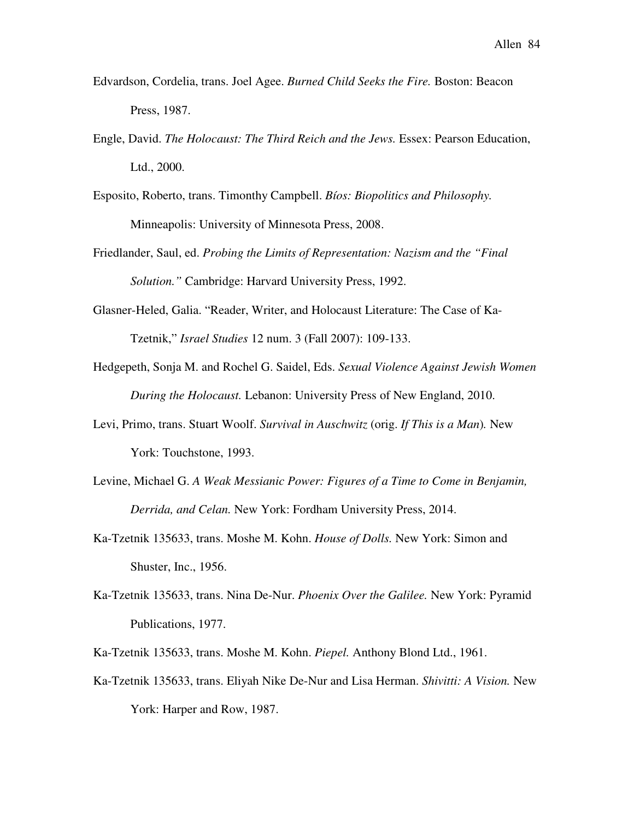- Edvardson, Cordelia, trans. Joel Agee. *Burned Child Seeks the Fire.* Boston: Beacon Press, 1987.
- Engle, David. *The Holocaust: The Third Reich and the Jews.* Essex: Pearson Education, Ltd., 2000.
- Esposito, Roberto, trans. Timonthy Campbell. *Bíos: Biopolitics and Philosophy.*  Minneapolis: University of Minnesota Press, 2008.
- Friedlander, Saul, ed. *Probing the Limits of Representation: Nazism and the "Final Solution."* Cambridge: Harvard University Press, 1992.
- Glasner-Heled, Galia. "Reader, Writer, and Holocaust Literature: The Case of Ka- Tzetnik," *Israel Studies* 12 num. 3 (Fall 2007): 109-133.
- Hedgepeth, Sonja M. and Rochel G. Saidel, Eds. *Sexual Violence Against Jewish Women During the Holocaust.* Lebanon: University Press of New England, 2010.
- Levi, Primo, trans. Stuart Woolf. *Survival in Auschwitz* (orig. *If This is a Man*)*.* New York: Touchstone, 1993.
- Levine, Michael G. *A Weak Messianic Power: Figures of a Time to Come in Benjamin, Derrida, and Celan.* New York: Fordham University Press, 2014.
- Ka-Tzetnik 135633, trans. Moshe M. Kohn. *House of Dolls.* New York: Simon and Shuster, Inc., 1956.
- Ka-Tzetnik 135633, trans. Nina De-Nur. *Phoenix Over the Galilee.* New York: Pyramid Publications, 1977.
- Ka-Tzetnik 135633, trans. Moshe M. Kohn. *Piepel.* Anthony Blond Ltd., 1961.
- Ka-Tzetnik 135633, trans. Eliyah Nike De-Nur and Lisa Herman. *Shivitti: A Vision.* New York: Harper and Row, 1987.